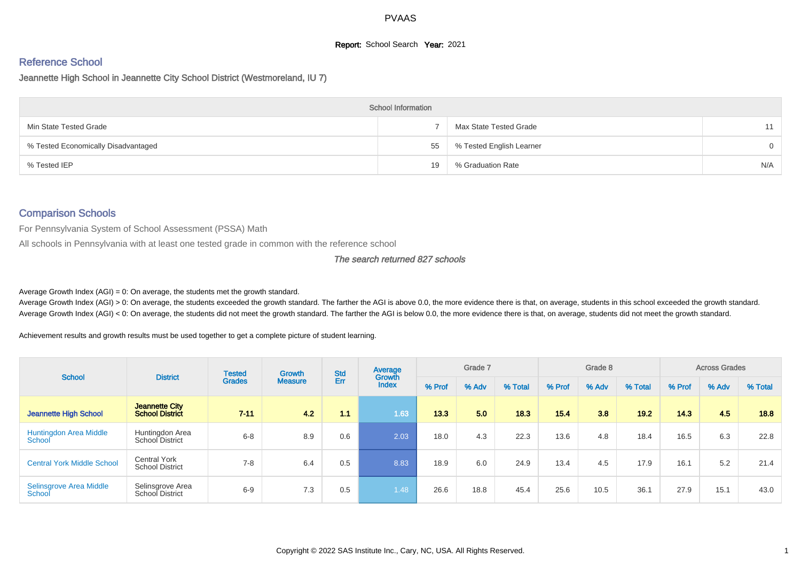# **Report:** School Search **Year:** 2021

# Reference School

Jeannette High School in Jeannette City School District (Westmoreland, IU 7)

|                                     | <b>School Information</b> |                          |          |
|-------------------------------------|---------------------------|--------------------------|----------|
| Min State Tested Grade              |                           | Max State Tested Grade   | 11       |
| % Tested Economically Disadvantaged | 55                        | % Tested English Learner | $\Omega$ |
| % Tested IEP                        | 19                        | % Graduation Rate        | N/A      |

#### Comparison Schools

For Pennsylvania System of School Assessment (PSSA) Math

All schools in Pennsylvania with at least one tested grade in common with the reference school

#### The search returned 827 schools

Average Growth Index  $(AGI) = 0$ : On average, the students met the growth standard.

Average Growth Index (AGI) > 0: On average, the students exceeded the growth standard. The farther the AGI is above 0.0, the more evidence there is that, on average, students in this school exceeded the growth standard. Average Growth Index (AGI) < 0: On average, the students did not meet the growth standard. The farther the AGI is below 0.0, the more evidence there is that, on average, students did not meet the growth standard.

Achievement results and growth results must be used together to get a complete picture of student learning.

| <b>School</b>                           | <b>District</b>                               | <b>Tested</b> | <b>Growth</b>  | <b>Std</b> | Average<br>Growth |        | Grade 7 |         |        | Grade 8 |         |        | <b>Across Grades</b> |         |
|-----------------------------------------|-----------------------------------------------|---------------|----------------|------------|-------------------|--------|---------|---------|--------|---------|---------|--------|----------------------|---------|
|                                         |                                               | <b>Grades</b> | <b>Measure</b> | Err        | <b>Index</b>      | % Prof | % Adv   | % Total | % Prof | % Adv   | % Total | % Prof | % Adv                | % Total |
| <b>Jeannette High School</b>            | Jeannette City<br><b>School District</b>      | $7 - 11$      | 4.2            | 1.1        | 1.63              | 13.3   | 5.0     | 18.3    | 15.4   | 3.8     | 19.2    | 14.3   | 4.5                  | 18.8    |
| <b>Huntingdon Area Middle</b><br>School | Huntingdon Area<br>School District            | $6 - 8$       | 8.9            | 0.6        | 2.03              | 18.0   | 4.3     | 22.3    | 13.6   | 4.8     | 18.4    | 16.5   | 6.3                  | 22.8    |
| <b>Central York Middle School</b>       | <b>Central York</b><br><b>School District</b> | $7 - 8$       | 6.4            | 0.5        | 8.83              | 18.9   | 6.0     | 24.9    | 13.4   | 4.5     | 17.9    | 16.1   | 5.2                  | 21.4    |
| Selinsgrove Area Middle<br>School       | Selinsgrove Area<br>School District           | $6 - 9$       | 7.3            | 0.5        | 1.48              | 26.6   | 18.8    | 45.4    | 25.6   | 10.5    | 36.1    | 27.9   | 15.1                 | 43.0    |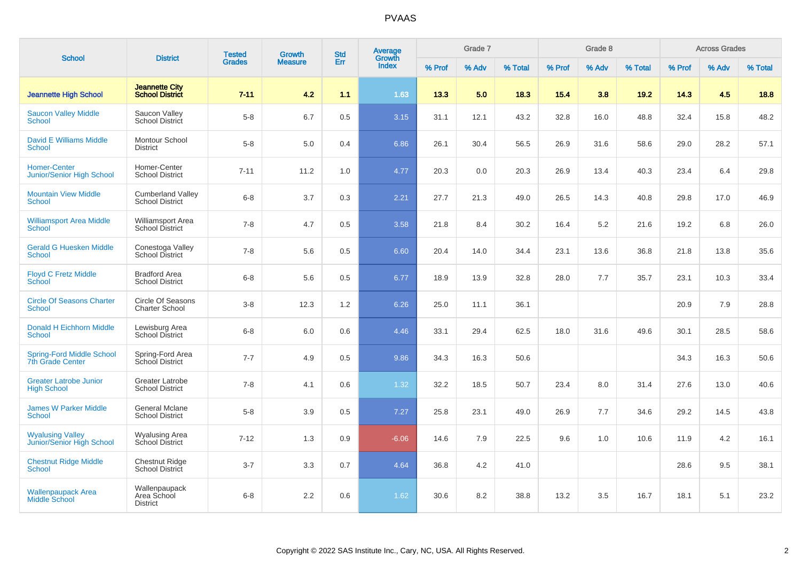|                                                             | <b>District</b>                                    | <b>Tested</b> | <b>Growth</b>  | <b>Std</b> | Average<br>Growth |        | Grade 7 |         |        | Grade 8 |         |        | <b>Across Grades</b> |         |
|-------------------------------------------------------------|----------------------------------------------------|---------------|----------------|------------|-------------------|--------|---------|---------|--------|---------|---------|--------|----------------------|---------|
| <b>School</b>                                               |                                                    | <b>Grades</b> | <b>Measure</b> | Err        | <b>Index</b>      | % Prof | % Adv   | % Total | % Prof | % Adv   | % Total | % Prof | % Adv                | % Total |
| <b>Jeannette High School</b>                                | <b>Jeannette City</b><br><b>School District</b>    | $7 - 11$      | 4.2            | 1.1        | 1.63              | 13.3   | 5.0     | 18.3    | 15.4   | 3.8     | 19.2    | 14.3   | 4.5                  | 18.8    |
| <b>Saucon Valley Middle</b><br><b>School</b>                | Saucon Valley<br>School District                   | $5-8$         | 6.7            | 0.5        | 3.15              | 31.1   | 12.1    | 43.2    | 32.8   | 16.0    | 48.8    | 32.4   | 15.8                 | 48.2    |
| <b>David E Williams Middle</b><br><b>School</b>             | Montour School<br><b>District</b>                  | $5 - 8$       | 5.0            | 0.4        | 6.86              | 26.1   | 30.4    | 56.5    | 26.9   | 31.6    | 58.6    | 29.0   | 28.2                 | 57.1    |
| <b>Homer-Center</b><br><b>Junior/Senior High School</b>     | Homer-Center<br><b>School District</b>             | $7 - 11$      | 11.2           | 1.0        | 4.77              | 20.3   | 0.0     | 20.3    | 26.9   | 13.4    | 40.3    | 23.4   | 6.4                  | 29.8    |
| <b>Mountain View Middle</b><br>School                       | <b>Cumberland Valley</b><br><b>School District</b> | $6 - 8$       | 3.7            | 0.3        | 2.21              | 27.7   | 21.3    | 49.0    | 26.5   | 14.3    | 40.8    | 29.8   | 17.0                 | 46.9    |
| <b>Williamsport Area Middle</b><br><b>School</b>            | <b>Williamsport Area</b><br>School District        | $7 - 8$       | 4.7            | 0.5        | 3.58              | 21.8   | 8.4     | 30.2    | 16.4   | 5.2     | 21.6    | 19.2   | 6.8                  | 26.0    |
| <b>Gerald G Huesken Middle</b><br>School                    | Conestoga Valley<br><b>School District</b>         | $7 - 8$       | 5.6            | 0.5        | 6.60              | 20.4   | 14.0    | 34.4    | 23.1   | 13.6    | 36.8    | 21.8   | 13.8                 | 35.6    |
| <b>Floyd C Fretz Middle</b><br><b>School</b>                | <b>Bradford Area</b><br><b>School District</b>     | $6 - 8$       | 5.6            | 0.5        | 6.77              | 18.9   | 13.9    | 32.8    | 28.0   | 7.7     | 35.7    | 23.1   | 10.3                 | 33.4    |
| <b>Circle Of Seasons Charter</b><br><b>School</b>           | Circle Of Seasons<br><b>Charter School</b>         | $3-8$         | 12.3           | 1.2        | 6.26              | 25.0   | 11.1    | 36.1    |        |         |         | 20.9   | 7.9                  | 28.8    |
| Donald H Eichhorn Middle<br><b>School</b>                   | Lewisburg Area<br>School District                  | $6 - 8$       | 6.0            | 0.6        | 4.46              | 33.1   | 29.4    | 62.5    | 18.0   | 31.6    | 49.6    | 30.1   | 28.5                 | 58.6    |
| <b>Spring-Ford Middle School</b><br><b>7th Grade Center</b> | Spring-Ford Area<br>School District                | $7 - 7$       | 4.9            | 0.5        | 9.86              | 34.3   | 16.3    | 50.6    |        |         |         | 34.3   | 16.3                 | 50.6    |
| <b>Greater Latrobe Junior</b><br><b>High School</b>         | Greater Latrobe<br><b>School District</b>          | $7 - 8$       | 4.1            | 0.6        | 1.32              | 32.2   | 18.5    | 50.7    | 23.4   | 8.0     | 31.4    | 27.6   | 13.0                 | 40.6    |
| <b>James W Parker Middle</b><br><b>School</b>               | General Mclane<br><b>School District</b>           | $5-8$         | 3.9            | 0.5        | 7.27              | 25.8   | 23.1    | 49.0    | 26.9   | 7.7     | 34.6    | 29.2   | 14.5                 | 43.8    |
| <b>Wyalusing Valley</b><br>Junior/Senior High School        | <b>Wyalusing Area</b><br>School District           | $7 - 12$      | 1.3            | 0.9        | $-6.06$           | 14.6   | 7.9     | 22.5    | 9.6    | 1.0     | 10.6    | 11.9   | 4.2                  | 16.1    |
| <b>Chestnut Ridge Middle</b><br><b>School</b>               | <b>Chestnut Ridge</b><br>School District           | $3 - 7$       | 3.3            | 0.7        | 4.64              | 36.8   | 4.2     | 41.0    |        |         |         | 28.6   | 9.5                  | 38.1    |
| Wallenpaupack Area<br><b>Middle School</b>                  | Wallenpaupack<br>Area School<br><b>District</b>    | $6 - 8$       | 2.2            | 0.6        | 1.62              | 30.6   | 8.2     | 38.8    | 13.2   | 3.5     | 16.7    | 18.1   | 5.1                  | 23.2    |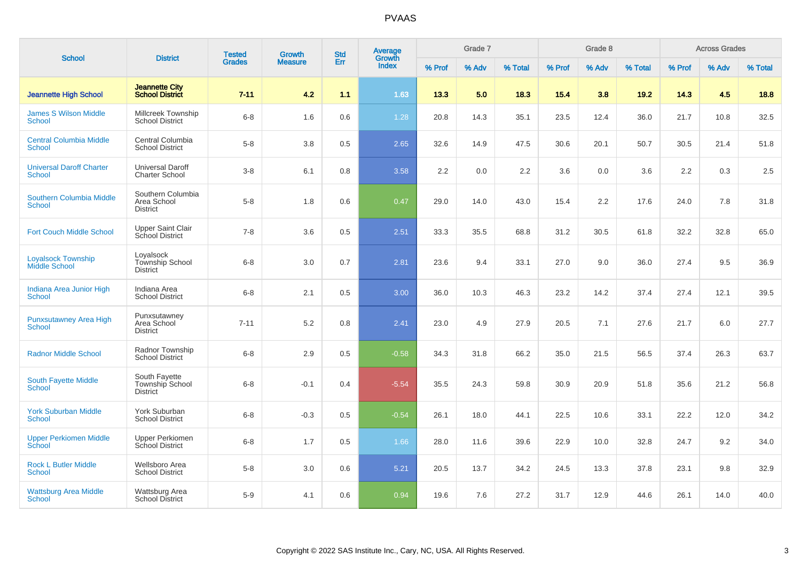| <b>School</b>                                     | <b>District</b>                                            | <b>Tested</b> | <b>Growth</b>  | <b>Std</b> | Average<br>Growth |        | Grade 7 |         |        | Grade 8 |         |        | <b>Across Grades</b> |         |
|---------------------------------------------------|------------------------------------------------------------|---------------|----------------|------------|-------------------|--------|---------|---------|--------|---------|---------|--------|----------------------|---------|
|                                                   |                                                            | <b>Grades</b> | <b>Measure</b> | Err        | <b>Index</b>      | % Prof | % Adv   | % Total | % Prof | % Adv   | % Total | % Prof | % Adv                | % Total |
| <b>Jeannette High School</b>                      | <b>Jeannette City</b><br><b>School District</b>            | $7 - 11$      | 4.2            | 1.1        | 1.63              | 13.3   | 5.0     | 18.3    | 15.4   | 3.8     | 19.2    | 14.3   | 4.5                  | 18.8    |
| <b>James S Wilson Middle</b><br>School            | Millcreek Township<br><b>School District</b>               | $6 - 8$       | 1.6            | 0.6        | 1.28              | 20.8   | 14.3    | 35.1    | 23.5   | 12.4    | 36.0    | 21.7   | 10.8                 | 32.5    |
| <b>Central Columbia Middle</b><br>School          | Central Columbia<br><b>School District</b>                 | $5 - 8$       | $3.8\,$        | 0.5        | 2.65              | 32.6   | 14.9    | 47.5    | 30.6   | 20.1    | 50.7    | 30.5   | 21.4                 | 51.8    |
| <b>Universal Daroff Charter</b><br><b>School</b>  | Universal Daroff<br><b>Charter School</b>                  | $3 - 8$       | 6.1            | 0.8        | 3.58              | 2.2    | 0.0     | 2.2     | 3.6    | 0.0     | 3.6     | 2.2    | 0.3                  | 2.5     |
| Southern Columbia Middle<br><b>School</b>         | Southern Columbia<br>Area School<br><b>District</b>        | $5 - 8$       | 1.8            | 0.6        | 0.47              | 29.0   | 14.0    | 43.0    | 15.4   | 2.2     | 17.6    | 24.0   | 7.8                  | 31.8    |
| <b>Fort Couch Middle School</b>                   | <b>Upper Saint Clair</b><br>School District                | $7 - 8$       | 3.6            | 0.5        | 2.51              | 33.3   | 35.5    | 68.8    | 31.2   | 30.5    | 61.8    | 32.2   | 32.8                 | 65.0    |
| <b>Loyalsock Township</b><br><b>Middle School</b> | Loyalsock<br>Township School<br><b>District</b>            | $6 - 8$       | 3.0            | 0.7        | 2.81              | 23.6   | 9.4     | 33.1    | 27.0   | 9.0     | 36.0    | 27.4   | 9.5                  | 36.9    |
| Indiana Area Junior High<br><b>School</b>         | Indiana Area<br><b>School District</b>                     | $6 - 8$       | 2.1            | 0.5        | 3.00              | 36.0   | 10.3    | 46.3    | 23.2   | 14.2    | 37.4    | 27.4   | 12.1                 | 39.5    |
| <b>Punxsutawney Area High</b><br><b>School</b>    | Punxsutawney<br>Area School<br><b>District</b>             | $7 - 11$      | 5.2            | 0.8        | 2.41              | 23.0   | 4.9     | 27.9    | 20.5   | 7.1     | 27.6    | 21.7   | 6.0                  | 27.7    |
| <b>Radnor Middle School</b>                       | Radnor Township<br><b>School District</b>                  | $6-8$         | 2.9            | 0.5        | $-0.58$           | 34.3   | 31.8    | 66.2    | 35.0   | 21.5    | 56.5    | 37.4   | 26.3                 | 63.7    |
| <b>South Fayette Middle</b><br><b>School</b>      | South Fayette<br><b>Township School</b><br><b>District</b> | $6 - 8$       | $-0.1$         | 0.4        | $-5.54$           | 35.5   | 24.3    | 59.8    | 30.9   | 20.9    | 51.8    | 35.6   | 21.2                 | 56.8    |
| <b>York Suburban Middle</b><br>School             | York Suburban<br><b>School District</b>                    | $6 - 8$       | $-0.3$         | 0.5        | $-0.54$           | 26.1   | 18.0    | 44.1    | 22.5   | 10.6    | 33.1    | 22.2   | 12.0                 | 34.2    |
| <b>Upper Perkiomen Middle</b><br>School           | <b>Upper Perkiomen</b><br><b>School District</b>           | $6 - 8$       | 1.7            | 0.5        | 1.66              | 28.0   | 11.6    | 39.6    | 22.9   | 10.0    | 32.8    | 24.7   | 9.2                  | 34.0    |
| <b>Rock L Butler Middle</b><br><b>School</b>      | Wellsboro Area<br><b>School District</b>                   | $5-8$         | 3.0            | 0.6        | 5.21              | 20.5   | 13.7    | 34.2    | 24.5   | 13.3    | 37.8    | 23.1   | 9.8                  | 32.9    |
| <b>Wattsburg Area Middle</b><br>School            | Wattsburg Area<br><b>School District</b>                   | $5-9$         | 4.1            | 0.6        | 0.94              | 19.6   | 7.6     | 27.2    | 31.7   | 12.9    | 44.6    | 26.1   | 14.0                 | 40.0    |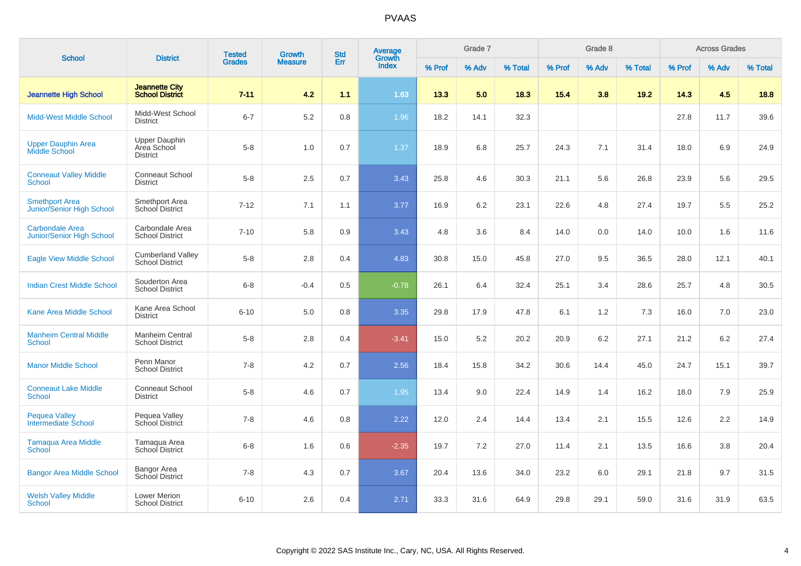| <b>School</b>                                             | <b>District</b>                                        | <b>Tested</b> | Growth         | <b>Std</b> | <b>Average</b><br>Growth |        | Grade 7 |         |        | Grade 8 |         |        | <b>Across Grades</b> |         |
|-----------------------------------------------------------|--------------------------------------------------------|---------------|----------------|------------|--------------------------|--------|---------|---------|--------|---------|---------|--------|----------------------|---------|
|                                                           |                                                        | <b>Grades</b> | <b>Measure</b> | Err        | <b>Index</b>             | % Prof | % Adv   | % Total | % Prof | % Adv   | % Total | % Prof | % Adv                | % Total |
| <b>Jeannette High School</b>                              | <b>Jeannette City</b><br><b>School District</b>        | $7 - 11$      | 4.2            | 1.1        | 1.63                     | 13.3   | 5.0     | 18.3    | 15.4   | 3.8     | 19.2    | 14.3   | 4.5                  | 18.8    |
| <b>Midd-West Middle School</b>                            | Midd-West School<br><b>District</b>                    | $6 - 7$       | 5.2            | 0.8        | 1.96                     | 18.2   | 14.1    | 32.3    |        |         |         | 27.8   | 11.7                 | 39.6    |
| <b>Upper Dauphin Area</b><br><b>Middle School</b>         | <b>Upper Dauphin</b><br>Area School<br><b>District</b> | $5 - 8$       | 1.0            | 0.7        | 1.37                     | 18.9   | 6.8     | 25.7    | 24.3   | 7.1     | 31.4    | 18.0   | 6.9                  | 24.9    |
| <b>Conneaut Valley Middle</b><br><b>School</b>            | <b>Conneaut School</b><br><b>District</b>              | $5-8$         | 2.5            | 0.7        | 3.43                     | 25.8   | 4.6     | 30.3    | 21.1   | 5.6     | 26.8    | 23.9   | 5.6                  | 29.5    |
| <b>Smethport Area</b><br><b>Junior/Senior High School</b> | Smethport Area<br>School District                      | $7 - 12$      | 7.1            | 1.1        | 3.77                     | 16.9   | 6.2     | 23.1    | 22.6   | 4.8     | 27.4    | 19.7   | 5.5                  | 25.2    |
| <b>Carbondale Area</b><br>Junior/Senior High School       | Carbondale Area<br><b>School District</b>              | $7 - 10$      | 5.8            | 0.9        | 3.43                     | 4.8    | 3.6     | 8.4     | 14.0   | 0.0     | 14.0    | 10.0   | 1.6                  | 11.6    |
| <b>Eagle View Middle School</b>                           | <b>Cumberland Valley</b><br><b>School District</b>     | $5 - 8$       | 2.8            | 0.4        | 4.83                     | 30.8   | 15.0    | 45.8    | 27.0   | 9.5     | 36.5    | 28.0   | 12.1                 | 40.1    |
| <b>Indian Crest Middle School</b>                         | Souderton Area<br><b>School District</b>               | $6 - 8$       | $-0.4$         | 0.5        | $-0.78$                  | 26.1   | 6.4     | 32.4    | 25.1   | 3.4     | 28.6    | 25.7   | 4.8                  | 30.5    |
| Kane Area Middle School                                   | Kane Area School<br><b>District</b>                    | $6 - 10$      | 5.0            | 0.8        | 3.35                     | 29.8   | 17.9    | 47.8    | 6.1    | 1.2     | 7.3     | 16.0   | 7.0                  | 23.0    |
| <b>Manheim Central Middle</b><br><b>School</b>            | Manheim Central<br><b>School District</b>              | $5 - 8$       | 2.8            | 0.4        | $-3.41$                  | 15.0   | 5.2     | 20.2    | 20.9   | 6.2     | 27.1    | 21.2   | 6.2                  | 27.4    |
| <b>Manor Middle School</b>                                | Penn Manor<br><b>School District</b>                   | $7 - 8$       | 4.2            | 0.7        | 2.56                     | 18.4   | 15.8    | 34.2    | 30.6   | 14.4    | 45.0    | 24.7   | 15.1                 | 39.7    |
| <b>Conneaut Lake Middle</b><br>School                     | Conneaut School<br><b>District</b>                     | $5 - 8$       | 4.6            | 0.7        | 1.95                     | 13.4   | 9.0     | 22.4    | 14.9   | 1.4     | 16.2    | 18.0   | 7.9                  | 25.9    |
| <b>Pequea Valley</b><br><b>Intermediate School</b>        | Pequea Valley<br>School District                       | $7 - 8$       | 4.6            | 0.8        | 2.22                     | 12.0   | 2.4     | 14.4    | 13.4   | 2.1     | 15.5    | 12.6   | $2.2\,$              | 14.9    |
| <b>Tamagua Area Middle</b><br>School                      | Tamagua Area<br>School District                        | $6 - 8$       | 1.6            | 0.6        | $-2.35$                  | 19.7   | 7.2     | 27.0    | 11.4   | 2.1     | 13.5    | 16.6   | 3.8                  | 20.4    |
| <b>Bangor Area Middle School</b>                          | Bangor Area<br><b>School District</b>                  | $7 - 8$       | 4.3            | 0.7        | 3.67                     | 20.4   | 13.6    | 34.0    | 23.2   | 6.0     | 29.1    | 21.8   | 9.7                  | 31.5    |
| <b>Welsh Valley Middle</b><br><b>School</b>               | <b>Lower Merion</b><br><b>School District</b>          | $6 - 10$      | 2.6            | 0.4        | 2.71                     | 33.3   | 31.6    | 64.9    | 29.8   | 29.1    | 59.0    | 31.6   | 31.9                 | 63.5    |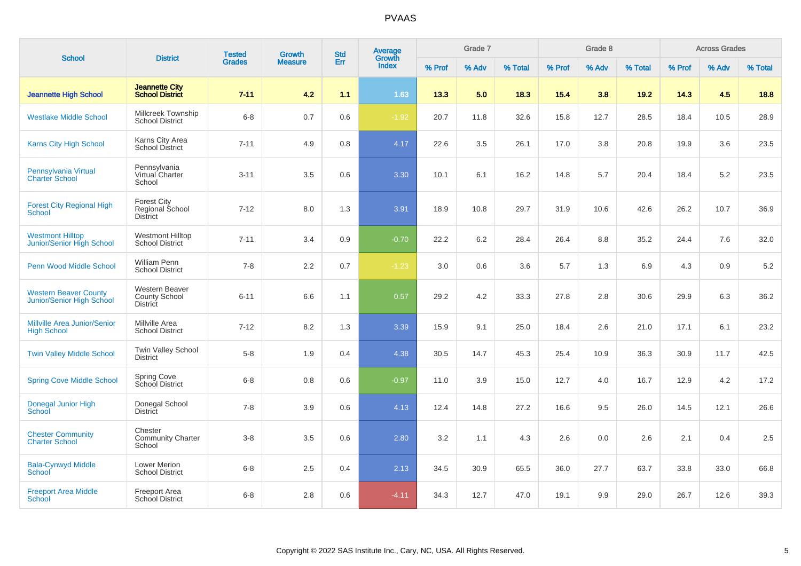| <b>School</b>                                               | <b>District</b>                                           | <b>Tested</b> | <b>Growth</b>  | <b>Std</b> | Average<br>Growth |        | Grade 7 |         |        | Grade 8 |         |        | <b>Across Grades</b> |         |
|-------------------------------------------------------------|-----------------------------------------------------------|---------------|----------------|------------|-------------------|--------|---------|---------|--------|---------|---------|--------|----------------------|---------|
|                                                             |                                                           | <b>Grades</b> | <b>Measure</b> | Err        | <b>Index</b>      | % Prof | % Adv   | % Total | % Prof | % Adv   | % Total | % Prof | % Adv                | % Total |
| <b>Jeannette High School</b>                                | <b>Jeannette City</b><br><b>School District</b>           | $7 - 11$      | 4.2            | 1.1        | 1.63              | 13.3   | 5.0     | 18.3    | 15.4   | 3.8     | 19.2    | 14.3   | 4.5                  | 18.8    |
| <b>Westlake Middle School</b>                               | Millcreek Township<br><b>School District</b>              | $6 - 8$       | 0.7            | 0.6        | $-1.92$           | 20.7   | 11.8    | 32.6    | 15.8   | 12.7    | 28.5    | 18.4   | 10.5                 | 28.9    |
| Karns City High School                                      | Karns City Area<br><b>School District</b>                 | $7 - 11$      | 4.9            | 0.8        | 4.17              | 22.6   | 3.5     | 26.1    | 17.0   | 3.8     | 20.8    | 19.9   | 3.6                  | 23.5    |
| Pennsylvania Virtual<br><b>Charter School</b>               | Pennsylvania<br>Virtual Charter<br>School                 | $3 - 11$      | 3.5            | 0.6        | 3.30              | 10.1   | 6.1     | 16.2    | 14.8   | 5.7     | 20.4    | 18.4   | 5.2                  | 23.5    |
| <b>Forest City Regional High</b><br><b>School</b>           | <b>Forest City</b><br>Regional School<br><b>District</b>  | $7 - 12$      | 8.0            | 1.3        | 3.91              | 18.9   | 10.8    | 29.7    | 31.9   | 10.6    | 42.6    | 26.2   | 10.7                 | 36.9    |
| <b>Westmont Hilltop</b><br><b>Junior/Senior High School</b> | <b>Westmont Hilltop</b><br><b>School District</b>         | $7 - 11$      | 3.4            | 0.9        | $-0.70$           | 22.2   | 6.2     | 28.4    | 26.4   | 8.8     | 35.2    | 24.4   | 7.6                  | 32.0    |
| Penn Wood Middle School                                     | <b>William Penn</b><br><b>School District</b>             | $7 - 8$       | 2.2            | 0.7        | $-1.23$           | 3.0    | 0.6     | 3.6     | 5.7    | 1.3     | 6.9     | 4.3    | 0.9                  | 5.2     |
| <b>Western Beaver County</b><br>Junior/Senior High School   | <b>Western Beaver</b><br>County School<br><b>District</b> | $6 - 11$      | 6.6            | 1.1        | 0.57              | 29.2   | 4.2     | 33.3    | 27.8   | 2.8     | 30.6    | 29.9   | 6.3                  | 36.2    |
| Millville Area Junior/Senior<br><b>High School</b>          | Millville Area<br><b>School District</b>                  | $7 - 12$      | 8.2            | 1.3        | 3.39              | 15.9   | 9.1     | 25.0    | 18.4   | 2.6     | 21.0    | 17.1   | 6.1                  | 23.2    |
| <b>Twin Valley Middle School</b>                            | <b>Twin Valley School</b><br><b>District</b>              | $5 - 8$       | 1.9            | 0.4        | 4.38              | 30.5   | 14.7    | 45.3    | 25.4   | 10.9    | 36.3    | 30.9   | 11.7                 | 42.5    |
| <b>Spring Cove Middle School</b>                            | Spring Cove<br>School District                            | $6 - 8$       | 0.8            | 0.6        | $-0.97$           | 11.0   | 3.9     | 15.0    | 12.7   | 4.0     | 16.7    | 12.9   | 4.2                  | 17.2    |
| <b>Donegal Junior High</b><br>School                        | Donegal School<br><b>District</b>                         | $7 - 8$       | 3.9            | 0.6        | 4.13              | 12.4   | 14.8    | 27.2    | 16.6   | 9.5     | 26.0    | 14.5   | 12.1                 | 26.6    |
| <b>Chester Community</b><br><b>Charter School</b>           | Chester<br><b>Community Charter</b><br>School             | $3 - 8$       | 3.5            | 0.6        | 2.80              | 3.2    | 1.1     | 4.3     | 2.6    | 0.0     | 2.6     | 2.1    | 0.4                  | 2.5     |
| <b>Bala-Cynwyd Middle</b><br><b>School</b>                  | <b>Lower Merion</b><br><b>School District</b>             | $6 - 8$       | 2.5            | 0.4        | 2.13              | 34.5   | 30.9    | 65.5    | 36.0   | 27.7    | 63.7    | 33.8   | 33.0                 | 66.8    |
| <b>Freeport Area Middle</b><br>School                       | Freeport Area<br><b>School District</b>                   | $6 - 8$       | 2.8            | 0.6        | $-4.11$           | 34.3   | 12.7    | 47.0    | 19.1   | 9.9     | 29.0    | 26.7   | 12.6                 | 39.3    |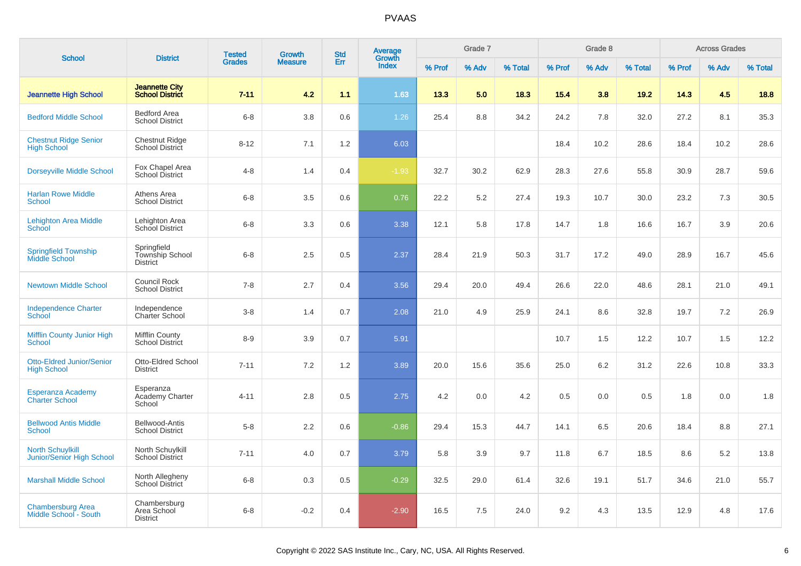| <b>School</b>                                               | <b>District</b>                                          | <b>Tested</b> | Growth         | <b>Std</b> | <b>Average</b>  |        | Grade 7 |         |        | Grade 8 |         |        | <b>Across Grades</b> |         |
|-------------------------------------------------------------|----------------------------------------------------------|---------------|----------------|------------|-----------------|--------|---------|---------|--------|---------|---------|--------|----------------------|---------|
|                                                             |                                                          | <b>Grades</b> | <b>Measure</b> | Err        | Growth<br>Index | % Prof | % Adv   | % Total | % Prof | % Adv   | % Total | % Prof | % Adv                | % Total |
| <b>Jeannette High School</b>                                | <b>Jeannette City</b><br><b>School District</b>          | $7 - 11$      | 4.2            | 1.1        | 1.63            | 13.3   | 5.0     | 18.3    | 15.4   | 3.8     | 19.2    | 14.3   | 4.5                  | 18.8    |
| <b>Bedford Middle School</b>                                | Bedford Area<br><b>School District</b>                   | $6 - 8$       | 3.8            | 0.6        | 1.26            | 25.4   | 8.8     | 34.2    | 24.2   | 7.8     | 32.0    | 27.2   | 8.1                  | 35.3    |
| <b>Chestnut Ridge Senior</b><br><b>High School</b>          | <b>Chestnut Ridge</b><br>School District                 | $8 - 12$      | 7.1            | 1.2        | 6.03            |        |         |         | 18.4   | 10.2    | 28.6    | 18.4   | 10.2                 | 28.6    |
| <b>Dorseyville Middle School</b>                            | Fox Chapel Area<br>School District                       | $4 - 8$       | 1.4            | 0.4        | $-1.93$         | 32.7   | 30.2    | 62.9    | 28.3   | 27.6    | 55.8    | 30.9   | 28.7                 | 59.6    |
| <b>Harlan Rowe Middle</b><br>School                         | Athens Area<br><b>School District</b>                    | $6 - 8$       | 3.5            | 0.6        | 0.76            | 22.2   | 5.2     | 27.4    | 19.3   | 10.7    | 30.0    | 23.2   | 7.3                  | 30.5    |
| <b>Lehighton Area Middle</b><br><b>School</b>               | Lehighton Area<br>School District                        | $6 - 8$       | 3.3            | 0.6        | 3.38            | 12.1   | 5.8     | 17.8    | 14.7   | 1.8     | 16.6    | 16.7   | 3.9                  | 20.6    |
| <b>Springfield Township</b><br><b>Middle School</b>         | Springfield<br><b>Township School</b><br><b>District</b> | $6 - 8$       | 2.5            | 0.5        | 2.37            | 28.4   | 21.9    | 50.3    | 31.7   | 17.2    | 49.0    | 28.9   | 16.7                 | 45.6    |
| <b>Newtown Middle School</b>                                | Council Rock<br><b>School District</b>                   | $7 - 8$       | 2.7            | 0.4        | 3.56            | 29.4   | 20.0    | 49.4    | 26.6   | 22.0    | 48.6    | 28.1   | 21.0                 | 49.1    |
| <b>Independence Charter</b><br>School                       | Independence<br><b>Charter School</b>                    | $3-8$         | 1.4            | 0.7        | 2.08            | 21.0   | 4.9     | 25.9    | 24.1   | 8.6     | 32.8    | 19.7   | 7.2                  | 26.9    |
| <b>Mifflin County Junior High</b><br><b>School</b>          | <b>Mifflin County</b><br><b>School District</b>          | $8 - 9$       | 3.9            | 0.7        | 5.91            |        |         |         | 10.7   | 1.5     | 12.2    | 10.7   | 1.5                  | 12.2    |
| <b>Otto-Eldred Junior/Senior</b><br><b>High School</b>      | Otto-Eldred School<br><b>District</b>                    | $7 - 11$      | 7.2            | 1.2        | 3.89            | 20.0   | 15.6    | 35.6    | 25.0   | 6.2     | 31.2    | 22.6   | 10.8                 | 33.3    |
| Esperanza Academy<br><b>Charter School</b>                  | Esperanza<br>Academy Charter<br>School                   | $4 - 11$      | 2.8            | 0.5        | 2.75            | 4.2    | 0.0     | 4.2     | 0.5    | 0.0     | 0.5     | 1.8    | 0.0                  | 1.8     |
| <b>Bellwood Antis Middle</b><br><b>School</b>               | Bellwood-Antis<br><b>School District</b>                 | $5-8$         | 2.2            | 0.6        | $-0.86$         | 29.4   | 15.3    | 44.7    | 14.1   | 6.5     | 20.6    | 18.4   | 8.8                  | 27.1    |
| <b>North Schuylkill</b><br><b>Junior/Senior High School</b> | North Schuylkill<br><b>School District</b>               | $7 - 11$      | 4.0            | 0.7        | 3.79            | 5.8    | 3.9     | 9.7     | 11.8   | 6.7     | 18.5    | 8.6    | 5.2                  | 13.8    |
| <b>Marshall Middle School</b>                               | North Allegheny<br>School District                       | $6 - 8$       | 0.3            | 0.5        | $-0.29$         | 32.5   | 29.0    | 61.4    | 32.6   | 19.1    | 51.7    | 34.6   | 21.0                 | 55.7    |
| <b>Chambersburg Area</b><br>Middle School - South           | Chambersburg<br>Area School<br><b>District</b>           | $6 - 8$       | $-0.2$         | 0.4        | $-2.90$         | 16.5   | 7.5     | 24.0    | 9.2    | 4.3     | 13.5    | 12.9   | 4.8                  | 17.6    |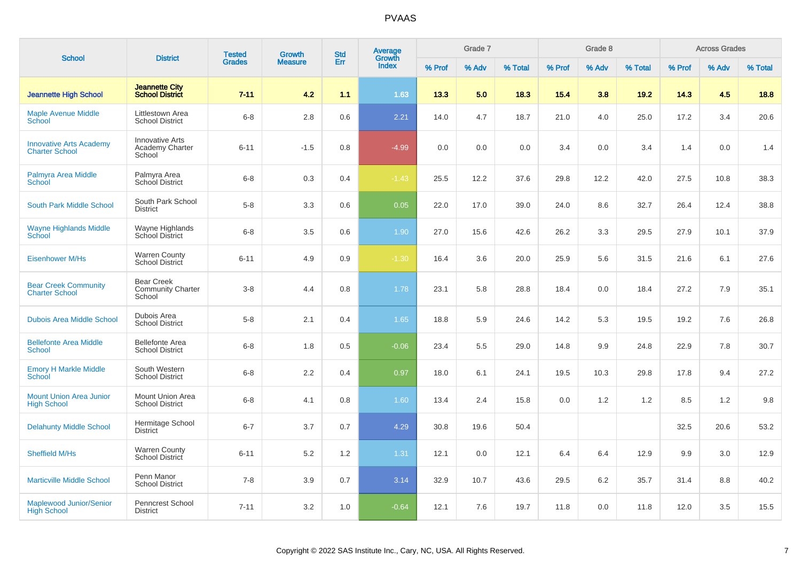| <b>School</b>                                           | <b>District</b>                                         | <b>Tested</b> | <b>Growth</b>  | <b>Std</b> | Average<br>Growth |        | Grade 7 |         |        | Grade 8 |         |        | <b>Across Grades</b> |         |
|---------------------------------------------------------|---------------------------------------------------------|---------------|----------------|------------|-------------------|--------|---------|---------|--------|---------|---------|--------|----------------------|---------|
|                                                         |                                                         | <b>Grades</b> | <b>Measure</b> | Err        | Index             | % Prof | % Adv   | % Total | % Prof | % Adv   | % Total | % Prof | % Adv                | % Total |
| <b>Jeannette High School</b>                            | <b>Jeannette City</b><br><b>School District</b>         | $7 - 11$      | 4.2            | 1.1        | 1.63              | 13.3   | 5.0     | 18.3    | 15.4   | 3.8     | 19.2    | 14.3   | 4.5                  | 18.8    |
| <b>Maple Avenue Middle</b><br>School                    | Littlestown Area<br><b>School District</b>              | $6 - 8$       | 2.8            | 0.6        | 2.21              | 14.0   | 4.7     | 18.7    | 21.0   | 4.0     | 25.0    | 17.2   | 3.4                  | 20.6    |
| <b>Innovative Arts Academy</b><br><b>Charter School</b> | <b>Innovative Arts</b><br>Academy Charter<br>School     | $6 - 11$      | $-1.5$         | 0.8        | $-4.99$           | 0.0    | 0.0     | 0.0     | 3.4    | 0.0     | 3.4     | 1.4    | 0.0                  | 1.4     |
| <b>Palmyra Area Middle</b><br><b>School</b>             | Palmyra Area<br>School District                         | $6 - 8$       | 0.3            | 0.4        | $-1.43$           | 25.5   | 12.2    | 37.6    | 29.8   | 12.2    | 42.0    | 27.5   | 10.8                 | 38.3    |
| South Park Middle School                                | South Park School<br><b>District</b>                    | $5 - 8$       | 3.3            | 0.6        | 0.05              | 22.0   | 17.0    | 39.0    | 24.0   | 8.6     | 32.7    | 26.4   | 12.4                 | 38.8    |
| <b>Wayne Highlands Middle</b><br><b>School</b>          | Wayne Highlands<br>School District                      | $6 - 8$       | 3.5            | 0.6        | 1.90              | 27.0   | 15.6    | 42.6    | 26.2   | 3.3     | 29.5    | 27.9   | 10.1                 | 37.9    |
| <b>Eisenhower M/Hs</b>                                  | <b>Warren County</b><br>School District                 | $6 - 11$      | 4.9            | 0.9        | $-1.30$           | 16.4   | 3.6     | 20.0    | 25.9   | 5.6     | 31.5    | 21.6   | 6.1                  | 27.6    |
| <b>Bear Creek Community</b><br><b>Charter School</b>    | <b>Bear Creek</b><br><b>Community Charter</b><br>School | $3 - 8$       | 4.4            | 0.8        | 1.78              | 23.1   | 5.8     | 28.8    | 18.4   | 0.0     | 18.4    | 27.2   | 7.9                  | 35.1    |
| <b>Dubois Area Middle School</b>                        | Dubois Area<br><b>School District</b>                   | $5 - 8$       | 2.1            | 0.4        | 1.65              | 18.8   | 5.9     | 24.6    | 14.2   | 5.3     | 19.5    | 19.2   | 7.6                  | 26.8    |
| <b>Bellefonte Area Middle</b><br><b>School</b>          | <b>Bellefonte Area</b><br><b>School District</b>        | $6 - 8$       | 1.8            | 0.5        | $-0.06$           | 23.4   | 5.5     | 29.0    | 14.8   | 9.9     | 24.8    | 22.9   | 7.8                  | 30.7    |
| <b>Emory H Markle Middle</b><br>School                  | South Western<br><b>School District</b>                 | $6 - 8$       | 2.2            | 0.4        | 0.97              | 18.0   | 6.1     | 24.1    | 19.5   | 10.3    | 29.8    | 17.8   | 9.4                  | 27.2    |
| <b>Mount Union Area Junior</b><br><b>High School</b>    | Mount Union Area<br><b>School District</b>              | $6 - 8$       | 4.1            | 0.8        | 1.60              | 13.4   | 2.4     | 15.8    | 0.0    | 1.2     | 1.2     | 8.5    | 1.2                  | 9.8     |
| <b>Delahunty Middle School</b>                          | Hermitage School<br><b>District</b>                     | $6 - 7$       | 3.7            | 0.7        | 4.29              | 30.8   | 19.6    | 50.4    |        |         |         | 32.5   | 20.6                 | 53.2    |
| <b>Sheffield M/Hs</b>                                   | <b>Warren County</b><br>School District                 | $6 - 11$      | 5.2            | 1.2        | 1.31              | 12.1   | 0.0     | 12.1    | 6.4    | 6.4     | 12.9    | 9.9    | 3.0                  | 12.9    |
| <b>Marticville Middle School</b>                        | Penn Manor<br><b>School District</b>                    | $7 - 8$       | 3.9            | 0.7        | 3.14              | 32.9   | 10.7    | 43.6    | 29.5   | 6.2     | 35.7    | 31.4   | 8.8                  | 40.2    |
| Maplewood Junior/Senior<br><b>High School</b>           | <b>Penncrest School</b><br><b>District</b>              | $7 - 11$      | 3.2            | 1.0        | $-0.64$           | 12.1   | 7.6     | 19.7    | 11.8   | 0.0     | 11.8    | 12.0   | 3.5                  | 15.5    |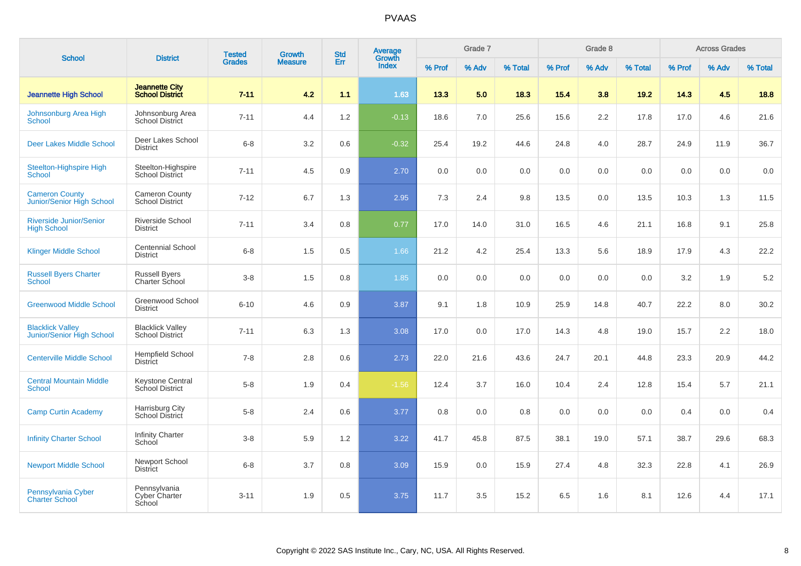| <b>School</b>                                               | <b>District</b>                                 | <b>Tested</b> | Growth         | <b>Std</b> | Average<br>Growth |        | Grade 7 |         |        | Grade 8 |         |        | <b>Across Grades</b> |         |
|-------------------------------------------------------------|-------------------------------------------------|---------------|----------------|------------|-------------------|--------|---------|---------|--------|---------|---------|--------|----------------------|---------|
|                                                             |                                                 | <b>Grades</b> | <b>Measure</b> | Err        | <b>Index</b>      | % Prof | % Adv   | % Total | % Prof | % Adv   | % Total | % Prof | % Adv                | % Total |
| <b>Jeannette High School</b>                                | <b>Jeannette City</b><br><b>School District</b> | $7 - 11$      | 4.2            | 1.1        | 1.63              | 13.3   | 5.0     | 18.3    | 15.4   | 3.8     | 19.2    | 14.3   | 4.5                  | 18.8    |
| Johnsonburg Area High<br>School                             | Johnsonburg Area<br>School District             | $7 - 11$      | 4.4            | 1.2        | $-0.13$           | 18.6   | 7.0     | 25.6    | 15.6   | 2.2     | 17.8    | 17.0   | 4.6                  | 21.6    |
| <b>Deer Lakes Middle School</b>                             | Deer Lakes School<br><b>District</b>            | $6 - 8$       | 3.2            | 0.6        | $-0.32$           | 25.4   | 19.2    | 44.6    | 24.8   | 4.0     | 28.7    | 24.9   | 11.9                 | 36.7    |
| Steelton-Highspire High<br>School                           | Steelton-Highspire<br><b>School District</b>    | $7 - 11$      | 4.5            | 0.9        | 2.70              | 0.0    | 0.0     | 0.0     | 0.0    | 0.0     | 0.0     | 0.0    | 0.0                  | 0.0     |
| <b>Cameron County</b><br>Junior/Senior High School          | <b>Cameron County</b><br><b>School District</b> | $7 - 12$      | 6.7            | 1.3        | 2.95              | 7.3    | 2.4     | 9.8     | 13.5   | 0.0     | 13.5    | 10.3   | 1.3                  | 11.5    |
| <b>Riverside Junior/Senior</b><br><b>High School</b>        | <b>Riverside School</b><br><b>District</b>      | $7 - 11$      | 3.4            | 0.8        | 0.77              | 17.0   | 14.0    | 31.0    | 16.5   | 4.6     | 21.1    | 16.8   | 9.1                  | 25.8    |
| <b>Klinger Middle School</b>                                | <b>Centennial School</b><br><b>District</b>     | $6 - 8$       | 1.5            | 0.5        | 1.66              | 21.2   | 4.2     | 25.4    | 13.3   | 5.6     | 18.9    | 17.9   | 4.3                  | 22.2    |
| <b>Russell Byers Charter</b><br><b>School</b>               | <b>Russell Byers</b><br>Charter School          | $3 - 8$       | 1.5            | 0.8        | 1.85              | 0.0    | 0.0     | 0.0     | 0.0    | 0.0     | 0.0     | 3.2    | 1.9                  | 5.2     |
| <b>Greenwood Middle School</b>                              | Greenwood School<br><b>District</b>             | $6 - 10$      | 4.6            | 0.9        | 3.87              | 9.1    | 1.8     | 10.9    | 25.9   | 14.8    | 40.7    | 22.2   | 8.0                  | 30.2    |
| <b>Blacklick Valley</b><br><b>Junior/Senior High School</b> | <b>Blacklick Valley</b><br>School District      | $7 - 11$      | 6.3            | 1.3        | 3.08              | 17.0   | 0.0     | 17.0    | 14.3   | 4.8     | 19.0    | 15.7   | 2.2                  | 18.0    |
| <b>Centerville Middle School</b>                            | <b>Hempfield School</b><br><b>District</b>      | $7 - 8$       | 2.8            | 0.6        | 2.73              | 22.0   | 21.6    | 43.6    | 24.7   | 20.1    | 44.8    | 23.3   | 20.9                 | 44.2    |
| <b>Central Mountain Middle</b><br><b>School</b>             | <b>Keystone Central</b><br>School District      | $5 - 8$       | 1.9            | 0.4        | $-1.56$           | 12.4   | 3.7     | 16.0    | 10.4   | 2.4     | 12.8    | 15.4   | 5.7                  | 21.1    |
| <b>Camp Curtin Academy</b>                                  | Harrisburg City<br>School District              | $5 - 8$       | 2.4            | 0.6        | 3.77              | 0.8    | 0.0     | 0.8     | 0.0    | 0.0     | 0.0     | 0.4    | 0.0                  | 0.4     |
| <b>Infinity Charter School</b>                              | Infinity Charter<br>School                      | $3 - 8$       | 5.9            | 1.2        | 3.22              | 41.7   | 45.8    | 87.5    | 38.1   | 19.0    | 57.1    | 38.7   | 29.6                 | 68.3    |
| <b>Newport Middle School</b>                                | Newport School<br><b>District</b>               | $6 - 8$       | 3.7            | 0.8        | 3.09              | 15.9   | 0.0     | 15.9    | 27.4   | 4.8     | 32.3    | 22.8   | 4.1                  | 26.9    |
| Pennsylvania Cyber<br><b>Charter School</b>                 | Pennsylvania<br><b>Cyber Charter</b><br>School  | $3 - 11$      | 1.9            | 0.5        | 3.75              | 11.7   | 3.5     | 15.2    | 6.5    | 1.6     | 8.1     | 12.6   | 4.4                  | 17.1    |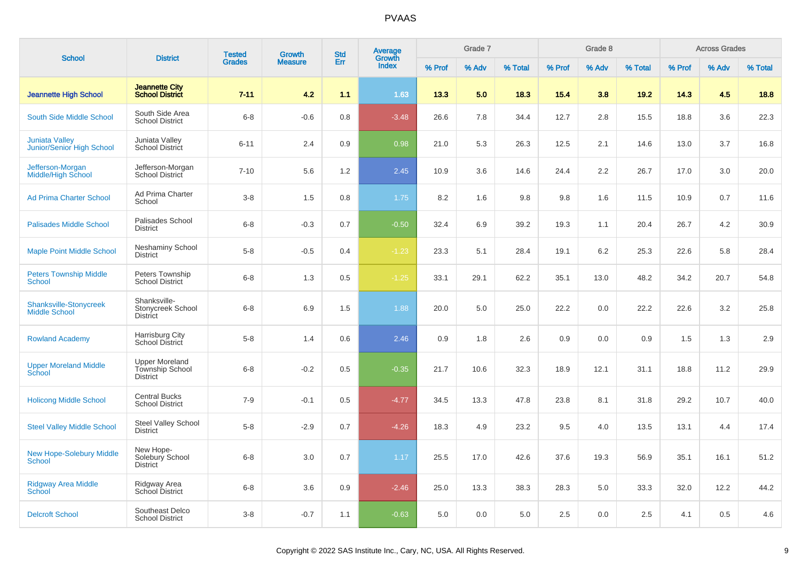| <b>School</b>                                         | <b>District</b>                                                    | <b>Tested</b> | <b>Growth</b>  | <b>Std</b> | Average                |        | Grade 7 |         |        | Grade 8 |         |        | <b>Across Grades</b> |         |
|-------------------------------------------------------|--------------------------------------------------------------------|---------------|----------------|------------|------------------------|--------|---------|---------|--------|---------|---------|--------|----------------------|---------|
|                                                       |                                                                    | <b>Grades</b> | <b>Measure</b> | Err        | Growth<br><b>Index</b> | % Prof | % Adv   | % Total | % Prof | % Adv   | % Total | % Prof | % Adv                | % Total |
| <b>Jeannette High School</b>                          | <b>Jeannette City</b><br><b>School District</b>                    | $7 - 11$      | 4.2            | 1.1        | 1.63                   | 13.3   | 5.0     | 18.3    | 15.4   | 3.8     | 19.2    | 14.3   | 4.5                  | 18.8    |
| South Side Middle School                              | South Side Area<br><b>School District</b>                          | $6 - 8$       | $-0.6$         | 0.8        | $-3.48$                | 26.6   | 7.8     | 34.4    | 12.7   | 2.8     | 15.5    | 18.8   | 3.6                  | 22.3    |
| <b>Juniata Valley</b><br>Junior/Senior High School    | Juniata Valley<br>School District                                  | $6 - 11$      | 2.4            | 0.9        | 0.98                   | 21.0   | 5.3     | 26.3    | 12.5   | 2.1     | 14.6    | 13.0   | 3.7                  | 16.8    |
| Jefferson-Morgan<br>Middle/High School                | Jefferson-Morgan<br>School District                                | $7 - 10$      | 5.6            | 1.2        | 2.45                   | 10.9   | 3.6     | 14.6    | 24.4   | 2.2     | 26.7    | 17.0   | 3.0                  | 20.0    |
| <b>Ad Prima Charter School</b>                        | Ad Prima Charter<br>School                                         | $3 - 8$       | 1.5            | 0.8        | 1.75                   | 8.2    | 1.6     | 9.8     | 9.8    | 1.6     | 11.5    | 10.9   | 0.7                  | 11.6    |
| <b>Palisades Middle School</b>                        | Palisades School<br><b>District</b>                                | $6 - 8$       | $-0.3$         | 0.7        | $-0.50$                | 32.4   | 6.9     | 39.2    | 19.3   | 1.1     | 20.4    | 26.7   | 4.2                  | 30.9    |
| <b>Maple Point Middle School</b>                      | Neshaminy School<br><b>District</b>                                | $5 - 8$       | $-0.5$         | 0.4        | $-1.23$                | 23.3   | 5.1     | 28.4    | 19.1   | 6.2     | 25.3    | 22.6   | 5.8                  | 28.4    |
| <b>Peters Township Middle</b><br><b>School</b>        | Peters Township<br><b>School District</b>                          | $6 - 8$       | 1.3            | 0.5        | $-1.25$                | 33.1   | 29.1    | 62.2    | 35.1   | 13.0    | 48.2    | 34.2   | 20.7                 | 54.8    |
| <b>Shanksville-Stonycreek</b><br><b>Middle School</b> | Shanksville-<br>Stonycreek School<br><b>District</b>               | $6 - 8$       | 6.9            | 1.5        | 1.88                   | 20.0   | 5.0     | 25.0    | 22.2   | 0.0     | 22.2    | 22.6   | 3.2                  | 25.8    |
| <b>Rowland Academy</b>                                | Harrisburg City<br>School District                                 | $5 - 8$       | 1.4            | 0.6        | 2.46                   | 0.9    | 1.8     | 2.6     | 0.9    | 0.0     | 0.9     | 1.5    | 1.3                  | 2.9     |
| <b>Upper Moreland Middle</b><br>School                | <b>Upper Moreland</b><br><b>Township School</b><br><b>District</b> | $6 - 8$       | $-0.2$         | 0.5        | $-0.35$                | 21.7   | 10.6    | 32.3    | 18.9   | 12.1    | 31.1    | 18.8   | 11.2                 | 29.9    |
| <b>Holicong Middle School</b>                         | <b>Central Bucks</b><br><b>School District</b>                     | $7 - 9$       | $-0.1$         | 0.5        | $-4.77$                | 34.5   | 13.3    | 47.8    | 23.8   | 8.1     | 31.8    | 29.2   | 10.7                 | 40.0    |
| <b>Steel Valley Middle School</b>                     | Steel Valley School<br><b>District</b>                             | $5 - 8$       | $-2.9$         | 0.7        | $-4.26$                | 18.3   | 4.9     | 23.2    | 9.5    | 4.0     | 13.5    | 13.1   | 4.4                  | 17.4    |
| <b>New Hope-Solebury Middle</b><br>School             | New Hope-<br>Solebury School<br><b>District</b>                    | $6 - 8$       | 3.0            | 0.7        | 1.17                   | 25.5   | 17.0    | 42.6    | 37.6   | 19.3    | 56.9    | 35.1   | 16.1                 | 51.2    |
| <b>Ridgway Area Middle</b><br><b>School</b>           | Ridgway Area<br>School District                                    | $6 - 8$       | 3.6            | 0.9        | $-2.46$                | 25.0   | 13.3    | 38.3    | 28.3   | 5.0     | 33.3    | 32.0   | 12.2                 | 44.2    |
| <b>Delcroft School</b>                                | Southeast Delco<br><b>School District</b>                          | $3 - 8$       | $-0.7$         | 1.1        | $-0.63$                | 5.0    | 0.0     | 5.0     | 2.5    | 0.0     | 2.5     | 4.1    | 0.5                  | 4.6     |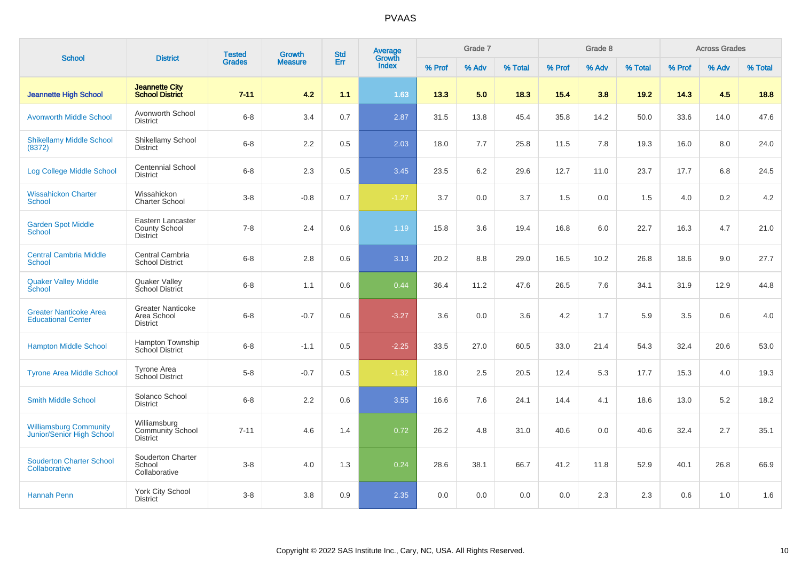|                                                            |                                                              | <b>Tested</b> | Growth         | <b>Std</b> | Average<br>Growth |        | Grade 7 |         |        | Grade 8 |         |        | <b>Across Grades</b> |         |
|------------------------------------------------------------|--------------------------------------------------------------|---------------|----------------|------------|-------------------|--------|---------|---------|--------|---------|---------|--------|----------------------|---------|
| <b>School</b>                                              | <b>District</b>                                              | <b>Grades</b> | <b>Measure</b> | Err        | <b>Index</b>      | % Prof | % Adv   | % Total | % Prof | % Adv   | % Total | % Prof | % Adv                | % Total |
| <b>Jeannette High School</b>                               | <b>Jeannette City</b><br><b>School District</b>              | $7 - 11$      | 4.2            | 1.1        | 1.63              | 13.3   | 5.0     | 18.3    | 15.4   | 3.8     | 19.2    | 14.3   | 4.5                  | 18.8    |
| <b>Avonworth Middle School</b>                             | Avonworth School<br><b>District</b>                          | $6 - 8$       | 3.4            | 0.7        | 2.87              | 31.5   | 13.8    | 45.4    | 35.8   | 14.2    | 50.0    | 33.6   | 14.0                 | 47.6    |
| <b>Shikellamy Middle School</b><br>(8372)                  | Shikellamy School<br><b>District</b>                         | $6 - 8$       | 2.2            | 0.5        | 2.03              | 18.0   | 7.7     | 25.8    | 11.5   | 7.8     | 19.3    | 16.0   | 8.0                  | 24.0    |
| Log College Middle School                                  | Centennial School<br><b>District</b>                         | $6 - 8$       | 2.3            | 0.5        | 3.45              | 23.5   | 6.2     | 29.6    | 12.7   | 11.0    | 23.7    | 17.7   | 6.8                  | 24.5    |
| <b>Wissahickon Charter</b><br><b>School</b>                | Wissahickon<br><b>Charter School</b>                         | $3-8$         | $-0.8$         | 0.7        | $-1.27$           | 3.7    | 0.0     | 3.7     | 1.5    | 0.0     | 1.5     | 4.0    | 0.2                  | 4.2     |
| <b>Garden Spot Middle</b><br><b>School</b>                 | Eastern Lancaster<br><b>County School</b><br><b>District</b> | $7 - 8$       | 2.4            | 0.6        | 1.19              | 15.8   | 3.6     | 19.4    | 16.8   | 6.0     | 22.7    | 16.3   | 4.7                  | 21.0    |
| <b>Central Cambria Middle</b><br><b>School</b>             | Central Cambria<br><b>School District</b>                    | $6 - 8$       | 2.8            | 0.6        | 3.13              | 20.2   | 8.8     | 29.0    | 16.5   | 10.2    | 26.8    | 18.6   | 9.0                  | 27.7    |
| <b>Quaker Valley Middle</b><br><b>School</b>               | Quaker Valley<br><b>School District</b>                      | $6 - 8$       | 1.1            | 0.6        | 0.44              | 36.4   | 11.2    | 47.6    | 26.5   | 7.6     | 34.1    | 31.9   | 12.9                 | 44.8    |
| <b>Greater Nanticoke Area</b><br><b>Educational Center</b> | <b>Greater Nanticoke</b><br>Area School<br><b>District</b>   | $6 - 8$       | $-0.7$         | 0.6        | $-3.27$           | 3.6    | 0.0     | 3.6     | 4.2    | 1.7     | 5.9     | 3.5    | 0.6                  | 4.0     |
| <b>Hampton Middle School</b>                               | Hampton Township<br>School District                          | $6 - 8$       | $-1.1$         | 0.5        | $-2.25$           | 33.5   | 27.0    | 60.5    | 33.0   | 21.4    | 54.3    | 32.4   | 20.6                 | 53.0    |
| <b>Tyrone Area Middle School</b>                           | Tyrone Area<br>School District                               | $5 - 8$       | $-0.7$         | 0.5        | $-1.32$           | 18.0   | 2.5     | 20.5    | 12.4   | 5.3     | 17.7    | 15.3   | 4.0                  | 19.3    |
| <b>Smith Middle School</b>                                 | Solanco School<br><b>District</b>                            | $6 - 8$       | $2.2\,$        | 0.6        | 3.55              | 16.6   | 7.6     | 24.1    | 14.4   | 4.1     | 18.6    | 13.0   | 5.2                  | 18.2    |
| <b>Williamsburg Community</b><br>Junior/Senior High School | Williamsburg<br><b>Community School</b><br><b>District</b>   | $7 - 11$      | 4.6            | 1.4        | 0.72              | 26.2   | 4.8     | 31.0    | 40.6   | 0.0     | 40.6    | 32.4   | 2.7                  | 35.1    |
| <b>Souderton Charter School</b><br>Collaborative           | Souderton Charter<br>School<br>Collaborative                 | $3 - 8$       | 4.0            | 1.3        | 0.24              | 28.6   | 38.1    | 66.7    | 41.2   | 11.8    | 52.9    | 40.1   | 26.8                 | 66.9    |
| <b>Hannah Penn</b>                                         | York City School<br><b>District</b>                          | $3 - 8$       | 3.8            | 0.9        | 2.35              | 0.0    | 0.0     | 0.0     | 0.0    | 2.3     | 2.3     | 0.6    | 1.0                  | 1.6     |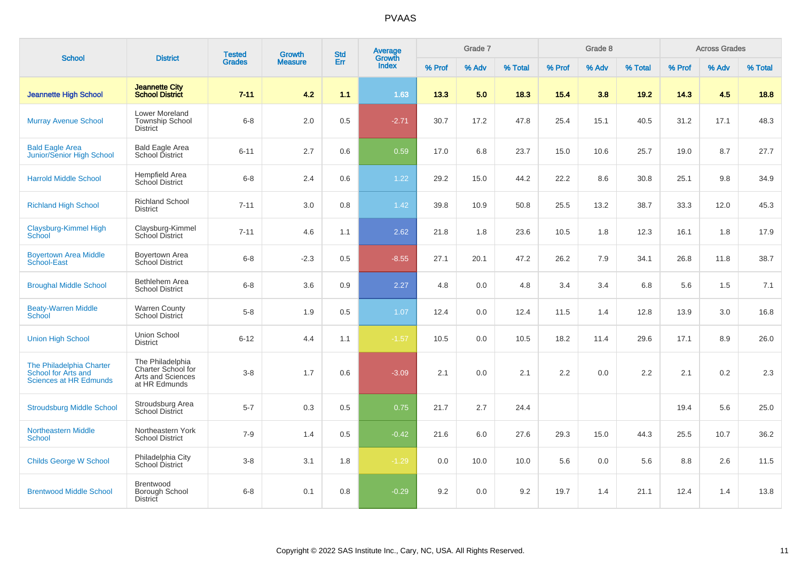| <b>School</b>                                                                    | <b>District</b>                                                              | <b>Tested</b> | Growth         | <b>Std</b> | Average<br>Growth |        | Grade 7 |         |        | Grade 8 |         |        | <b>Across Grades</b> |         |
|----------------------------------------------------------------------------------|------------------------------------------------------------------------------|---------------|----------------|------------|-------------------|--------|---------|---------|--------|---------|---------|--------|----------------------|---------|
|                                                                                  |                                                                              | <b>Grades</b> | <b>Measure</b> | Err        | <b>Index</b>      | % Prof | % Adv   | % Total | % Prof | % Adv   | % Total | % Prof | % Adv                | % Total |
| <b>Jeannette High School</b>                                                     | <b>Jeannette City</b><br><b>School District</b>                              | $7 - 11$      | 4.2            | 1.1        | 1.63              | 13.3   | 5.0     | 18.3    | 15.4   | 3.8     | 19.2    | 14.3   | 4.5                  | 18.8    |
| <b>Murray Avenue School</b>                                                      | Lower Moreland<br><b>Township School</b><br><b>District</b>                  | $6 - 8$       | 2.0            | 0.5        | $-2.71$           | 30.7   | 17.2    | 47.8    | 25.4   | 15.1    | 40.5    | 31.2   | 17.1                 | 48.3    |
| <b>Bald Eagle Area</b><br>Junior/Senior High School                              | <b>Bald Eagle Area</b><br>School District                                    | $6 - 11$      | 2.7            | 0.6        | 0.59              | 17.0   | 6.8     | 23.7    | 15.0   | 10.6    | 25.7    | 19.0   | 8.7                  | 27.7    |
| <b>Harrold Middle School</b>                                                     | Hempfield Area<br>School District                                            | $6 - 8$       | 2.4            | 0.6        | 1.22              | 29.2   | 15.0    | 44.2    | 22.2   | 8.6     | 30.8    | 25.1   | 9.8                  | 34.9    |
| <b>Richland High School</b>                                                      | <b>Richland School</b><br><b>District</b>                                    | $7 - 11$      | $3.0\,$        | 0.8        | 1.42              | 39.8   | 10.9    | 50.8    | 25.5   | 13.2    | 38.7    | 33.3   | 12.0                 | 45.3    |
| Claysburg-Kimmel High<br>School                                                  | Claysburg-Kimmel<br><b>School District</b>                                   | $7 - 11$      | 4.6            | 1.1        | 2.62              | 21.8   | 1.8     | 23.6    | 10.5   | 1.8     | 12.3    | 16.1   | 1.8                  | 17.9    |
| <b>Boyertown Area Middle</b><br><b>School-East</b>                               | Boyertown Area<br><b>School District</b>                                     | $6 - 8$       | $-2.3$         | 0.5        | $-8.55$           | 27.1   | 20.1    | 47.2    | 26.2   | 7.9     | 34.1    | 26.8   | 11.8                 | 38.7    |
| <b>Broughal Middle School</b>                                                    | Bethlehem Area<br><b>School District</b>                                     | $6 - 8$       | 3.6            | 0.9        | 2.27              | 4.8    | 0.0     | 4.8     | 3.4    | 3.4     | 6.8     | 5.6    | 1.5                  | 7.1     |
| <b>Beaty-Warren Middle</b><br><b>School</b>                                      | <b>Warren County</b><br>School District                                      | $5-8$         | 1.9            | 0.5        | 1.07              | 12.4   | 0.0     | 12.4    | 11.5   | 1.4     | 12.8    | 13.9   | 3.0                  | 16.8    |
| <b>Union High School</b>                                                         | Union School<br><b>District</b>                                              | $6 - 12$      | 4.4            | 1.1        | $-1.57$           | 10.5   | 0.0     | 10.5    | 18.2   | 11.4    | 29.6    | 17.1   | 8.9                  | 26.0    |
| The Philadelphia Charter<br>School for Arts and<br><b>Sciences at HR Edmunds</b> | The Philadelphia<br>Charter School for<br>Arts and Sciences<br>at HR Edmunds | $3 - 8$       | 1.7            | 0.6        | $-3.09$           | 2.1    | 0.0     | 2.1     | 2.2    | 0.0     | 2.2     | 2.1    | 0.2                  | 2.3     |
| <b>Stroudsburg Middle School</b>                                                 | Stroudsburg Area<br>School District                                          | $5 - 7$       | 0.3            | 0.5        | 0.75              | 21.7   | 2.7     | 24.4    |        |         |         | 19.4   | 5.6                  | 25.0    |
| <b>Northeastern Middle</b><br><b>School</b>                                      | Northeastern York<br><b>School District</b>                                  | $7 - 9$       | 1.4            | 0.5        | $-0.42$           | 21.6   | 6.0     | 27.6    | 29.3   | 15.0    | 44.3    | 25.5   | 10.7                 | 36.2    |
| <b>Childs George W School</b>                                                    | Philadelphia City<br>School District                                         | $3 - 8$       | 3.1            | 1.8        | $-1.29$           | 0.0    | 10.0    | 10.0    | 5.6    | 0.0     | 5.6     | 8.8    | 2.6                  | 11.5    |
| <b>Brentwood Middle School</b>                                                   | Brentwood<br>Borough School<br><b>District</b>                               | $6 - 8$       | 0.1            | 0.8        | $-0.29$           | 9.2    | 0.0     | 9.2     | 19.7   | 1.4     | 21.1    | 12.4   | 1.4                  | 13.8    |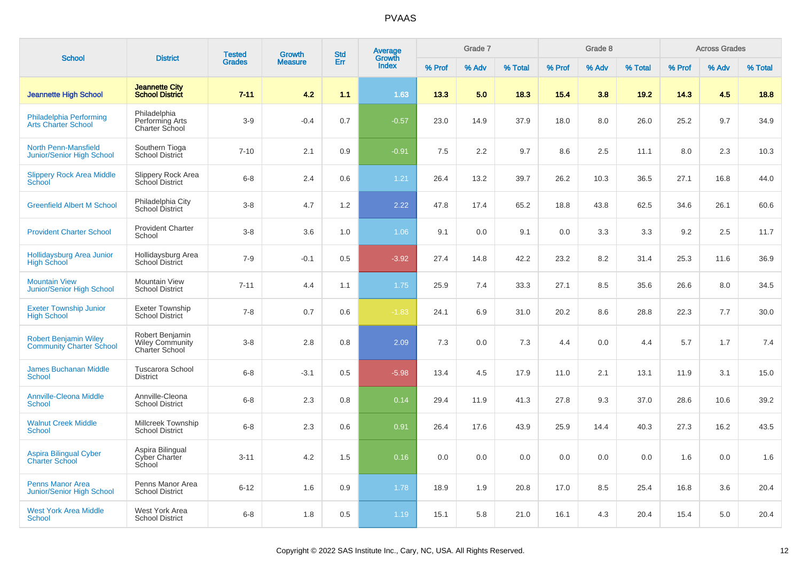| <b>School</b>                                                   | <b>District</b>                                             | <b>Tested</b> | Growth         | <b>Std</b> | <b>Average</b><br>Growth |        | Grade 7 |         |        | Grade 8 |         |        | <b>Across Grades</b> |         |
|-----------------------------------------------------------------|-------------------------------------------------------------|---------------|----------------|------------|--------------------------|--------|---------|---------|--------|---------|---------|--------|----------------------|---------|
|                                                                 |                                                             | <b>Grades</b> | <b>Measure</b> | Err        | Index                    | % Prof | % Adv   | % Total | % Prof | % Adv   | % Total | % Prof | % Adv                | % Total |
| <b>Jeannette High School</b>                                    | <b>Jeannette City</b><br><b>School District</b>             | $7 - 11$      | 4.2            | 1.1        | 1.63                     | 13.3   | 5.0     | 18.3    | 15.4   | 3.8     | 19.2    | 14.3   | 4.5                  | 18.8    |
| Philadelphia Performing<br><b>Arts Charter School</b>           | Philadelphia<br>Performing Arts<br>Charter School           | $3-9$         | $-0.4$         | 0.7        | $-0.57$                  | 23.0   | 14.9    | 37.9    | 18.0   | 8.0     | 26.0    | 25.2   | 9.7                  | 34.9    |
| <b>North Penn-Mansfield</b><br>Junior/Senior High School        | Southern Tioga<br><b>School District</b>                    | $7 - 10$      | 2.1            | 0.9        | $-0.91$                  | 7.5    | 2.2     | 9.7     | 8.6    | 2.5     | 11.1    | 8.0    | 2.3                  | 10.3    |
| <b>Slippery Rock Area Middle</b><br><b>School</b>               | <b>Slippery Rock Area</b><br>School District                | $6 - 8$       | 2.4            | 0.6        | 1.21                     | 26.4   | 13.2    | 39.7    | 26.2   | 10.3    | 36.5    | 27.1   | 16.8                 | 44.0    |
| <b>Greenfield Albert M School</b>                               | Philadelphia City<br>School District                        | $3 - 8$       | 4.7            | 1.2        | 2.22                     | 47.8   | 17.4    | 65.2    | 18.8   | 43.8    | 62.5    | 34.6   | 26.1                 | 60.6    |
| <b>Provident Charter School</b>                                 | <b>Provident Charter</b><br>School                          | $3 - 8$       | 3.6            | 1.0        | 1.06                     | 9.1    | 0.0     | 9.1     | 0.0    | 3.3     | 3.3     | 9.2    | 2.5                  | 11.7    |
| Hollidaysburg Area Junior<br><b>High School</b>                 | Hollidaysburg Area<br>School District                       | $7 - 9$       | $-0.1$         | 0.5        | $-3.92$                  | 27.4   | 14.8    | 42.2    | 23.2   | 8.2     | 31.4    | 25.3   | 11.6                 | 36.9    |
| <b>Mountain View</b><br>Junior/Senior High School               | <b>Mountain View</b><br><b>School District</b>              | $7 - 11$      | 4.4            | 1.1        | 1.75                     | 25.9   | 7.4     | 33.3    | 27.1   | 8.5     | 35.6    | 26.6   | 8.0                  | 34.5    |
| <b>Exeter Township Junior</b><br><b>High School</b>             | <b>Exeter Township</b><br><b>School District</b>            | $7 - 8$       | 0.7            | 0.6        | $-1.83$                  | 24.1   | 6.9     | 31.0    | 20.2   | 8.6     | 28.8    | 22.3   | 7.7                  | 30.0    |
| <b>Robert Benjamin Wiley</b><br><b>Community Charter School</b> | Robert Benjamin<br><b>Wiley Community</b><br>Charter School | $3 - 8$       | 2.8            | 0.8        | 2.09                     | 7.3    | 0.0     | 7.3     | 4.4    | 0.0     | 4.4     | 5.7    | 1.7                  | 7.4     |
| <b>James Buchanan Middle</b><br><b>School</b>                   | <b>Tuscarora School</b><br><b>District</b>                  | $6 - 8$       | $-3.1$         | 0.5        | $-5.98$                  | 13.4   | 4.5     | 17.9    | 11.0   | 2.1     | 13.1    | 11.9   | 3.1                  | 15.0    |
| <b>Annville-Cleona Middle</b><br><b>School</b>                  | Annville-Cleona<br><b>School District</b>                   | $6 - 8$       | 2.3            | 0.8        | 0.14                     | 29.4   | 11.9    | 41.3    | 27.8   | 9.3     | 37.0    | 28.6   | 10.6                 | 39.2    |
| <b>Walnut Creek Middle</b><br><b>School</b>                     | Millcreek Township<br><b>School District</b>                | $6 - 8$       | 2.3            | 0.6        | 0.91                     | 26.4   | 17.6    | 43.9    | 25.9   | 14.4    | 40.3    | 27.3   | 16.2                 | 43.5    |
| <b>Aspira Bilingual Cyber</b><br><b>Charter School</b>          | Aspira Bilingual<br>Cyber Charter<br>School                 | $3 - 11$      | 4.2            | 1.5        | 0.16                     | 0.0    | 0.0     | 0.0     | 0.0    | 0.0     | 0.0     | 1.6    | 0.0                  | 1.6     |
| <b>Penns Manor Area</b><br>Junior/Senior High School            | Penns Manor Area<br><b>School District</b>                  | $6 - 12$      | 1.6            | 0.9        | 1.78                     | 18.9   | 1.9     | 20.8    | 17.0   | 8.5     | 25.4    | 16.8   | 3.6                  | 20.4    |
| <b>West York Area Middle</b><br>School                          | West York Area<br><b>School District</b>                    | $6 - 8$       | 1.8            | 0.5        | 1.19                     | 15.1   | 5.8     | 21.0    | 16.1   | 4.3     | 20.4    | 15.4   | 5.0                  | 20.4    |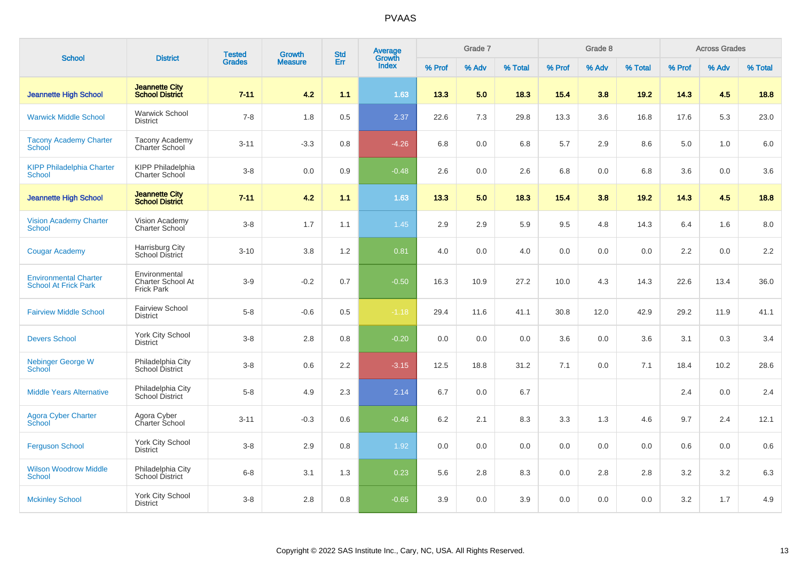| <b>School</b>                                               | <b>District</b>                                         | <b>Tested</b> | Growth         | <b>Std</b> | Average<br>Growth |        | Grade 7 |         |        | Grade 8 |         |        | <b>Across Grades</b> |         |
|-------------------------------------------------------------|---------------------------------------------------------|---------------|----------------|------------|-------------------|--------|---------|---------|--------|---------|---------|--------|----------------------|---------|
|                                                             |                                                         | <b>Grades</b> | <b>Measure</b> | Err        | Index             | % Prof | % Adv   | % Total | % Prof | % Adv   | % Total | % Prof | % Adv                | % Total |
| <b>Jeannette High School</b>                                | <b>Jeannette City</b><br><b>School District</b>         | $7 - 11$      | 4.2            | 1.1        | 1.63              | 13.3   | 5.0     | 18.3    | 15.4   | 3.8     | 19.2    | 14.3   | 4.5                  | 18.8    |
| <b>Warwick Middle School</b>                                | <b>Warwick School</b><br><b>District</b>                | $7 - 8$       | 1.8            | 0.5        | 2.37              | 22.6   | 7.3     | 29.8    | 13.3   | 3.6     | 16.8    | 17.6   | 5.3                  | 23.0    |
| <b>Tacony Academy Charter</b><br>School                     | <b>Tacony Academy</b><br><b>Charter School</b>          | $3 - 11$      | $-3.3$         | 0.8        | $-4.26$           | 6.8    | 0.0     | 6.8     | 5.7    | 2.9     | 8.6     | 5.0    | 1.0                  | 6.0     |
| <b>KIPP Philadelphia Charter</b><br><b>School</b>           | <b>KIPP Philadelphia</b><br>Charter School              | $3 - 8$       | $0.0\,$        | 0.9        | $-0.48$           | 2.6    | 0.0     | 2.6     | 6.8    | 0.0     | 6.8     | 3.6    | 0.0                  | 3.6     |
| <b>Jeannette High School</b>                                | <b>Jeannette City</b><br><b>School District</b>         | $7 - 11$      | 4.2            | 1.1        | 1.63              | 13.3   | 5.0     | 18.3    | 15.4   | 3.8     | 19.2    | 14.3   | 4.5                  | 18.8    |
| <b>Vision Academy Charter</b><br>School                     | Vision Academy<br><b>Charter School</b>                 | $3 - 8$       | 1.7            | 1.1        | 1.45              | 2.9    | 2.9     | 5.9     | 9.5    | 4.8     | 14.3    | 6.4    | 1.6                  | 8.0     |
| <b>Cougar Academy</b>                                       | <b>Harrisburg City</b><br>School District               | $3 - 10$      | 3.8            | 1.2        | 0.81              | 4.0    | 0.0     | 4.0     | 0.0    | 0.0     | 0.0     | 2.2    | 0.0                  | 2.2     |
| <b>Environmental Charter</b><br><b>School At Frick Park</b> | Environmental<br>Charter School At<br><b>Frick Park</b> | $3-9$         | $-0.2$         | 0.7        | $-0.50$           | 16.3   | 10.9    | 27.2    | 10.0   | 4.3     | 14.3    | 22.6   | 13.4                 | 36.0    |
| <b>Fairview Middle School</b>                               | <b>Fairview School</b><br><b>District</b>               | $5 - 8$       | $-0.6$         | 0.5        | $-1.18$           | 29.4   | 11.6    | 41.1    | 30.8   | 12.0    | 42.9    | 29.2   | 11.9                 | 41.1    |
| <b>Devers School</b>                                        | <b>York City School</b><br><b>District</b>              | $3-8$         | 2.8            | 0.8        | $-0.20$           | 0.0    | 0.0     | 0.0     | 3.6    | 0.0     | 3.6     | 3.1    | 0.3                  | 3.4     |
| Nebinger George W<br>School                                 | Philadelphia City<br>School District                    | $3-8$         | 0.6            | $2.2\,$    | $-3.15$           | 12.5   | 18.8    | 31.2    | 7.1    | 0.0     | 7.1     | 18.4   | 10.2                 | 28.6    |
| <b>Middle Years Alternative</b>                             | Philadelphia City<br>School District                    | $5 - 8$       | 4.9            | 2.3        | 2.14              | 6.7    | 0.0     | 6.7     |        |         |         | 2.4    | 0.0                  | 2.4     |
| Agora Cyber Charter<br>School                               | Agora Cyber<br>Charter School                           | $3 - 11$      | $-0.3$         | 0.6        | $-0.46$           | 6.2    | 2.1     | 8.3     | 3.3    | 1.3     | 4.6     | 9.7    | 2.4                  | 12.1    |
| <b>Ferguson School</b>                                      | York City School<br><b>District</b>                     | $3 - 8$       | 2.9            | 0.8        | 1.92              | 0.0    | 0.0     | 0.0     | 0.0    | 0.0     | 0.0     | 0.6    | 0.0                  | 0.6     |
| <b>Wilson Woodrow Middle</b><br><b>School</b>               | Philadelphia City<br><b>School District</b>             | $6 - 8$       | 3.1            | 1.3        | 0.23              | 5.6    | 2.8     | 8.3     | 0.0    | 2.8     | 2.8     | 3.2    | 3.2                  | 6.3     |
| <b>Mckinley School</b>                                      | <b>York City School</b><br><b>District</b>              | $3 - 8$       | 2.8            | 0.8        | $-0.65$           | 3.9    | 0.0     | 3.9     | 0.0    | 0.0     | 0.0     | 3.2    | 1.7                  | 4.9     |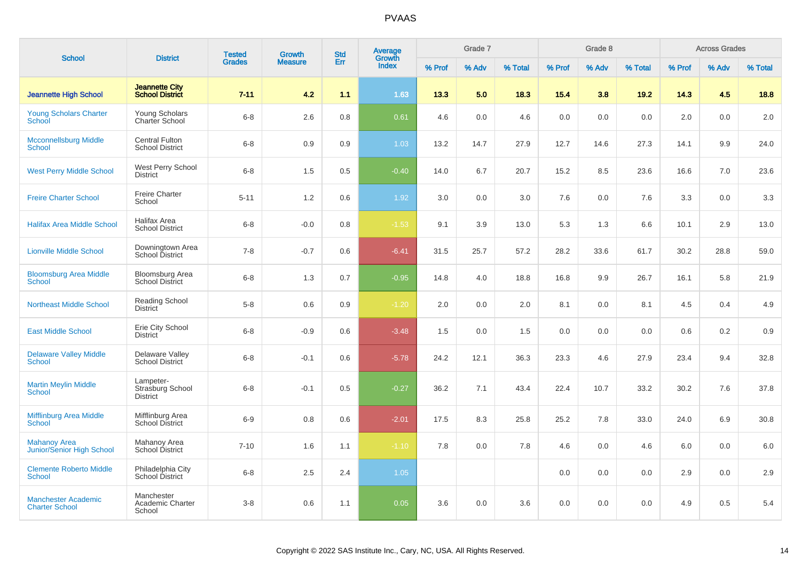| <b>School</b>                                       | <b>District</b>                                  | <b>Tested</b> | <b>Growth</b>  | <b>Std</b> | Average<br>Growth |        | Grade 7 |         |        | Grade 8 |         |        | <b>Across Grades</b> |         |
|-----------------------------------------------------|--------------------------------------------------|---------------|----------------|------------|-------------------|--------|---------|---------|--------|---------|---------|--------|----------------------|---------|
|                                                     |                                                  | <b>Grades</b> | <b>Measure</b> | Err        | <b>Index</b>      | % Prof | % Adv   | % Total | % Prof | % Adv   | % Total | % Prof | % Adv                | % Total |
| <b>Jeannette High School</b>                        | <b>Jeannette City</b><br><b>School District</b>  | $7 - 11$      | 4.2            | 1.1        | 1.63              | 13.3   | 5.0     | 18.3    | 15.4   | 3.8     | 19.2    | 14.3   | 4.5                  | 18.8    |
| <b>Young Scholars Charter</b><br><b>School</b>      | Young Scholars<br><b>Charter School</b>          | $6 - 8$       | 2.6            | 0.8        | 0.61              | 4.6    | 0.0     | 4.6     | 0.0    | 0.0     | 0.0     | 2.0    | 0.0                  | 2.0     |
| <b>Mcconnellsburg Middle</b><br><b>School</b>       | <b>Central Fulton</b><br><b>School District</b>  | $6 - 8$       | 0.9            | 0.9        | 1.03              | 13.2   | 14.7    | 27.9    | 12.7   | 14.6    | 27.3    | 14.1   | 9.9                  | 24.0    |
| <b>West Perry Middle School</b>                     | West Perry School<br><b>District</b>             | $6 - 8$       | 1.5            | 0.5        | $-0.40$           | 14.0   | 6.7     | 20.7    | 15.2   | 8.5     | 23.6    | 16.6   | 7.0                  | 23.6    |
| <b>Freire Charter School</b>                        | <b>Freire Charter</b><br>School                  | $5 - 11$      | 1.2            | 0.6        | 1.92              | 3.0    | 0.0     | 3.0     | 7.6    | 0.0     | 7.6     | 3.3    | 0.0                  | 3.3     |
| <b>Halifax Area Middle School</b>                   | Halifax Area<br><b>School District</b>           | $6 - 8$       | $-0.0$         | 0.8        | $-1.53$           | 9.1    | 3.9     | 13.0    | 5.3    | 1.3     | 6.6     | 10.1   | 2.9                  | 13.0    |
| <b>Lionville Middle School</b>                      | Downingtown Area<br>School District              | $7 - 8$       | $-0.7$         | 0.6        | $-6.41$           | 31.5   | 25.7    | 57.2    | 28.2   | 33.6    | 61.7    | 30.2   | 28.8                 | 59.0    |
| <b>Bloomsburg Area Middle</b><br><b>School</b>      | <b>Bloomsburg Area</b><br><b>School District</b> | $6 - 8$       | 1.3            | 0.7        | $-0.95$           | 14.8   | 4.0     | 18.8    | 16.8   | 9.9     | 26.7    | 16.1   | 5.8                  | 21.9    |
| <b>Northeast Middle School</b>                      | <b>Reading School</b><br><b>District</b>         | $5 - 8$       | 0.6            | 0.9        | $-1.20$           | 2.0    | 0.0     | 2.0     | 8.1    | 0.0     | 8.1     | 4.5    | 0.4                  | 4.9     |
| <b>East Middle School</b>                           | Erie City School<br><b>District</b>              | $6 - 8$       | $-0.9$         | 0.6        | $-3.48$           | 1.5    | 0.0     | 1.5     | 0.0    | 0.0     | 0.0     | 0.6    | 0.2                  | 0.9     |
| <b>Delaware Valley Middle</b><br>School             | Delaware Valley<br><b>School District</b>        | $6 - 8$       | $-0.1$         | 0.6        | $-5.78$           | 24.2   | 12.1    | 36.3    | 23.3   | 4.6     | 27.9    | 23.4   | 9.4                  | 32.8    |
| <b>Martin Meylin Middle</b><br><b>School</b>        | Lampeter-<br>Strasburg School<br><b>District</b> | $6 - 8$       | $-0.1$         | 0.5        | $-0.27$           | 36.2   | 7.1     | 43.4    | 22.4   | 10.7    | 33.2    | 30.2   | 7.6                  | 37.8    |
| <b>Mifflinburg Area Middle</b><br><b>School</b>     | Mifflinburg Area<br><b>School District</b>       | $6 - 9$       | 0.8            | 0.6        | $-2.01$           | 17.5   | 8.3     | 25.8    | 25.2   | 7.8     | 33.0    | 24.0   | 6.9                  | 30.8    |
| <b>Mahanoy Area</b><br>Junior/Senior High School    | Mahanoy Area<br><b>School District</b>           | $7 - 10$      | 1.6            | 1.1        | $-1.10$           | 7.8    | 0.0     | 7.8     | 4.6    | 0.0     | 4.6     | 6.0    | 0.0                  | 6.0     |
| <b>Clemente Roberto Middle</b><br><b>School</b>     | Philadelphia City<br>School District             | $6 - 8$       | 2.5            | 2.4        | 1.05              |        |         |         | 0.0    | 0.0     | 0.0     | 2.9    | 0.0                  | 2.9     |
| <b>Manchester Academic</b><br><b>Charter School</b> | Manchester<br>Academic Charter<br>School         | $3 - 8$       | 0.6            | 1.1        | 0.05              | 3.6    | 0.0     | 3.6     | 0.0    | 0.0     | 0.0     | 4.9    | 0.5                  | 5.4     |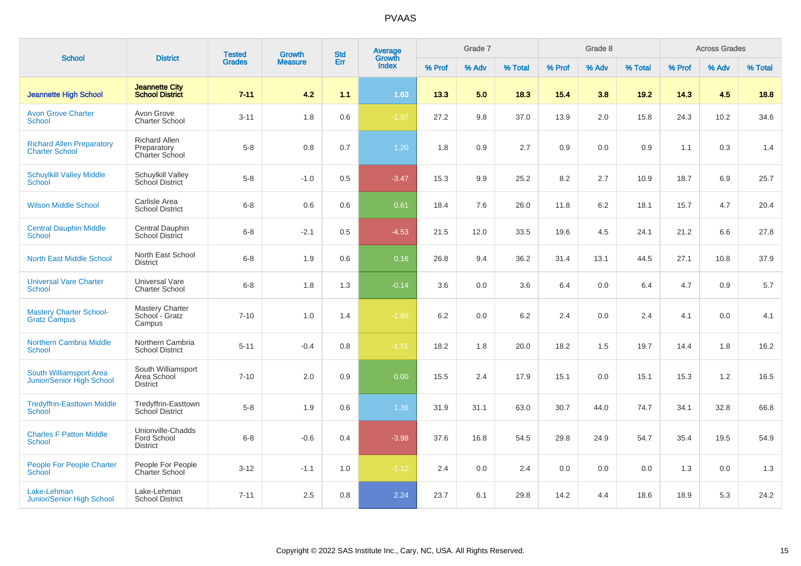| <b>School</b>                                               | <b>District</b>                                       | <b>Tested</b> | Growth         | <b>Std</b> | Average<br>Growth |        | Grade 7 |         |        | Grade 8 |         |        | <b>Across Grades</b> |         |
|-------------------------------------------------------------|-------------------------------------------------------|---------------|----------------|------------|-------------------|--------|---------|---------|--------|---------|---------|--------|----------------------|---------|
|                                                             |                                                       | <b>Grades</b> | <b>Measure</b> | Err        | <b>Index</b>      | % Prof | % Adv   | % Total | % Prof | % Adv   | % Total | % Prof | % Adv                | % Total |
| <b>Jeannette High School</b>                                | <b>Jeannette City</b><br><b>School District</b>       | $7 - 11$      | 4.2            | 1.1        | 1.63              | 13.3   | 5.0     | 18.3    | 15.4   | 3.8     | 19.2    | 14.3   | 4.5                  | 18.8    |
| <b>Avon Grove Charter</b><br><b>School</b>                  | Avon Grove<br><b>Charter School</b>                   | $3 - 11$      | 1.8            | 0.6        | $-1.97$           | 27.2   | 9.8     | 37.0    | 13.9   | 2.0     | 15.8    | 24.3   | 10.2                 | 34.6    |
| <b>Richard Allen Preparatory</b><br><b>Charter School</b>   | <b>Richard Allen</b><br>Preparatory<br>Charter School | $5 - 8$       | 0.8            | 0.7        | 1.20              | 1.8    | 0.9     | 2.7     | 0.9    | 0.0     | 0.9     | 1.1    | 0.3                  | 1.4     |
| <b>Schuylkill Valley Middle</b><br><b>School</b>            | Schuylkill Valley<br>School District                  | $5 - 8$       | $-1.0$         | 0.5        | $-3.47$           | 15.3   | 9.9     | 25.2    | 8.2    | 2.7     | 10.9    | 18.7   | 6.9                  | 25.7    |
| <b>Wilson Middle School</b>                                 | Carlisle Area<br><b>School District</b>               | $6 - 8$       | 0.6            | 0.6        | 0.61              | 18.4   | 7.6     | 26.0    | 11.8   | 6.2     | 18.1    | 15.7   | 4.7                  | 20.4    |
| <b>Central Dauphin Middle</b><br><b>School</b>              | Central Dauphin<br><b>School District</b>             | $6 - 8$       | $-2.1$         | 0.5        | $-4.53$           | 21.5   | 12.0    | 33.5    | 19.6   | 4.5     | 24.1    | 21.2   | 6.6                  | 27.8    |
| <b>North East Middle School</b>                             | North East School<br><b>District</b>                  | $6 - 8$       | 1.9            | 0.6        | 0.16              | 26.8   | 9.4     | 36.2    | 31.4   | 13.1    | 44.5    | 27.1   | 10.8                 | 37.9    |
| <b>Universal Vare Charter</b><br><b>School</b>              | Universal Vare<br><b>Charter School</b>               | $6 - 8$       | 1.8            | 1.3        | $-0.14$           | 3.6    | 0.0     | 3.6     | 6.4    | 0.0     | 6.4     | 4.7    | 0.9                  | 5.7     |
| <b>Mastery Charter School-</b><br><b>Gratz Campus</b>       | <b>Mastery Charter</b><br>School - Gratz<br>Campus    | $7 - 10$      | 1.0            | 1.4        | $-1.85$           | 6.2    | 0.0     | 6.2     | 2.4    | 0.0     | 2.4     | 4.1    | 0.0                  | 4.1     |
| <b>Northern Cambria Middle</b><br><b>School</b>             | Northern Cambria<br><b>School District</b>            | $5 - 11$      | $-0.4$         | 0.8        | $-1.51$           | 18.2   | 1.8     | 20.0    | 18.2   | 1.5     | 19.7    | 14.4   | 1.8                  | 16.2    |
| South Williamsport Area<br><b>Junior/Senior High School</b> | South Williamsport<br>Area School<br><b>District</b>  | $7 - 10$      | 2.0            | 0.9        | 0.00              | 15.5   | 2.4     | 17.9    | 15.1   | 0.0     | 15.1    | 15.3   | 1.2                  | 16.5    |
| <b>Tredyffrin-Easttown Middle</b><br>School                 | Tredyffrin-Easttown<br>School District                | $5 - 8$       | 1.9            | 0.6        | 1.36              | 31.9   | 31.1    | 63.0    | 30.7   | 44.0    | 74.7    | 34.1   | 32.8                 | 66.8    |
| <b>Charles F Patton Middle</b><br><b>School</b>             | Unionville-Chadds<br>Ford School<br><b>District</b>   | $6 - 8$       | $-0.6$         | 0.4        | $-3.98$           | 37.6   | 16.8    | 54.5    | 29.8   | 24.9    | 54.7    | 35.4   | 19.5                 | 54.9    |
| <b>People For People Charter</b><br><b>School</b>           | People For People<br>Charter School                   | $3 - 12$      | $-1.1$         | 1.0        | $-1.12$           | 2.4    | 0.0     | 2.4     | 0.0    | 0.0     | 0.0     | 1.3    | 0.0                  | 1.3     |
| Lake-Lehman<br>Junior/Senior High School                    | Lake-Lehman<br><b>School District</b>                 | $7 - 11$      | 2.5            | 0.8        | 2.24              | 23.7   | 6.1     | 29.8    | 14.2   | 4.4     | 18.6    | 18.9   | 5.3                  | 24.2    |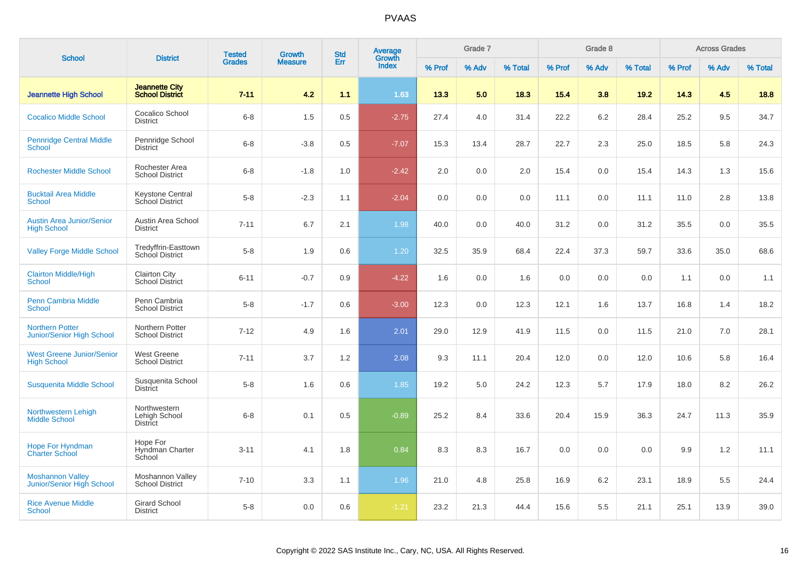| <b>School</b>                                              | <b>District</b>                                 | <b>Tested</b> | Growth         | <b>Std</b> | Average<br>Growth |        | Grade 7 |         |        | Grade 8 |         |        | <b>Across Grades</b> |         |
|------------------------------------------------------------|-------------------------------------------------|---------------|----------------|------------|-------------------|--------|---------|---------|--------|---------|---------|--------|----------------------|---------|
|                                                            |                                                 | <b>Grades</b> | <b>Measure</b> | Err        | <b>Index</b>      | % Prof | % Adv   | % Total | % Prof | % Adv   | % Total | % Prof | % Adv                | % Total |
| <b>Jeannette High School</b>                               | <b>Jeannette City</b><br><b>School District</b> | $7 - 11$      | 4.2            | 1.1        | 1.63              | 13.3   | 5.0     | 18.3    | 15.4   | 3.8     | 19.2    | 14.3   | 4.5                  | 18.8    |
| <b>Cocalico Middle School</b>                              | Cocalico School<br><b>District</b>              | $6 - 8$       | 1.5            | 0.5        | $-2.75$           | 27.4   | 4.0     | 31.4    | 22.2   | 6.2     | 28.4    | 25.2   | 9.5                  | 34.7    |
| <b>Pennridge Central Middle</b><br><b>School</b>           | Pennridge School<br><b>District</b>             | $6 - 8$       | $-3.8$         | 0.5        | $-7.07$           | 15.3   | 13.4    | 28.7    | 22.7   | 2.3     | 25.0    | 18.5   | 5.8                  | 24.3    |
| <b>Rochester Middle School</b>                             | Rochester Area<br><b>School District</b>        | $6 - 8$       | $-1.8$         | 1.0        | $-2.42$           | 2.0    | 0.0     | 2.0     | 15.4   | 0.0     | 15.4    | 14.3   | 1.3                  | 15.6    |
| <b>Bucktail Area Middle</b><br><b>School</b>               | Keystone Central<br>School District             | $5 - 8$       | $-2.3$         | 1.1        | $-2.04$           | 0.0    | 0.0     | 0.0     | 11.1   | 0.0     | 11.1    | 11.0   | 2.8                  | 13.8    |
| <b>Austin Area Junior/Senior</b><br><b>High School</b>     | Austin Area School<br><b>District</b>           | $7 - 11$      | 6.7            | 2.1        | 1.98              | 40.0   | 0.0     | 40.0    | 31.2   | 0.0     | 31.2    | 35.5   | 0.0                  | 35.5    |
| <b>Valley Forge Middle School</b>                          | Tredyffrin-Easttown<br>School District          | $5 - 8$       | 1.9            | 0.6        | 1.20              | 32.5   | 35.9    | 68.4    | 22.4   | 37.3    | 59.7    | 33.6   | 35.0                 | 68.6    |
| <b>Clairton Middle/High</b><br><b>School</b>               | <b>Clairton City</b><br><b>School District</b>  | $6 - 11$      | $-0.7$         | 0.9        | $-4.22$           | 1.6    | 0.0     | 1.6     | 0.0    | 0.0     | 0.0     | 1.1    | 0.0                  | 1.1     |
| <b>Penn Cambria Middle</b><br><b>School</b>                | Penn Cambria<br><b>School District</b>          | $5 - 8$       | $-1.7$         | 0.6        | $-3.00$           | 12.3   | 0.0     | 12.3    | 12.1   | 1.6     | 13.7    | 16.8   | 1.4                  | 18.2    |
| <b>Northern Potter</b><br><b>Junior/Senior High School</b> | Northern Potter<br><b>School District</b>       | $7 - 12$      | 4.9            | 1.6        | 2.01              | 29.0   | 12.9    | 41.9    | 11.5   | 0.0     | 11.5    | 21.0   | 7.0                  | 28.1    |
| <b>West Greene Junior/Senior</b><br><b>High School</b>     | West Greene<br><b>School District</b>           | $7 - 11$      | 3.7            | 1.2        | 2.08              | 9.3    | 11.1    | 20.4    | 12.0   | 0.0     | 12.0    | 10.6   | 5.8                  | 16.4    |
| <b>Susquenita Middle School</b>                            | Susquenita School<br><b>District</b>            | $5 - 8$       | 1.6            | 0.6        | 1.85              | 19.2   | 5.0     | 24.2    | 12.3   | 5.7     | 17.9    | 18.0   | 8.2                  | 26.2    |
| Northwestern Lehigh<br><b>Middle School</b>                | Northwestern<br>Lehigh School<br>District       | $6 - 8$       | 0.1            | 0.5        | $-0.89$           | 25.2   | 8.4     | 33.6    | 20.4   | 15.9    | 36.3    | 24.7   | 11.3                 | 35.9    |
| <b>Hope For Hyndman</b><br><b>Charter School</b>           | Hope For<br>Hyndman Charter<br>School           | $3 - 11$      | 4.1            | 1.8        | 0.84              | 8.3    | 8.3     | 16.7    | 0.0    | 0.0     | 0.0     | 9.9    | 1.2                  | 11.1    |
| <b>Moshannon Valley</b><br>Junior/Senior High School       | Moshannon Valley<br><b>School District</b>      | $7 - 10$      | 3.3            | 1.1        | 1.96              | 21.0   | 4.8     | 25.8    | 16.9   | 6.2     | 23.1    | 18.9   | 5.5                  | 24.4    |
| <b>Rice Avenue Middle</b><br><b>School</b>                 | <b>Girard School</b><br><b>District</b>         | $5 - 8$       | 0.0            | 0.6        | $-1.21$           | 23.2   | 21.3    | 44.4    | 15.6   | 5.5     | 21.1    | 25.1   | 13.9                 | 39.0    |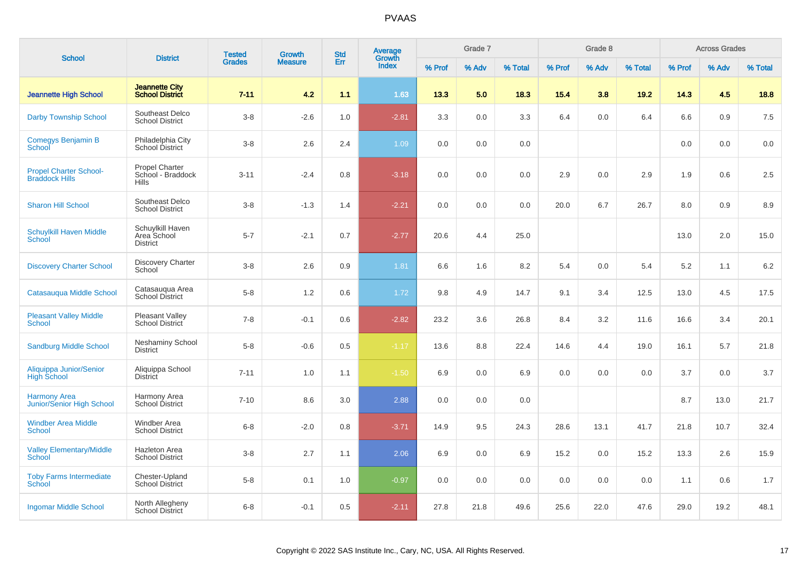| <b>School</b>                                          | <b>District</b>                                     | <b>Tested</b> | <b>Growth</b>  | <b>Std</b> | <b>Average</b><br>Growth |        | Grade 7 |         |        | Grade 8 |         |        | <b>Across Grades</b> |         |
|--------------------------------------------------------|-----------------------------------------------------|---------------|----------------|------------|--------------------------|--------|---------|---------|--------|---------|---------|--------|----------------------|---------|
|                                                        |                                                     | <b>Grades</b> | <b>Measure</b> | Err        | Index                    | % Prof | % Adv   | % Total | % Prof | % Adv   | % Total | % Prof | % Adv                | % Total |
| <b>Jeannette High School</b>                           | <b>Jeannette City</b><br><b>School District</b>     | $7 - 11$      | 4.2            | 1.1        | 1.63                     | 13.3   | 5.0     | 18.3    | 15.4   | 3.8     | 19.2    | 14.3   | 4.5                  | 18.8    |
| Darby Township School                                  | Southeast Delco<br><b>School District</b>           | $3 - 8$       | $-2.6$         | 1.0        | $-2.81$                  | 3.3    | 0.0     | 3.3     | 6.4    | 0.0     | 6.4     | 6.6    | 0.9                  | 7.5     |
| Comegys Benjamin B<br>School                           | Philadelphia City<br>School District                | $3 - 8$       | 2.6            | 2.4        | 1.09                     | 0.0    | 0.0     | 0.0     |        |         |         | 0.0    | 0.0                  | 0.0     |
| <b>Propel Charter School-</b><br><b>Braddock Hills</b> | <b>Propel Charter</b><br>School - Braddock<br>Hills | $3 - 11$      | $-2.4$         | 0.8        | $-3.18$                  | 0.0    | 0.0     | 0.0     | 2.9    | 0.0     | 2.9     | 1.9    | 0.6                  | 2.5     |
| <b>Sharon Hill School</b>                              | Southeast Delco<br><b>School District</b>           | $3 - 8$       | $-1.3$         | 1.4        | $-2.21$                  | 0.0    | 0.0     | 0.0     | 20.0   | 6.7     | 26.7    | 8.0    | 0.9                  | 8.9     |
| <b>Schuylkill Haven Middle</b><br><b>School</b>        | Schuylkill Haven<br>Area School<br><b>District</b>  | $5 - 7$       | $-2.1$         | 0.7        | $-2.77$                  | 20.6   | 4.4     | 25.0    |        |         |         | 13.0   | 2.0                  | 15.0    |
| <b>Discovery Charter School</b>                        | <b>Discovery Charter</b><br>School                  | $3 - 8$       | 2.6            | 0.9        | 1.81                     | 6.6    | 1.6     | 8.2     | 5.4    | 0.0     | 5.4     | 5.2    | 1.1                  | 6.2     |
| <b>Catasauqua Middle School</b>                        | Catasauqua Area<br><b>School District</b>           | $5-8$         | 1.2            | 0.6        | 1.72                     | 9.8    | 4.9     | 14.7    | 9.1    | 3.4     | 12.5    | 13.0   | 4.5                  | 17.5    |
| <b>Pleasant Valley Middle</b><br>School                | <b>Pleasant Valley</b><br>School District           | $7 - 8$       | $-0.1$         | 0.6        | $-2.82$                  | 23.2   | 3.6     | 26.8    | 8.4    | 3.2     | 11.6    | 16.6   | 3.4                  | 20.1    |
| <b>Sandburg Middle School</b>                          | Neshaminy School<br><b>District</b>                 | $5-8$         | $-0.6$         | 0.5        | $-1.17$                  | 13.6   | 8.8     | 22.4    | 14.6   | 4.4     | 19.0    | 16.1   | 5.7                  | 21.8    |
| Aliquippa Junior/Senior<br><b>High School</b>          | Aliquippa School<br><b>District</b>                 | $7 - 11$      | 1.0            | 1.1        | $-1.50$                  | 6.9    | 0.0     | 6.9     | 0.0    | 0.0     | 0.0     | 3.7    | 0.0                  | 3.7     |
| <b>Harmony Area</b><br>Junior/Senior High School       | Harmony Area<br>School District                     | $7 - 10$      | 8.6            | 3.0        | 2.88                     | 0.0    | 0.0     | 0.0     |        |         |         | 8.7    | 13.0                 | 21.7    |
| <b>Windber Area Middle</b><br><b>School</b>            | <b>Windber Area</b><br><b>School District</b>       | $6 - 8$       | $-2.0$         | 0.8        | $-3.71$                  | 14.9   | 9.5     | 24.3    | 28.6   | 13.1    | 41.7    | 21.8   | 10.7                 | 32.4    |
| <b>Valley Elementary/Middle</b><br>School              | <b>Hazleton Area</b><br><b>School District</b>      | $3 - 8$       | 2.7            | 1.1        | 2.06                     | 6.9    | 0.0     | 6.9     | 15.2   | 0.0     | 15.2    | 13.3   | 2.6                  | 15.9    |
| <b>Toby Farms Intermediate</b><br>School               | Chester-Upland<br>School District                   | $5-8$         | 0.1            | 1.0        | $-0.97$                  | 0.0    | 0.0     | 0.0     | 0.0    | 0.0     | 0.0     | 1.1    | 0.6                  | 1.7     |
| <b>Ingomar Middle School</b>                           | North Allegheny<br><b>School District</b>           | $6 - 8$       | $-0.1$         | 0.5        | $-2.11$                  | 27.8   | 21.8    | 49.6    | 25.6   | 22.0    | 47.6    | 29.0   | 19.2                 | 48.1    |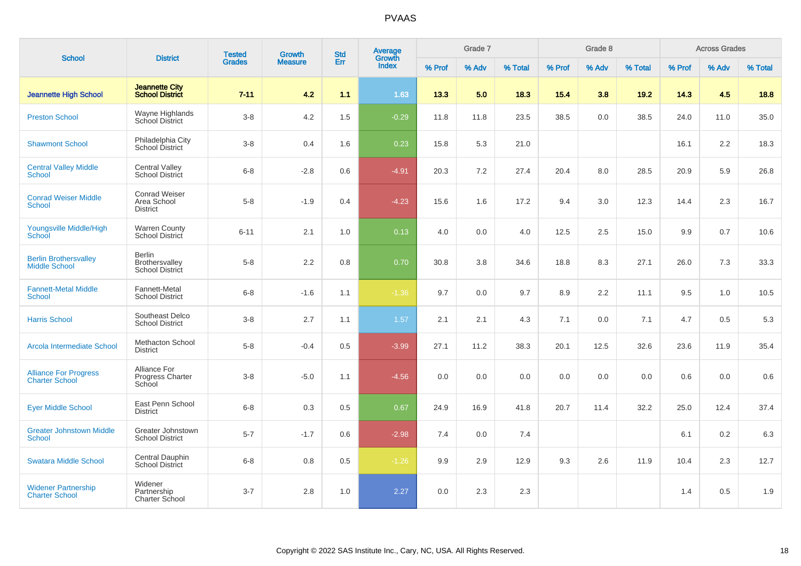|                                                       |                                                           | <b>Tested</b> | <b>Growth</b>  | <b>Std</b> | Average<br>Growth |        | Grade 7 |         |        | Grade 8 |         |        | <b>Across Grades</b> |         |
|-------------------------------------------------------|-----------------------------------------------------------|---------------|----------------|------------|-------------------|--------|---------|---------|--------|---------|---------|--------|----------------------|---------|
| <b>School</b>                                         | <b>District</b>                                           | <b>Grades</b> | <b>Measure</b> | Err        | <b>Index</b>      | % Prof | % Adv   | % Total | % Prof | % Adv   | % Total | % Prof | % Adv                | % Total |
| <b>Jeannette High School</b>                          | <b>Jeannette City</b><br><b>School District</b>           | $7 - 11$      | 4.2            | 1.1        | 1.63              | 13.3   | 5.0     | 18.3    | 15.4   | 3.8     | 19.2    | 14.3   | 4.5                  | 18.8    |
| <b>Preston School</b>                                 | Wayne Highlands<br>School District                        | $3-8$         | 4.2            | 1.5        | $-0.29$           | 11.8   | 11.8    | 23.5    | 38.5   | 0.0     | 38.5    | 24.0   | 11.0                 | 35.0    |
| <b>Shawmont School</b>                                | Philadelphia City<br>School District                      | $3-8$         | 0.4            | 1.6        | 0.23              | 15.8   | 5.3     | 21.0    |        |         |         | 16.1   | 2.2                  | 18.3    |
| <b>Central Valley Middle</b><br><b>School</b>         | <b>Central Valley</b><br><b>School District</b>           | $6 - 8$       | $-2.8$         | 0.6        | $-4.91$           | 20.3   | 7.2     | 27.4    | 20.4   | 8.0     | 28.5    | 20.9   | 5.9                  | 26.8    |
| <b>Conrad Weiser Middle</b><br><b>School</b>          | <b>Conrad Weiser</b><br>Area School<br><b>District</b>    | $5-8$         | $-1.9$         | 0.4        | $-4.23$           | 15.6   | 1.6     | 17.2    | 9.4    | 3.0     | 12.3    | 14.4   | 2.3                  | 16.7    |
| Youngsville Middle/High<br>School                     | <b>Warren County</b><br>School District                   | $6 - 11$      | 2.1            | 1.0        | 0.13              | 4.0    | 0.0     | 4.0     | 12.5   | 2.5     | 15.0    | 9.9    | 0.7                  | 10.6    |
| <b>Berlin Brothersvalley</b><br><b>Middle School</b>  | <b>Berlin</b><br>Brothersvalley<br><b>School District</b> | $5 - 8$       | 2.2            | 0.8        | 0.70              | 30.8   | 3.8     | 34.6    | 18.8   | 8.3     | 27.1    | 26.0   | 7.3                  | 33.3    |
| <b>Fannett-Metal Middle</b><br><b>School</b>          | Fannett-Metal<br><b>School District</b>                   | $6-8$         | $-1.6$         | 1.1        | $-1.36$           | 9.7    | 0.0     | 9.7     | 8.9    | 2.2     | 11.1    | 9.5    | 1.0                  | 10.5    |
| <b>Harris School</b>                                  | Southeast Delco<br><b>School District</b>                 | $3-8$         | 2.7            | 1.1        | 1.57              | 2.1    | 2.1     | 4.3     | 7.1    | 0.0     | 7.1     | 4.7    | 0.5                  | 5.3     |
| Arcola Intermediate School                            | <b>Methacton School</b><br><b>District</b>                | $5 - 8$       | $-0.4$         | 0.5        | $-3.99$           | 27.1   | 11.2    | 38.3    | 20.1   | 12.5    | 32.6    | 23.6   | 11.9                 | 35.4    |
| <b>Alliance For Progress</b><br><b>Charter School</b> | Alliance For<br><b>Progress Charter</b><br>School         | $3-8$         | $-5.0$         | 1.1        | $-4.56$           | 0.0    | 0.0     | 0.0     | 0.0    | 0.0     | 0.0     | 0.6    | 0.0                  | 0.6     |
| <b>Eyer Middle School</b>                             | East Penn School<br><b>District</b>                       | $6 - 8$       | 0.3            | 0.5        | 0.67              | 24.9   | 16.9    | 41.8    | 20.7   | 11.4    | 32.2    | 25.0   | 12.4                 | 37.4    |
| <b>Greater Johnstown Middle</b><br><b>School</b>      | Greater Johnstown<br><b>School District</b>               | $5 - 7$       | $-1.7$         | 0.6        | $-2.98$           | 7.4    | 0.0     | 7.4     |        |         |         | 6.1    | 0.2                  | 6.3     |
| <b>Swatara Middle School</b>                          | Central Dauphin<br><b>School District</b>                 | $6 - 8$       | 0.8            | 0.5        | $-1.26$           | 9.9    | 2.9     | 12.9    | 9.3    | 2.6     | 11.9    | 10.4   | 2.3                  | 12.7    |
| <b>Widener Partnership</b><br><b>Charter School</b>   | Widener<br>Partnership<br>Charter School                  | $3 - 7$       | $2.8$          | 1.0        | 2.27              | 0.0    | 2.3     | 2.3     |        |         |         | 1.4    | 0.5                  | 1.9     |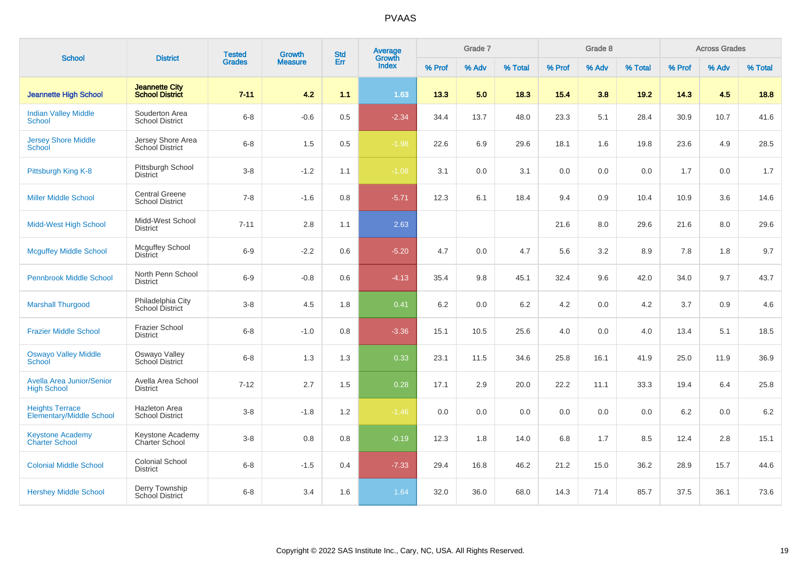| <b>School</b>                                             | <b>District</b>                                 | <b>Tested</b> | Growth         | <b>Std</b> | Average<br>Growth |        | Grade 7 |         |        | Grade 8 |         |        | <b>Across Grades</b> |         |
|-----------------------------------------------------------|-------------------------------------------------|---------------|----------------|------------|-------------------|--------|---------|---------|--------|---------|---------|--------|----------------------|---------|
|                                                           |                                                 | <b>Grades</b> | <b>Measure</b> | Err        | <b>Index</b>      | % Prof | % Adv   | % Total | % Prof | % Adv   | % Total | % Prof | % Adv                | % Total |
| <b>Jeannette High School</b>                              | <b>Jeannette City</b><br><b>School District</b> | $7 - 11$      | 4.2            | 1.1        | 1.63              | 13.3   | 5.0     | 18.3    | 15.4   | 3.8     | 19.2    | 14.3   | 4.5                  | 18.8    |
| <b>Indian Valley Middle</b><br><b>School</b>              | Souderton Area<br><b>School District</b>        | $6 - 8$       | $-0.6$         | 0.5        | $-2.34$           | 34.4   | 13.7    | 48.0    | 23.3   | 5.1     | 28.4    | 30.9   | 10.7                 | 41.6    |
| <b>Jersey Shore Middle</b><br>School                      | Jersey Shore Area<br>School District            | $6 - 8$       | 1.5            | 0.5        | $-1.98$           | 22.6   | 6.9     | 29.6    | 18.1   | 1.6     | 19.8    | 23.6   | 4.9                  | 28.5    |
| Pittsburgh King K-8                                       | Pittsburgh School<br><b>District</b>            | $3 - 8$       | $-1.2$         | 1.1        | $-1.08$           | 3.1    | 0.0     | 3.1     | 0.0    | 0.0     | 0.0     | 1.7    | 0.0                  | 1.7     |
| <b>Miller Middle School</b>                               | <b>Central Greene</b><br><b>School District</b> | $7 - 8$       | $-1.6$         | 0.8        | $-5.71$           | 12.3   | 6.1     | 18.4    | 9.4    | 0.9     | 10.4    | 10.9   | 3.6                  | 14.6    |
| <b>Midd-West High School</b>                              | Midd-West School<br><b>District</b>             | $7 - 11$      | 2.8            | 1.1        | 2.63              |        |         |         | 21.6   | 8.0     | 29.6    | 21.6   | 8.0                  | 29.6    |
| <b>Mcguffey Middle School</b>                             | Mcguffey School<br><b>District</b>              | $6-9$         | $-2.2$         | 0.6        | $-5.20$           | 4.7    | 0.0     | 4.7     | 5.6    | 3.2     | 8.9     | 7.8    | 1.8                  | 9.7     |
| <b>Pennbrook Middle School</b>                            | North Penn School<br><b>District</b>            | $6 - 9$       | $-0.8$         | 0.6        | $-4.13$           | 35.4   | 9.8     | 45.1    | 32.4   | 9.6     | 42.0    | 34.0   | 9.7                  | 43.7    |
| <b>Marshall Thurgood</b>                                  | Philadelphia City<br>School District            | $3 - 8$       | 4.5            | 1.8        | 0.41              | 6.2    | 0.0     | 6.2     | 4.2    | 0.0     | 4.2     | 3.7    | 0.9                  | 4.6     |
| <b>Frazier Middle School</b>                              | <b>Frazier School</b><br><b>District</b>        | $6 - 8$       | $-1.0$         | 0.8        | $-3.36$           | 15.1   | 10.5    | 25.6    | 4.0    | 0.0     | 4.0     | 13.4   | 5.1                  | 18.5    |
| <b>Oswayo Valley Middle</b><br><b>School</b>              | Oswayo Valley<br>School District                | $6 - 8$       | 1.3            | 1.3        | 0.33              | 23.1   | 11.5    | 34.6    | 25.8   | 16.1    | 41.9    | 25.0   | 11.9                 | 36.9    |
| <b>Avella Area Junior/Senior</b><br><b>High School</b>    | Avella Area School<br><b>District</b>           | $7 - 12$      | 2.7            | 1.5        | 0.28              | 17.1   | 2.9     | 20.0    | 22.2   | 11.1    | 33.3    | 19.4   | 6.4                  | 25.8    |
| <b>Heights Terrace</b><br><b>Elementary/Middle School</b> | <b>Hazleton Area</b><br><b>School District</b>  | $3 - 8$       | $-1.8$         | 1.2        | $-1.46$           | 0.0    | 0.0     | 0.0     | 0.0    | 0.0     | 0.0     | 6.2    | 0.0                  | 6.2     |
| <b>Keystone Academy</b><br><b>Charter School</b>          | Keystone Academy<br>Charter School              | $3 - 8$       | 0.8            | 0.8        | $-0.19$           | 12.3   | 1.8     | 14.0    | 6.8    | 1.7     | 8.5     | 12.4   | 2.8                  | 15.1    |
| <b>Colonial Middle School</b>                             | <b>Colonial School</b><br><b>District</b>       | $6 - 8$       | $-1.5$         | 0.4        | $-7.33$           | 29.4   | 16.8    | 46.2    | 21.2   | 15.0    | 36.2    | 28.9   | 15.7                 | 44.6    |
| <b>Hershey Middle School</b>                              | Derry Township<br>School District               | $6 - 8$       | 3.4            | 1.6        | 1.64              | 32.0   | 36.0    | 68.0    | 14.3   | 71.4    | 85.7    | 37.5   | 36.1                 | 73.6    |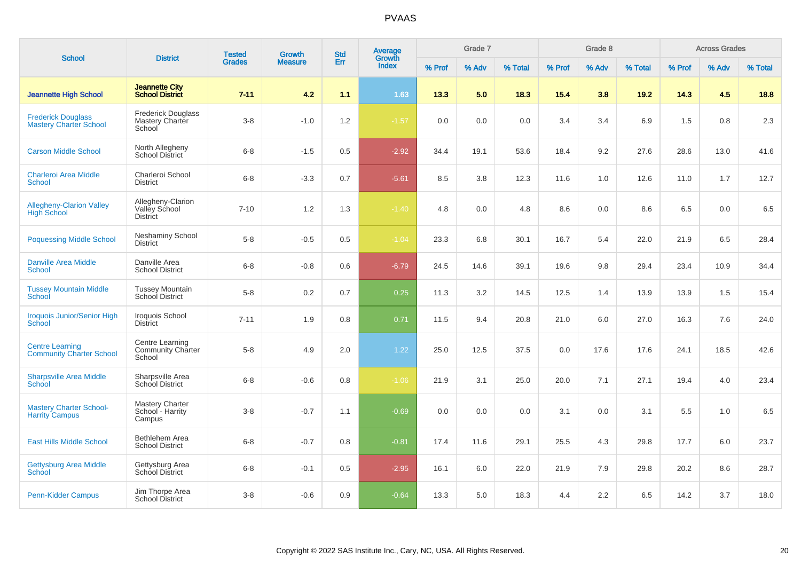| <b>School</b>                                              | <b>District</b>                                        | <b>Tested</b> | Growth         | <b>Std</b> | Average<br>Growth |        | Grade 7 |         |        | Grade 8 |         |        | <b>Across Grades</b> |         |
|------------------------------------------------------------|--------------------------------------------------------|---------------|----------------|------------|-------------------|--------|---------|---------|--------|---------|---------|--------|----------------------|---------|
|                                                            |                                                        | <b>Grades</b> | <b>Measure</b> | Err        | Index             | % Prof | % Adv   | % Total | % Prof | % Adv   | % Total | % Prof | % Adv                | % Total |
| <b>Jeannette High School</b>                               | <b>Jeannette City</b><br><b>School District</b>        | $7 - 11$      | 4.2            | 1.1        | 1.63              | 13.3   | 5.0     | 18.3    | 15.4   | 3.8     | 19.2    | 14.3   | 4.5                  | 18.8    |
| <b>Frederick Douglass</b><br><b>Mastery Charter School</b> | <b>Frederick Douglass</b><br>Mastery Charter<br>School | $3 - 8$       | $-1.0$         | 1.2        | $-1.57$           | 0.0    | 0.0     | 0.0     | 3.4    | 3.4     | 6.9     | 1.5    | 0.8                  | 2.3     |
| <b>Carson Middle School</b>                                | North Allegheny<br>School District                     | $6 - 8$       | $-1.5$         | 0.5        | $-2.92$           | 34.4   | 19.1    | 53.6    | 18.4   | 9.2     | 27.6    | 28.6   | 13.0                 | 41.6    |
| <b>Charleroi Area Middle</b><br><b>School</b>              | Charleroi School<br><b>District</b>                    | $6 - 8$       | $-3.3$         | 0.7        | $-5.61$           | 8.5    | 3.8     | 12.3    | 11.6   | 1.0     | 12.6    | 11.0   | 1.7                  | 12.7    |
| <b>Allegheny-Clarion Valley</b><br><b>High School</b>      | Allegheny-Clarion<br>Valley School<br><b>District</b>  | $7 - 10$      | 1.2            | 1.3        | $-1.40$           | 4.8    | 0.0     | 4.8     | 8.6    | 0.0     | 8.6     | 6.5    | 0.0                  | 6.5     |
| <b>Poquessing Middle School</b>                            | Neshaminy School<br><b>District</b>                    | $5 - 8$       | $-0.5$         | 0.5        | $-1.04$           | 23.3   | 6.8     | 30.1    | 16.7   | 5.4     | 22.0    | 21.9   | 6.5                  | 28.4    |
| <b>Danville Area Middle</b><br><b>School</b>               | Danville Area<br><b>School District</b>                | $6 - 8$       | $-0.8$         | 0.6        | $-6.79$           | 24.5   | 14.6    | 39.1    | 19.6   | 9.8     | 29.4    | 23.4   | 10.9                 | 34.4    |
| <b>Tussey Mountain Middle</b><br>School                    | <b>Tussey Mountain</b><br>School District              | $5 - 8$       | 0.2            | 0.7        | 0.25              | 11.3   | 3.2     | 14.5    | 12.5   | 1.4     | 13.9    | 13.9   | 1.5                  | 15.4    |
| <b>Iroquois Junior/Senior High</b><br><b>School</b>        | Iroquois School<br><b>District</b>                     | $7 - 11$      | 1.9            | 0.8        | 0.71              | 11.5   | 9.4     | 20.8    | 21.0   | 6.0     | 27.0    | 16.3   | 7.6                  | 24.0    |
| <b>Centre Learning</b><br><b>Community Charter School</b>  | Centre Learning<br>Community Charter<br>School         | $5 - 8$       | 4.9            | 2.0        | 1.22              | 25.0   | 12.5    | 37.5    | 0.0    | 17.6    | 17.6    | 24.1   | 18.5                 | 42.6    |
| <b>Sharpsville Area Middle</b><br><b>School</b>            | Sharpsville Area<br><b>School District</b>             | $6 - 8$       | $-0.6$         | 0.8        | $-1.06$           | 21.9   | 3.1     | 25.0    | 20.0   | 7.1     | 27.1    | 19.4   | 4.0                  | 23.4    |
| <b>Mastery Charter School-</b><br><b>Harrity Campus</b>    | <b>Mastery Charter</b><br>School - Harrity<br>Campus   | $3 - 8$       | $-0.7$         | 1.1        | $-0.69$           | 0.0    | 0.0     | 0.0     | 3.1    | 0.0     | 3.1     | 5.5    | 1.0                  | 6.5     |
| <b>East Hills Middle School</b>                            | Bethlehem Area<br><b>School District</b>               | $6 - 8$       | $-0.7$         | 0.8        | $-0.81$           | 17.4   | 11.6    | 29.1    | 25.5   | 4.3     | 29.8    | 17.7   | 6.0                  | 23.7    |
| <b>Gettysburg Area Middle</b><br>School                    | Gettysburg Area<br><b>School District</b>              | $6 - 8$       | $-0.1$         | 0.5        | $-2.95$           | 16.1   | 6.0     | 22.0    | 21.9   | 7.9     | 29.8    | 20.2   | 8.6                  | 28.7    |
| <b>Penn-Kidder Campus</b>                                  | Jim Thorpe Area<br><b>School District</b>              | $3 - 8$       | $-0.6$         | 0.9        | $-0.64$           | 13.3   | 5.0     | 18.3    | 4.4    | 2.2     | 6.5     | 14.2   | 3.7                  | 18.0    |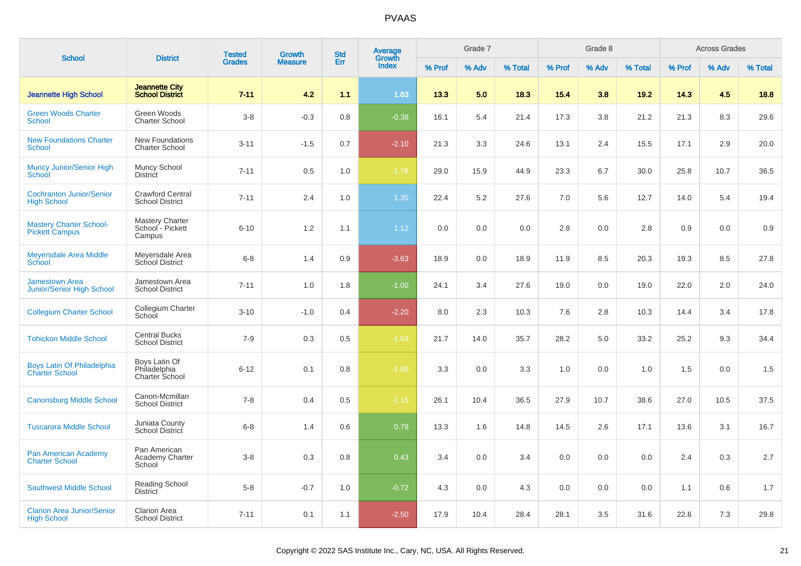|                                                            |                                                      | <b>Tested</b> | <b>Growth</b>  | <b>Std</b> | Average         |        | Grade 7 |         |        | Grade 8 |         |        | <b>Across Grades</b> |         |
|------------------------------------------------------------|------------------------------------------------------|---------------|----------------|------------|-----------------|--------|---------|---------|--------|---------|---------|--------|----------------------|---------|
| <b>School</b>                                              | <b>District</b>                                      | <b>Grades</b> | <b>Measure</b> | Err        | Growth<br>Index | % Prof | % Adv   | % Total | % Prof | % Adv   | % Total | % Prof | % Adv                | % Total |
| <b>Jeannette High School</b>                               | <b>Jeannette City</b><br><b>School District</b>      | $7 - 11$      | 4.2            | 1.1        | 1.63            | 13.3   | 5.0     | 18.3    | 15.4   | 3.8     | 19.2    | 14.3   | 4.5                  | 18.8    |
| <b>Green Woods Charter</b><br><b>School</b>                | Green Woods<br><b>Charter School</b>                 | $3 - 8$       | $-0.3$         | 0.8        | $-0.38$         | 16.1   | 5.4     | 21.4    | 17.3   | 3.8     | 21.2    | 21.3   | 8.3                  | 29.6    |
| <b>New Foundations Charter</b><br><b>School</b>            | <b>New Foundations</b><br><b>Charter School</b>      | $3 - 11$      | $-1.5$         | 0.7        | $-2.10$         | 21.3   | 3.3     | 24.6    | 13.1   | 2.4     | 15.5    | 17.1   | 2.9                  | 20.0    |
| Muncy Junior/Senior High<br>School                         | Muncy School<br><b>District</b>                      | $7 - 11$      | 0.5            | 1.0        | $-1.76$         | 29.0   | 15.9    | 44.9    | 23.3   | 6.7     | 30.0    | 25.8   | 10.7                 | 36.5    |
| <b>Cochranton Junior/Senior</b><br><b>High School</b>      | <b>Crawford Central</b><br><b>School District</b>    | $7 - 11$      | 2.4            | 1.0        | 1.35            | 22.4   | 5.2     | 27.6    | 7.0    | 5.6     | 12.7    | 14.0   | 5.4                  | 19.4    |
| <b>Mastery Charter School-</b><br><b>Pickett Campus</b>    | <b>Mastery Charter</b><br>School - Pickett<br>Campus | $6 - 10$      | 1.2            | 1.1        | 1.12            | 0.0    | 0.0     | 0.0     | 2.8    | 0.0     | 2.8     | 0.9    | 0.0                  | 0.9     |
| <b>Meyersdale Area Middle</b><br><b>School</b>             | Meyersdale Area<br>School District                   | $6 - 8$       | 1.4            | 0.9        | $-3.63$         | 18.9   | 0.0     | 18.9    | 11.9   | 8.5     | 20.3    | 19.3   | 8.5                  | 27.8    |
| <b>Jamestown Area</b><br>Junior/Senior High School         | Jamestown Area<br><b>School District</b>             | $7 - 11$      | 1.0            | 1.8        | $-1.00$         | 24.1   | 3.4     | 27.6    | 19.0   | 0.0     | 19.0    | 22.0   | 2.0                  | 24.0    |
| <b>Collegium Charter School</b>                            | Collegium Charter<br>School                          | $3 - 10$      | $-1.0$         | 0.4        | $-2.20$         | 8.0    | 2.3     | 10.3    | 7.6    | 2.8     | 10.3    | 14.4   | 3.4                  | 17.8    |
| <b>Tohickon Middle School</b>                              | <b>Central Bucks</b><br><b>School District</b>       | $7 - 9$       | 0.3            | 0.5        | $-1.63$         | 21.7   | 14.0    | 35.7    | 28.2   | 5.0     | 33.2    | 25.2   | 9.3                  | 34.4    |
| <b>Boys Latin Of Philadelphia</b><br><b>Charter School</b> | Boys Latin Of<br>Philadelphia<br>Charter School      | $6 - 12$      | 0.1            | 0.8        | $-1.69$         | 3.3    | 0.0     | 3.3     | 1.0    | 0.0     | 1.0     | 1.5    | 0.0                  | 1.5     |
| <b>Canonsburg Middle School</b>                            | Canon-Mcmillan<br><b>School District</b>             | $7 - 8$       | 0.4            | 0.5        | $-1.16$         | 26.1   | 10.4    | 36.5    | 27.9   | 10.7    | 38.6    | 27.0   | 10.5                 | 37.5    |
| <b>Tuscarora Middle School</b>                             | Juniata County<br>School District                    | $6 - 8$       | 1.4            | 0.6        | 0.79            | 13.3   | 1.6     | 14.8    | 14.5   | 2.6     | 17.1    | 13.6   | 3.1                  | 16.7    |
| Pan American Academy<br><b>Charter School</b>              | Pan American<br>Academy Charter<br>School            | $3 - 8$       | 0.3            | 0.8        | 0.43            | 3.4    | 0.0     | 3.4     | 0.0    | 0.0     | 0.0     | 2.4    | 0.3                  | 2.7     |
| <b>Southwest Middle School</b>                             | Reading School<br><b>District</b>                    | $5 - 8$       | $-0.7$         | 1.0        | $-0.72$         | 4.3    | 0.0     | 4.3     | 0.0    | 0.0     | 0.0     | 1.1    | 0.6                  | 1.7     |
| <b>Clarion Area Junior/Senior</b><br><b>High School</b>    | <b>Clarion Area</b><br><b>School District</b>        | $7 - 11$      | 0.1            | 1.1        | $-2.50$         | 17.9   | 10.4    | 28.4    | 28.1   | 3.5     | 31.6    | 22.6   | 7.3                  | 29.8    |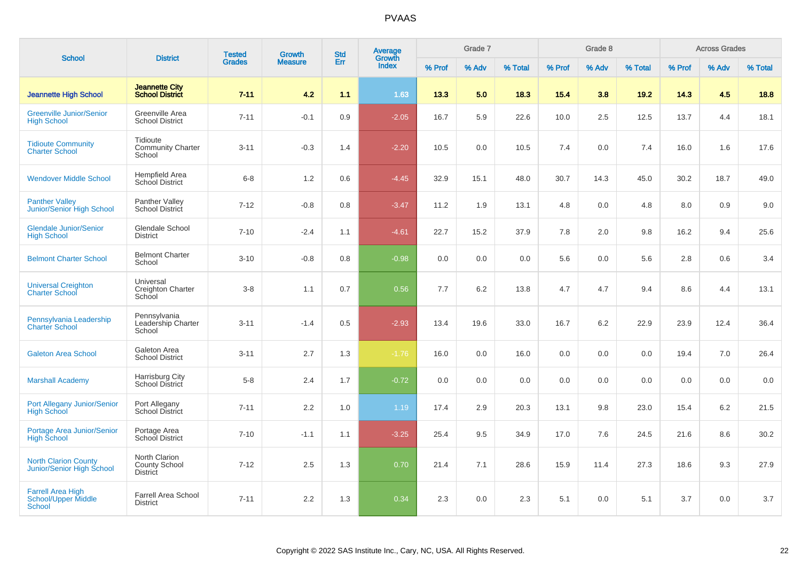| <b>School</b>                                                           | <b>District</b>                                          | <b>Tested</b> | Growth         | <b>Std</b> | <b>Average</b><br>Growth |        | Grade 7 |         |        | Grade 8 |         |        | <b>Across Grades</b> |         |
|-------------------------------------------------------------------------|----------------------------------------------------------|---------------|----------------|------------|--------------------------|--------|---------|---------|--------|---------|---------|--------|----------------------|---------|
|                                                                         |                                                          | <b>Grades</b> | <b>Measure</b> | Err        | <b>Index</b>             | % Prof | % Adv   | % Total | % Prof | % Adv   | % Total | % Prof | % Adv                | % Total |
| <b>Jeannette High School</b>                                            | <b>Jeannette City</b><br><b>School District</b>          | $7 - 11$      | 4.2            | 1.1        | 1.63                     | 13.3   | 5.0     | 18.3    | 15.4   | 3.8     | 19.2    | 14.3   | 4.5                  | 18.8    |
| <b>Greenville Junior/Senior</b><br><b>High School</b>                   | Greenville Area<br><b>School District</b>                | $7 - 11$      | $-0.1$         | 0.9        | $-2.05$                  | 16.7   | 5.9     | 22.6    | 10.0   | 2.5     | 12.5    | 13.7   | 4.4                  | 18.1    |
| <b>Tidioute Community</b><br><b>Charter School</b>                      | Tidioute<br><b>Community Charter</b><br>School           | $3 - 11$      | $-0.3$         | 1.4        | $-2.20$                  | 10.5   | 0.0     | 10.5    | 7.4    | 0.0     | 7.4     | 16.0   | 1.6                  | 17.6    |
| <b>Wendover Middle School</b>                                           | Hempfield Area<br>School District                        | $6 - 8$       | 1.2            | 0.6        | $-4.45$                  | 32.9   | 15.1    | 48.0    | 30.7   | 14.3    | 45.0    | 30.2   | 18.7                 | 49.0    |
| <b>Panther Valley</b><br><b>Junior/Senior High School</b>               | Panther Valley<br>School District                        | $7 - 12$      | $-0.8$         | 0.8        | $-3.47$                  | 11.2   | 1.9     | 13.1    | 4.8    | 0.0     | 4.8     | 8.0    | 0.9                  | 9.0     |
| <b>Glendale Junior/Senior</b><br><b>High School</b>                     | Glendale School<br><b>District</b>                       | $7 - 10$      | $-2.4$         | 1.1        | $-4.61$                  | 22.7   | 15.2    | 37.9    | 7.8    | 2.0     | 9.8     | 16.2   | 9.4                  | 25.6    |
| <b>Belmont Charter School</b>                                           | <b>Belmont Charter</b><br>School                         | $3 - 10$      | $-0.8$         | 0.8        | $-0.98$                  | 0.0    | 0.0     | 0.0     | 5.6    | 0.0     | 5.6     | 2.8    | 0.6                  | 3.4     |
| <b>Universal Creighton</b><br><b>Charter School</b>                     | Universal<br>Creighton Charter<br>School                 | $3 - 8$       | 1.1            | 0.7        | 0.56                     | 7.7    | 6.2     | 13.8    | 4.7    | 4.7     | 9.4     | 8.6    | 4.4                  | 13.1    |
| Pennsylvania Leadership<br><b>Charter School</b>                        | Pennsylvania<br>Leadership Charter<br>School             | $3 - 11$      | $-1.4$         | 0.5        | $-2.93$                  | 13.4   | 19.6    | 33.0    | 16.7   | 6.2     | 22.9    | 23.9   | 12.4                 | 36.4    |
| <b>Galeton Area School</b>                                              | Galeton Area<br><b>School District</b>                   | $3 - 11$      | 2.7            | 1.3        | $-1.76$                  | 16.0   | 0.0     | 16.0    | 0.0    | 0.0     | 0.0     | 19.4   | 7.0                  | 26.4    |
| <b>Marshall Academy</b>                                                 | Harrisburg City<br>School District                       | $5 - 8$       | 2.4            | 1.7        | $-0.72$                  | 0.0    | 0.0     | 0.0     | 0.0    | 0.0     | 0.0     | 0.0    | 0.0                  | 0.0     |
| Port Allegany Junior/Senior<br><b>High School</b>                       | Port Allegany<br>School District                         | $7 - 11$      | 2.2            | 1.0        | 1.19                     | 17.4   | 2.9     | 20.3    | 13.1   | 9.8     | 23.0    | 15.4   | 6.2                  | 21.5    |
| Portage Area Junior/Senior<br><b>High School</b>                        | Portage Area<br>School District                          | $7 - 10$      | $-1.1$         | 1.1        | $-3.25$                  | 25.4   | 9.5     | 34.9    | 17.0   | 7.6     | 24.5    | 21.6   | 8.6                  | 30.2    |
| <b>North Clarion County</b><br>Junior/Senior High School                | North Clarion<br><b>County School</b><br><b>District</b> | $7 - 12$      | 2.5            | 1.3        | 0.70                     | 21.4   | 7.1     | 28.6    | 15.9   | 11.4    | 27.3    | 18.6   | 9.3                  | 27.9    |
| <b>Farrell Area High</b><br><b>School/Upper Middle</b><br><b>School</b> | <b>Farrell Area School</b><br><b>District</b>            | $7 - 11$      | 2.2            | 1.3        | 0.34                     | 2.3    | 0.0     | 2.3     | 5.1    | 0.0     | 5.1     | 3.7    | 0.0                  | 3.7     |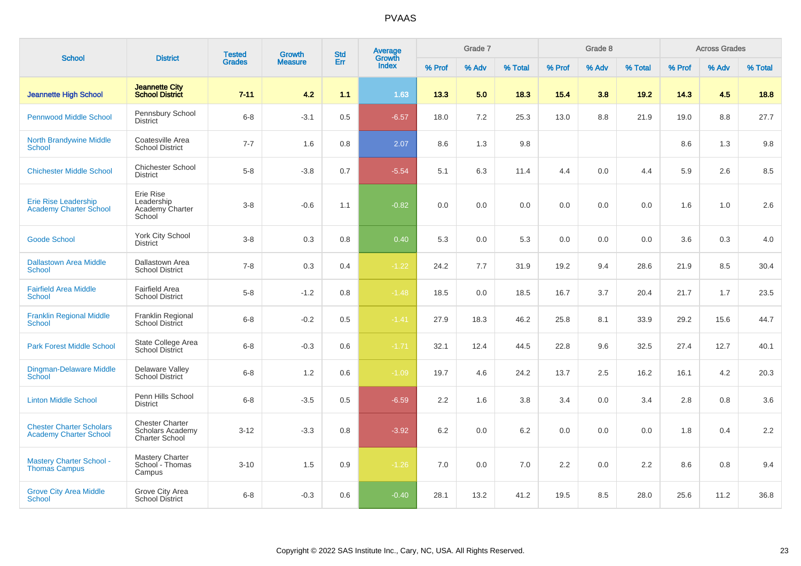|                                                                  |                                                                     | <b>Tested</b> | Growth         | <b>Std</b> | Average<br>Growth |        | Grade 7 |         |        | Grade 8 |         |        | <b>Across Grades</b> |         |
|------------------------------------------------------------------|---------------------------------------------------------------------|---------------|----------------|------------|-------------------|--------|---------|---------|--------|---------|---------|--------|----------------------|---------|
| <b>School</b>                                                    | <b>District</b>                                                     | <b>Grades</b> | <b>Measure</b> | Err        | <b>Index</b>      | % Prof | % Adv   | % Total | % Prof | % Adv   | % Total | % Prof | % Adv                | % Total |
| <b>Jeannette High School</b>                                     | <b>Jeannette City</b><br><b>School District</b>                     | $7 - 11$      | 4.2            | 1.1        | 1.63              | 13.3   | 5.0     | 18.3    | 15.4   | 3.8     | 19.2    | 14.3   | 4.5                  | 18.8    |
| <b>Pennwood Middle School</b>                                    | Pennsbury School<br><b>District</b>                                 | $6 - 8$       | $-3.1$         | 0.5        | $-6.57$           | 18.0   | 7.2     | 25.3    | 13.0   | 8.8     | 21.9    | 19.0   | 8.8                  | 27.7    |
| <b>North Brandywine Middle</b><br><b>School</b>                  | Coatesville Area<br><b>School District</b>                          | $7 - 7$       | 1.6            | 0.8        | 2.07              | 8.6    | 1.3     | 9.8     |        |         |         | 8.6    | 1.3                  | $9.8\,$ |
| <b>Chichester Middle School</b>                                  | <b>Chichester School</b><br><b>District</b>                         | $5-8$         | $-3.8$         | 0.7        | $-5.54$           | 5.1    | 6.3     | 11.4    | 4.4    | 0.0     | 4.4     | 5.9    | 2.6                  | 8.5     |
| <b>Erie Rise Leadership</b><br><b>Academy Charter School</b>     | Erie Rise<br>Leadership<br>Academy Charter<br>School                | $3 - 8$       | $-0.6$         | 1.1        | $-0.82$           | 0.0    | 0.0     | 0.0     | 0.0    | 0.0     | 0.0     | 1.6    | 1.0                  | 2.6     |
| <b>Goode School</b>                                              | York City School<br><b>District</b>                                 | $3 - 8$       | 0.3            | 0.8        | 0.40              | 5.3    | 0.0     | 5.3     | 0.0    | 0.0     | 0.0     | 3.6    | 0.3                  | 4.0     |
| <b>Dallastown Area Middle</b><br>School                          | Dallastown Area<br><b>School District</b>                           | $7 - 8$       | 0.3            | 0.4        | $-1.22$           | 24.2   | 7.7     | 31.9    | 19.2   | 9.4     | 28.6    | 21.9   | 8.5                  | 30.4    |
| <b>Fairfield Area Middle</b><br><b>School</b>                    | <b>Fairfield Area</b><br><b>School District</b>                     | $5-8$         | $-1.2$         | 0.8        | $-1.48$           | 18.5   | 0.0     | 18.5    | 16.7   | 3.7     | 20.4    | 21.7   | 1.7                  | 23.5    |
| <b>Franklin Regional Middle</b><br><b>School</b>                 | Franklin Regional<br><b>School District</b>                         | $6 - 8$       | $-0.2$         | 0.5        | $-1.41$           | 27.9   | 18.3    | 46.2    | 25.8   | 8.1     | 33.9    | 29.2   | 15.6                 | 44.7    |
| <b>Park Forest Middle School</b>                                 | State College Area<br><b>School District</b>                        | $6 - 8$       | $-0.3$         | 0.6        | $-1.71$           | 32.1   | 12.4    | 44.5    | 22.8   | 9.6     | 32.5    | 27.4   | 12.7                 | 40.1    |
| Dingman-Delaware Middle<br><b>School</b>                         | Delaware Valley<br><b>School District</b>                           | $6 - 8$       | $1.2\,$        | 0.6        | $-1.09$           | 19.7   | 4.6     | 24.2    | 13.7   | 2.5     | 16.2    | 16.1   | 4.2                  | 20.3    |
| <b>Linton Middle School</b>                                      | Penn Hills School<br><b>District</b>                                | $6 - 8$       | $-3.5$         | 0.5        | $-6.59$           | 2.2    | 1.6     | 3.8     | 3.4    | 0.0     | 3.4     | 2.8    | 0.8                  | $3.6\,$ |
| <b>Chester Charter Scholars</b><br><b>Academy Charter School</b> | <b>Chester Charter</b><br><b>Scholars Academy</b><br>Charter School | $3 - 12$      | $-3.3$         | 0.8        | $-3.92$           | 6.2    | 0.0     | 6.2     | 0.0    | 0.0     | 0.0     | 1.8    | 0.4                  | 2.2     |
| <b>Mastery Charter School -</b><br>Thomas Campus                 | <b>Mastery Charter</b><br>School - Thomas<br>Campus                 | $3 - 10$      | 1.5            | 0.9        | $-1.26$           | 7.0    | 0.0     | 7.0     | 2.2    | 0.0     | 2.2     | 8.6    | 0.8                  | 9.4     |
| <b>Grove City Area Middle</b><br><b>School</b>                   | Grove City Area<br><b>School District</b>                           | $6 - 8$       | $-0.3$         | 0.6        | $-0.40$           | 28.1   | 13.2    | 41.2    | 19.5   | 8.5     | 28.0    | 25.6   | 11.2                 | 36.8    |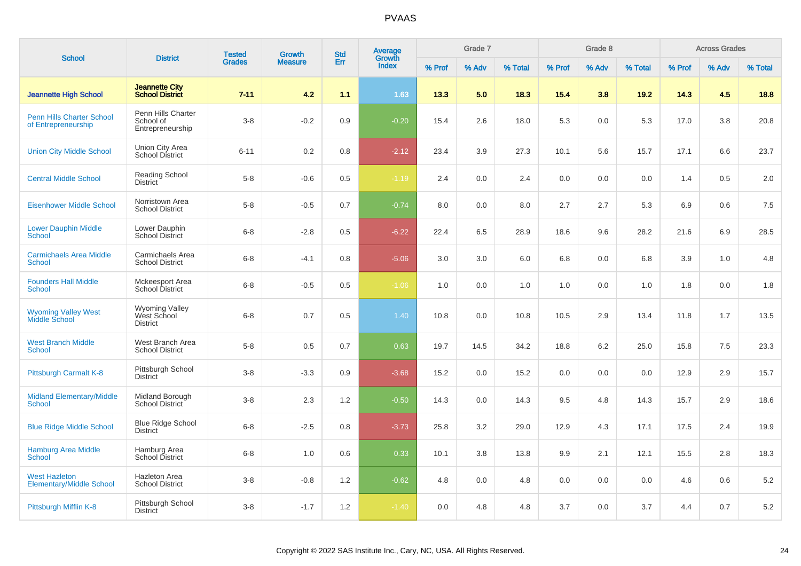| <b>School</b>                                           | <b>District</b>                                         | <b>Tested</b> | <b>Growth</b>  | <b>Std</b> | Average<br>Growth |        | Grade 7 |         |        | Grade 8 |         |        | <b>Across Grades</b> |         |
|---------------------------------------------------------|---------------------------------------------------------|---------------|----------------|------------|-------------------|--------|---------|---------|--------|---------|---------|--------|----------------------|---------|
|                                                         |                                                         | <b>Grades</b> | <b>Measure</b> | Err        | <b>Index</b>      | % Prof | % Adv   | % Total | % Prof | % Adv   | % Total | % Prof | % Adv                | % Total |
| <b>Jeannette High School</b>                            | <b>Jeannette City</b><br><b>School District</b>         | $7 - 11$      | 4.2            | 1.1        | 1.63              | 13.3   | 5.0     | 18.3    | 15.4   | 3.8     | 19.2    | 14.3   | 4.5                  | 18.8    |
| <b>Penn Hills Charter School</b><br>of Entrepreneurship | Penn Hills Charter<br>School of<br>Entrepreneurship     | $3 - 8$       | $-0.2$         | 0.9        | $-0.20$           | 15.4   | 2.6     | 18.0    | 5.3    | 0.0     | 5.3     | 17.0   | 3.8                  | 20.8    |
| <b>Union City Middle School</b>                         | Union City Area<br>School District                      | $6 - 11$      | 0.2            | 0.8        | $-2.12$           | 23.4   | 3.9     | 27.3    | 10.1   | 5.6     | 15.7    | 17.1   | 6.6                  | 23.7    |
| <b>Central Middle School</b>                            | Reading School<br><b>District</b>                       | $5 - 8$       | $-0.6$         | 0.5        | $-1.19$           | 2.4    | 0.0     | 2.4     | 0.0    | 0.0     | 0.0     | 1.4    | 0.5                  | 2.0     |
| <b>Eisenhower Middle School</b>                         | Norristown Area<br><b>School District</b>               | $5 - 8$       | $-0.5$         | 0.7        | $-0.74$           | 8.0    | 0.0     | 8.0     | 2.7    | 2.7     | 5.3     | 6.9    | 0.6                  | 7.5     |
| <b>Lower Dauphin Middle</b><br><b>School</b>            | Lower Dauphin<br>School District                        | $6 - 8$       | $-2.8$         | 0.5        | $-6.22$           | 22.4   | 6.5     | 28.9    | 18.6   | 9.6     | 28.2    | 21.6   | 6.9                  | 28.5    |
| <b>Carmichaels Area Middle</b><br><b>School</b>         | Carmichaels Area<br><b>School District</b>              | $6 - 8$       | $-4.1$         | 0.8        | $-5.06$           | 3.0    | 3.0     | 6.0     | 6.8    | 0.0     | 6.8     | 3.9    | 1.0                  | 4.8     |
| <b>Founders Hall Middle</b><br><b>School</b>            | Mckeesport Area<br><b>School District</b>               | $6 - 8$       | $-0.5$         | 0.5        | $-1.06$           | 1.0    | 0.0     | 1.0     | 1.0    | 0.0     | 1.0     | 1.8    | 0.0                  | 1.8     |
| <b>Wyoming Valley West</b><br><b>Middle School</b>      | <b>Wyoming Valley</b><br>West School<br><b>District</b> | $6 - 8$       | 0.7            | 0.5        | 1.40              | 10.8   | 0.0     | 10.8    | 10.5   | 2.9     | 13.4    | 11.8   | 1.7                  | 13.5    |
| <b>West Branch Middle</b><br><b>School</b>              | West Branch Area<br><b>School District</b>              | $5-8$         | 0.5            | 0.7        | 0.63              | 19.7   | 14.5    | 34.2    | 18.8   | 6.2     | 25.0    | 15.8   | 7.5                  | 23.3    |
| Pittsburgh Carmalt K-8                                  | Pittsburgh School<br><b>District</b>                    | $3 - 8$       | $-3.3$         | 0.9        | $-3.68$           | 15.2   | 0.0     | 15.2    | 0.0    | 0.0     | 0.0     | 12.9   | 2.9                  | 15.7    |
| <b>Midland Elementary/Middle</b><br><b>School</b>       | Midland Borough<br><b>School District</b>               | $3 - 8$       | 2.3            | 1.2        | $-0.50$           | 14.3   | 0.0     | 14.3    | 9.5    | 4.8     | 14.3    | 15.7   | 2.9                  | 18.6    |
| <b>Blue Ridge Middle School</b>                         | <b>Blue Ridge School</b><br><b>District</b>             | $6 - 8$       | $-2.5$         | 0.8        | $-3.73$           | 25.8   | 3.2     | 29.0    | 12.9   | 4.3     | 17.1    | 17.5   | 2.4                  | 19.9    |
| <b>Hamburg Area Middle</b><br><b>School</b>             | Hamburg Area<br>School District                         | $6 - 8$       | 1.0            | 0.6        | 0.33              | 10.1   | 3.8     | 13.8    | 9.9    | 2.1     | 12.1    | 15.5   | 2.8                  | 18.3    |
| <b>West Hazleton</b><br><b>Elementary/Middle School</b> | <b>Hazleton Area</b><br><b>School District</b>          | $3 - 8$       | $-0.8$         | 1.2        | $-0.62$           | 4.8    | 0.0     | 4.8     | 0.0    | 0.0     | 0.0     | 4.6    | 0.6                  | $5.2\,$ |
| Pittsburgh Mifflin K-8                                  | Pittsburgh School<br><b>District</b>                    | $3 - 8$       | $-1.7$         | 1.2        | $-1.40$           | 0.0    | 4.8     | 4.8     | 3.7    | 0.0     | 3.7     | 4.4    | 0.7                  | 5.2     |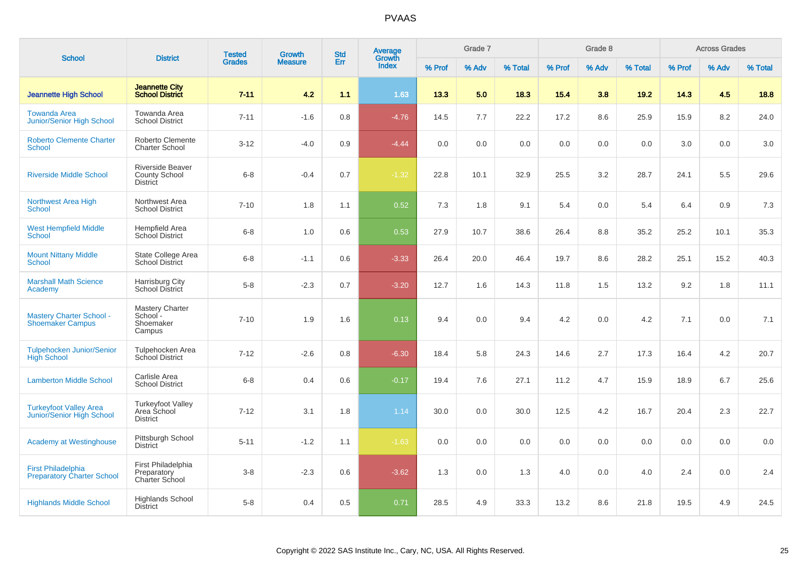| <b>School</b>                                                  | <b>District</b>                                            | <b>Tested</b> | <b>Growth</b>  | <b>Std</b> | Average<br>Growth |        | Grade 7 |         |         | Grade 8 |         |        | <b>Across Grades</b> |         |
|----------------------------------------------------------------|------------------------------------------------------------|---------------|----------------|------------|-------------------|--------|---------|---------|---------|---------|---------|--------|----------------------|---------|
|                                                                |                                                            | <b>Grades</b> | <b>Measure</b> | Err        | <b>Index</b>      | % Prof | % Adv   | % Total | % Prof  | % Adv   | % Total | % Prof | % Adv                | % Total |
| <b>Jeannette High School</b>                                   | <b>Jeannette City</b><br><b>School District</b>            | $7 - 11$      | 4.2            | 1.1        | 1.63              | 13.3   | 5.0     | 18.3    | 15.4    | 3.8     | 19.2    | 14.3   | 4.5                  | 18.8    |
| <b>Towanda Area</b><br>Junior/Senior High School               | Towanda Area<br><b>School District</b>                     | $7 - 11$      | $-1.6$         | 0.8        | $-4.76$           | 14.5   | 7.7     | 22.2    | 17.2    | 8.6     | 25.9    | 15.9   | 8.2                  | 24.0    |
| <b>Roberto Clemente Charter</b><br><b>School</b>               | Roberto Clemente<br><b>Charter School</b>                  | $3 - 12$      | $-4.0$         | 0.9        | $-4.44$           | 0.0    | 0.0     | 0.0     | 0.0     | 0.0     | 0.0     | 3.0    | 0.0                  | 3.0     |
| <b>Riverside Middle School</b>                                 | Riverside Beaver<br>County School<br><b>District</b>       | $6 - 8$       | $-0.4$         | 0.7        | $-1.32$           | 22.8   | 10.1    | 32.9    | 25.5    | 3.2     | 28.7    | 24.1   | 5.5                  | 29.6    |
| <b>Northwest Area High</b><br><b>School</b>                    | Northwest Area<br><b>School District</b>                   | $7 - 10$      | 1.8            | 1.1        | 0.52              | 7.3    | 1.8     | 9.1     | 5.4     | 0.0     | 5.4     | 6.4    | 0.9                  | 7.3     |
| <b>West Hempfield Middle</b><br><b>School</b>                  | Hempfield Area<br>School District                          | $6 - 8$       | 1.0            | 0.6        | 0.53              | 27.9   | 10.7    | 38.6    | 26.4    | 8.8     | 35.2    | 25.2   | 10.1                 | 35.3    |
| <b>Mount Nittany Middle</b><br><b>School</b>                   | State College Area<br><b>School District</b>               | $6 - 8$       | $-1.1$         | 0.6        | $-3.33$           | 26.4   | 20.0    | 46.4    | 19.7    | 8.6     | 28.2    | 25.1   | 15.2                 | 40.3    |
| <b>Marshall Math Science</b><br>Academy                        | Harrisburg City<br>School District                         | $5 - 8$       | $-2.3$         | 0.7        | $-3.20$           | 12.7   | 1.6     | 14.3    | 11.8    | 1.5     | 13.2    | 9.2    | 1.8                  | 11.1    |
| <b>Mastery Charter School -</b><br><b>Shoemaker Campus</b>     | <b>Mastery Charter</b><br>School-<br>Shoemaker<br>Campus   | $7 - 10$      | 1.9            | 1.6        | 0.13              | 9.4    | 0.0     | 9.4     | 4.2     | 0.0     | 4.2     | 7.1    | 0.0                  | 7.1     |
| <b>Tulpehocken Junior/Senior</b><br><b>High School</b>         | Tulpehocken Area<br><b>School District</b>                 | $7 - 12$      | $-2.6$         | 0.8        | $-6.30$           | 18.4   | 5.8     | 24.3    | 14.6    | 2.7     | 17.3    | 16.4   | 4.2                  | 20.7    |
| <b>Lamberton Middle School</b>                                 | Carlisle Area<br><b>School District</b>                    | $6 - 8$       | 0.4            | 0.6        | $-0.17$           | 19.4   | 7.6     | 27.1    | 11.2    | 4.7     | 15.9    | 18.9   | 6.7                  | 25.6    |
| <b>Turkeyfoot Valley Area</b><br>Junior/Senior High School     | <b>Turkeyfoot Valley</b><br>Area School<br><b>District</b> | $7 - 12$      | 3.1            | 1.8        | 1.14              | 30.0   | 0.0     | 30.0    | 12.5    | 4.2     | 16.7    | 20.4   | 2.3                  | 22.7    |
| <b>Academy at Westinghouse</b>                                 | Pittsburgh School<br><b>District</b>                       | $5 - 11$      | $-1.2$         | 1.1        | $-1.63$           | 0.0    | 0.0     | 0.0     | $0.0\,$ | 0.0     | 0.0     | 0.0    | 0.0                  | 0.0     |
| <b>First Philadelphia</b><br><b>Preparatory Charter School</b> | First Philadelphia<br>Preparatory<br>Charter School        | $3 - 8$       | $-2.3$         | 0.6        | $-3.62$           | 1.3    | 0.0     | 1.3     | 4.0     | 0.0     | 4.0     | 2.4    | 0.0                  | 2.4     |
| <b>Highlands Middle School</b>                                 | <b>Highlands School</b><br><b>District</b>                 | $5 - 8$       | 0.4            | 0.5        | 0.71              | 28.5   | 4.9     | 33.3    | 13.2    | 8.6     | 21.8    | 19.5   | 4.9                  | 24.5    |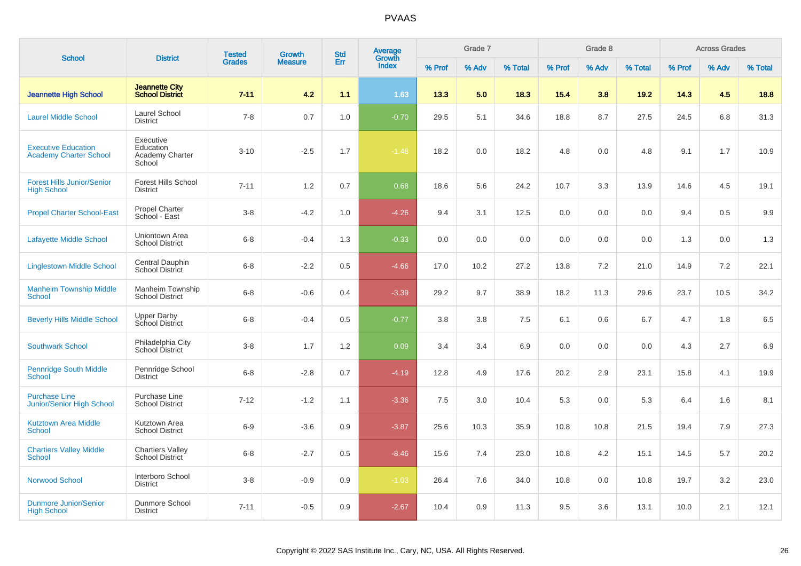| <b>School</b>                                               | <b>District</b>                                     | <b>Tested</b> | <b>Growth</b>  | <b>Std</b> | Average<br>Growth |        | Grade 7 |         |        | Grade 8 |         |        | <b>Across Grades</b> |         |
|-------------------------------------------------------------|-----------------------------------------------------|---------------|----------------|------------|-------------------|--------|---------|---------|--------|---------|---------|--------|----------------------|---------|
|                                                             |                                                     | <b>Grades</b> | <b>Measure</b> | Err        | <b>Index</b>      | % Prof | % Adv   | % Total | % Prof | % Adv   | % Total | % Prof | % Adv                | % Total |
| <b>Jeannette High School</b>                                | <b>Jeannette City</b><br><b>School District</b>     | $7 - 11$      | 4.2            | 1.1        | 1.63              | 13.3   | 5.0     | 18.3    | 15.4   | 3.8     | 19.2    | 14.3   | 4.5                  | 18.8    |
| <b>Laurel Middle School</b>                                 | Laurel School<br><b>District</b>                    | $7 - 8$       | 0.7            | 1.0        | $-0.70$           | 29.5   | 5.1     | 34.6    | 18.8   | 8.7     | 27.5    | 24.5   | 6.8                  | 31.3    |
| <b>Executive Education</b><br><b>Academy Charter School</b> | Executive<br>Education<br>Academy Charter<br>School | $3 - 10$      | $-2.5$         | 1.7        | $-1.48$           | 18.2   | 0.0     | 18.2    | 4.8    | 0.0     | 4.8     | 9.1    | 1.7                  | 10.9    |
| <b>Forest Hills Junior/Senior</b><br><b>High School</b>     | Forest Hills School<br><b>District</b>              | $7 - 11$      | 1.2            | 0.7        | 0.68              | 18.6   | 5.6     | 24.2    | 10.7   | 3.3     | 13.9    | 14.6   | 4.5                  | 19.1    |
| <b>Propel Charter School-East</b>                           | Propel Charter<br>School - East                     | $3-8$         | $-4.2$         | 1.0        | $-4.26$           | 9.4    | 3.1     | 12.5    | 0.0    | 0.0     | 0.0     | 9.4    | 0.5                  | 9.9     |
| <b>Lafayette Middle School</b>                              | Uniontown Area<br><b>School District</b>            | $6 - 8$       | $-0.4$         | 1.3        | $-0.33$           | 0.0    | 0.0     | 0.0     | 0.0    | 0.0     | 0.0     | 1.3    | 0.0                  | 1.3     |
| <b>Linglestown Middle School</b>                            | Central Dauphin<br>School District                  | $6-8$         | $-2.2$         | 0.5        | $-4.66$           | 17.0   | 10.2    | 27.2    | 13.8   | 7.2     | 21.0    | 14.9   | 7.2                  | 22.1    |
| <b>Manheim Township Middle</b><br><b>School</b>             | Manheim Township<br><b>School District</b>          | $6 - 8$       | $-0.6$         | 0.4        | $-3.39$           | 29.2   | 9.7     | 38.9    | 18.2   | 11.3    | 29.6    | 23.7   | 10.5                 | 34.2    |
| <b>Beverly Hills Middle School</b>                          | <b>Upper Darby</b><br>School District               | $6 - 8$       | $-0.4$         | 0.5        | $-0.77$           | 3.8    | 3.8     | 7.5     | 6.1    | 0.6     | 6.7     | 4.7    | 1.8                  | 6.5     |
| <b>Southwark School</b>                                     | Philadelphia City<br>School District                | $3-8$         | 1.7            | 1.2        | 0.09              | 3.4    | 3.4     | 6.9     | 0.0    | 0.0     | 0.0     | 4.3    | 2.7                  | 6.9     |
| <b>Pennridge South Middle</b><br><b>School</b>              | Pennridge School<br><b>District</b>                 | $6 - 8$       | $-2.8$         | 0.7        | $-4.19$           | 12.8   | 4.9     | 17.6    | 20.2   | 2.9     | 23.1    | 15.8   | 4.1                  | 19.9    |
| <b>Purchase Line</b><br><b>Junior/Senior High School</b>    | Purchase Line<br><b>School District</b>             | $7 - 12$      | $-1.2$         | 1.1        | $-3.36$           | 7.5    | 3.0     | 10.4    | 5.3    | 0.0     | 5.3     | 6.4    | 1.6                  | 8.1     |
| <b>Kutztown Area Middle</b><br><b>School</b>                | Kutztown Area<br><b>School District</b>             | $6-9$         | $-3.6$         | 0.9        | $-3.87$           | 25.6   | 10.3    | 35.9    | 10.8   | 10.8    | 21.5    | 19.4   | 7.9                  | 27.3    |
| <b>Chartiers Valley Middle</b><br>School                    | <b>Chartiers Valley</b><br><b>School District</b>   | $6 - 8$       | $-2.7$         | 0.5        | $-8.46$           | 15.6   | 7.4     | 23.0    | 10.8   | 4.2     | 15.1    | 14.5   | 5.7                  | 20.2    |
| <b>Norwood School</b>                                       | Interboro School<br><b>District</b>                 | $3-8$         | $-0.9$         | 0.9        | $-1.03$           | 26.4   | 7.6     | 34.0    | 10.8   | 0.0     | 10.8    | 19.7   | 3.2                  | 23.0    |
| <b>Dunmore Junior/Senior</b><br><b>High School</b>          | Dunmore School<br><b>District</b>                   | $7 - 11$      | $-0.5$         | 0.9        | $-2.67$           | 10.4   | 0.9     | 11.3    | 9.5    | 3.6     | 13.1    | 10.0   | 2.1                  | 12.1    |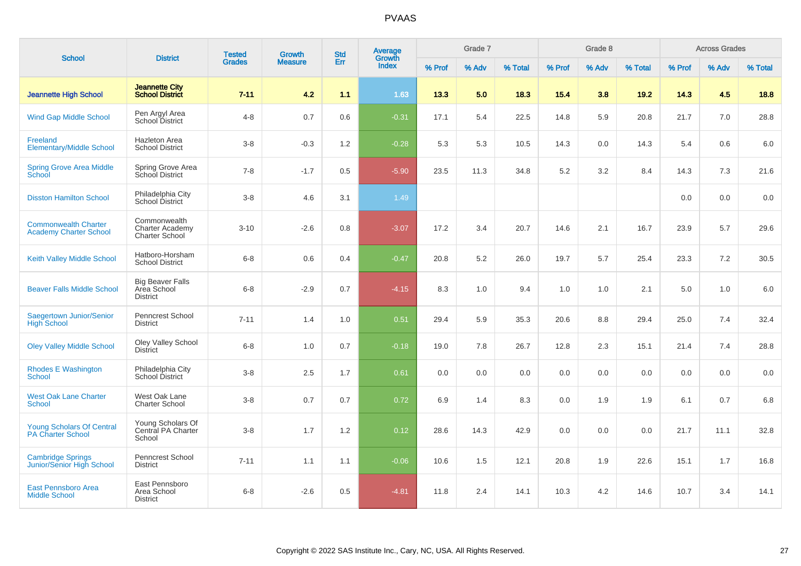| <b>School</b>                                                | <b>District</b>                                           | <b>Tested</b> | Growth         | <b>Std</b> | Average<br>Growth |        | Grade 7 |         |        | Grade 8 |         |        | <b>Across Grades</b> |         |
|--------------------------------------------------------------|-----------------------------------------------------------|---------------|----------------|------------|-------------------|--------|---------|---------|--------|---------|---------|--------|----------------------|---------|
|                                                              |                                                           | <b>Grades</b> | <b>Measure</b> | Err        | <b>Index</b>      | % Prof | % Adv   | % Total | % Prof | % Adv   | % Total | % Prof | % Adv                | % Total |
| <b>Jeannette High School</b>                                 | <b>Jeannette City</b><br><b>School District</b>           | $7 - 11$      | 4.2            | 1.1        | 1.63              | 13.3   | 5.0     | 18.3    | 15.4   | 3.8     | 19.2    | 14.3   | 4.5                  | 18.8    |
| <b>Wind Gap Middle School</b>                                | Pen Argyl Area<br><b>School District</b>                  | $4 - 8$       | 0.7            | 0.6        | $-0.31$           | 17.1   | 5.4     | 22.5    | 14.8   | 5.9     | 20.8    | 21.7   | 7.0                  | 28.8    |
| Freeland<br><b>Elementary/Middle School</b>                  | <b>Hazleton Area</b><br><b>School District</b>            | $3 - 8$       | $-0.3$         | $1.2$      | $-0.28$           | 5.3    | 5.3     | 10.5    | 14.3   | 0.0     | 14.3    | 5.4    | 0.6                  | $6.0\,$ |
| <b>Spring Grove Area Middle</b><br>School                    | Spring Grove Area<br>School District                      | $7 - 8$       | $-1.7$         | 0.5        | $-5.90$           | 23.5   | 11.3    | 34.8    | 5.2    | 3.2     | 8.4     | 14.3   | 7.3                  | 21.6    |
| <b>Disston Hamilton School</b>                               | Philadelphia City<br>School District                      | $3 - 8$       | 4.6            | 3.1        | 1.49              |        |         |         |        |         |         | 0.0    | 0.0                  | 0.0     |
| <b>Commonwealth Charter</b><br><b>Academy Charter School</b> | Commonwealth<br><b>Charter Academy</b><br>Charter School  | $3 - 10$      | $-2.6$         | 0.8        | $-3.07$           | 17.2   | 3.4     | 20.7    | 14.6   | 2.1     | 16.7    | 23.9   | 5.7                  | 29.6    |
| Keith Valley Middle School                                   | Hatboro-Horsham<br><b>School District</b>                 | $6 - 8$       | 0.6            | 0.4        | $-0.47$           | 20.8   | 5.2     | 26.0    | 19.7   | 5.7     | 25.4    | 23.3   | 7.2                  | 30.5    |
| <b>Beaver Falls Middle School</b>                            | <b>Big Beaver Falls</b><br>Area School<br><b>District</b> | $6 - 8$       | $-2.9$         | 0.7        | $-4.15$           | 8.3    | 1.0     | 9.4     | 1.0    | 1.0     | 2.1     | 5.0    | 1.0                  | 6.0     |
| Saegertown Junior/Senior<br><b>High School</b>               | Penncrest School<br><b>District</b>                       | $7 - 11$      | 1.4            | 1.0        | 0.51              | 29.4   | 5.9     | 35.3    | 20.6   | 8.8     | 29.4    | 25.0   | 7.4                  | 32.4    |
| <b>Oley Valley Middle School</b>                             | Oley Valley School<br><b>District</b>                     | $6 - 8$       | 1.0            | 0.7        | $-0.18$           | 19.0   | 7.8     | 26.7    | 12.8   | 2.3     | 15.1    | 21.4   | 7.4                  | 28.8    |
| <b>Rhodes E Washington</b><br><b>School</b>                  | Philadelphia City<br>School District                      | $3 - 8$       | 2.5            | 1.7        | 0.61              | 0.0    | 0.0     | 0.0     | 0.0    | 0.0     | 0.0     | 0.0    | 0.0                  | 0.0     |
| <b>West Oak Lane Charter</b><br><b>School</b>                | West Oak Lane<br><b>Charter School</b>                    | $3 - 8$       | 0.7            | 0.7        | 0.72              | 6.9    | 1.4     | 8.3     | 0.0    | 1.9     | 1.9     | 6.1    | 0.7                  | 6.8     |
| <b>Young Scholars Of Central</b><br><b>PA Charter School</b> | Young Scholars Of<br>Central PA Charter<br>School         | $3 - 8$       | 1.7            | 1.2        | 0.12              | 28.6   | 14.3    | 42.9    | 0.0    | 0.0     | 0.0     | 21.7   | 11.1                 | 32.8    |
| <b>Cambridge Springs</b><br>Junior/Senior High School        | <b>Penncrest School</b><br><b>District</b>                | $7 - 11$      | 1.1            | 1.1        | $-0.06$           | 10.6   | 1.5     | 12.1    | 20.8   | 1.9     | 22.6    | 15.1   | 1.7                  | 16.8    |
| <b>East Pennsboro Area</b><br><b>Middle School</b>           | East Pennsboro<br>Area School<br><b>District</b>          | $6 - 8$       | $-2.6$         | 0.5        | $-4.81$           | 11.8   | 2.4     | 14.1    | 10.3   | 4.2     | 14.6    | 10.7   | 3.4                  | 14.1    |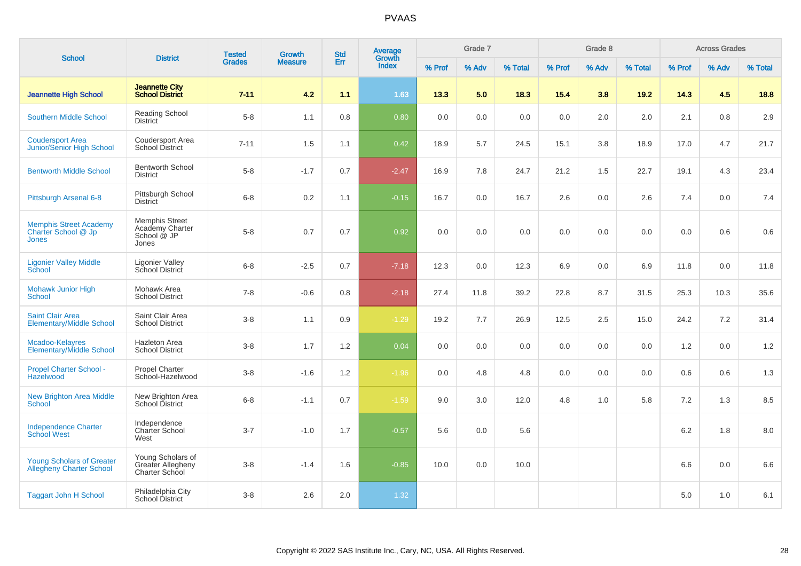| <b>School</b>                                                        |                                                                  | <b>Tested</b> | <b>Growth</b>  | <b>Std</b> | Average<br>Growth |        | Grade 7 |         |        | Grade 8 |         |        | <b>Across Grades</b> |         |
|----------------------------------------------------------------------|------------------------------------------------------------------|---------------|----------------|------------|-------------------|--------|---------|---------|--------|---------|---------|--------|----------------------|---------|
|                                                                      | <b>District</b>                                                  | <b>Grades</b> | <b>Measure</b> | Err        | <b>Index</b>      | % Prof | % Adv   | % Total | % Prof | % Adv   | % Total | % Prof | % Adv                | % Total |
| <b>Jeannette High School</b>                                         | <b>Jeannette City</b><br><b>School District</b>                  | $7 - 11$      | 4.2            | 1.1        | 1.63              | 13.3   | 5.0     | 18.3    | 15.4   | 3.8     | 19.2    | 14.3   | 4.5                  | 18.8    |
| <b>Southern Middle School</b>                                        | Reading School<br><b>District</b>                                | $5-8$         | 1.1            | 0.8        | 0.80              | 0.0    | 0.0     | 0.0     | 0.0    | 2.0     | 2.0     | 2.1    | 0.8                  | 2.9     |
| <b>Coudersport Area</b><br>Junior/Senior High School                 | Coudersport Area<br><b>School District</b>                       | $7 - 11$      | 1.5            | 1.1        | 0.42              | 18.9   | 5.7     | 24.5    | 15.1   | 3.8     | 18.9    | 17.0   | 4.7                  | 21.7    |
| <b>Bentworth Middle School</b>                                       | <b>Bentworth School</b><br><b>District</b>                       | $5-8$         | $-1.7$         | 0.7        | $-2.47$           | 16.9   | 7.8     | 24.7    | 21.2   | 1.5     | 22.7    | 19.1   | 4.3                  | 23.4    |
| Pittsburgh Arsenal 6-8                                               | Pittsburgh School<br><b>District</b>                             | $6 - 8$       | 0.2            | 1.1        | $-0.15$           | 16.7   | 0.0     | 16.7    | 2.6    | 0.0     | 2.6     | 7.4    | 0.0                  | 7.4     |
| <b>Memphis Street Academy</b><br>Charter School @ Jp<br><b>Jones</b> | <b>Memphis Street</b><br>Academy Charter<br>School @ JP<br>Jones | $5 - 8$       | 0.7            | 0.7        | 0.92              | 0.0    | 0.0     | 0.0     | 0.0    | 0.0     | 0.0     | 0.0    | 0.6                  | 0.6     |
| <b>Ligonier Valley Middle</b><br>School                              | <b>Ligonier Valley</b><br>School District                        | $6 - 8$       | $-2.5$         | 0.7        | $-7.18$           | 12.3   | 0.0     | 12.3    | 6.9    | 0.0     | 6.9     | 11.8   | 0.0                  | 11.8    |
| <b>Mohawk Junior High</b><br><b>School</b>                           | Mohawk Area<br><b>School District</b>                            | $7 - 8$       | $-0.6$         | 0.8        | $-2.18$           | 27.4   | 11.8    | 39.2    | 22.8   | 8.7     | 31.5    | 25.3   | 10.3                 | 35.6    |
| <b>Saint Clair Area</b><br><b>Elementary/Middle School</b>           | Saint Clair Area<br><b>School District</b>                       | $3-8$         | 1.1            | 0.9        | $-1.29$           | 19.2   | 7.7     | 26.9    | 12.5   | 2.5     | 15.0    | 24.2   | 7.2                  | 31.4    |
| Mcadoo-Kelayres<br><b>Elementary/Middle School</b>                   | <b>Hazleton Area</b><br><b>School District</b>                   | $3-8$         | 1.7            | 1.2        | 0.04              | 0.0    | 0.0     | 0.0     | 0.0    | 0.0     | 0.0     | 1.2    | 0.0                  | 1.2     |
| <b>Propel Charter School -</b><br>Hazelwood                          | <b>Propel Charter</b><br>School-Hazelwood                        | $3-8$         | $-1.6$         | 1.2        | $-1.96$           | 0.0    | 4.8     | 4.8     | 0.0    | 0.0     | 0.0     | 0.6    | 0.6                  | 1.3     |
| <b>New Brighton Area Middle</b><br><b>School</b>                     | New Brighton Area<br>School District                             | $6 - 8$       | $-1.1$         | 0.7        | $-1.59$           | 9.0    | 3.0     | 12.0    | 4.8    | 1.0     | 5.8     | 7.2    | 1.3                  | 8.5     |
| <b>Independence Charter</b><br><b>School West</b>                    | Independence<br><b>Charter School</b><br>West                    | $3 - 7$       | $-1.0$         | 1.7        | $-0.57$           | 5.6    | 0.0     | 5.6     |        |         |         | 6.2    | 1.8                  | 8.0     |
| <b>Young Scholars of Greater</b><br><b>Allegheny Charter School</b>  | Young Scholars of<br>Greater Allegheny<br>Charter School         | $3 - 8$       | $-1.4$         | 1.6        | $-0.85$           | 10.0   | 0.0     | 10.0    |        |         |         | 6.6    | 0.0                  | 6.6     |
| <b>Taggart John H School</b>                                         | Philadelphia City<br>School District                             | $3-8$         | 2.6            | 2.0        | 1.32              |        |         |         |        |         |         | 5.0    | 1.0                  | 6.1     |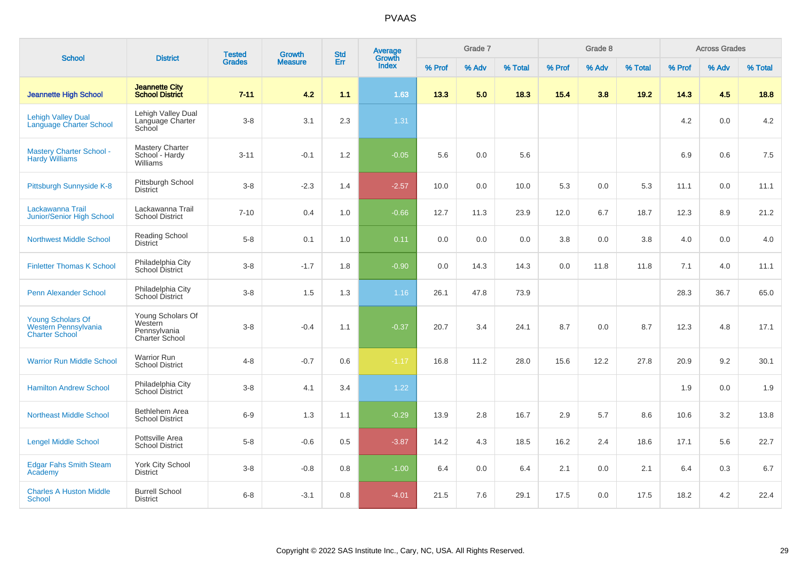| <b>School</b>                                                                    | <b>District</b>                                                | <b>Tested</b> | Growth         | <b>Std</b> | Average<br>Growth |        | Grade 7 |         |        | Grade 8 |         |        | <b>Across Grades</b> |         |
|----------------------------------------------------------------------------------|----------------------------------------------------------------|---------------|----------------|------------|-------------------|--------|---------|---------|--------|---------|---------|--------|----------------------|---------|
|                                                                                  |                                                                | <b>Grades</b> | <b>Measure</b> | Err        | Index             | % Prof | % Adv   | % Total | % Prof | % Adv   | % Total | % Prof | % Adv                | % Total |
| <b>Jeannette High School</b>                                                     | <b>Jeannette City</b><br><b>School District</b>                | $7 - 11$      | 4.2            | 1.1        | 1.63              | 13.3   | 5.0     | 18.3    | 15.4   | 3.8     | 19.2    | 14.3   | 4.5                  | 18.8    |
| <b>Lehigh Valley Dual</b><br><b>Language Charter School</b>                      | Lehigh Valley Dual<br>Language Charter<br>School               | $3 - 8$       | 3.1            | 2.3        | 1.31              |        |         |         |        |         |         | 4.2    | 0.0                  | 4.2     |
| <b>Mastery Charter School -</b><br><b>Hardy Williams</b>                         | <b>Mastery Charter</b><br>School - Hardy<br>Williams           | $3 - 11$      | $-0.1$         | 1.2        | $-0.05$           | 5.6    | 0.0     | 5.6     |        |         |         | 6.9    | 0.6                  | $7.5\,$ |
| Pittsburgh Sunnyside K-8                                                         | Pittsburgh School<br><b>District</b>                           | $3 - 8$       | $-2.3$         | 1.4        | $-2.57$           | 10.0   | 0.0     | 10.0    | 5.3    | 0.0     | 5.3     | 11.1   | 0.0                  | 11.1    |
| Lackawanna Trail<br>Junior/Senior High School                                    | Lackawanna Trail<br><b>School District</b>                     | $7 - 10$      | 0.4            | 1.0        | $-0.66$           | 12.7   | 11.3    | 23.9    | 12.0   | 6.7     | 18.7    | 12.3   | 8.9                  | 21.2    |
| <b>Northwest Middle School</b>                                                   | Reading School<br><b>District</b>                              | $5 - 8$       | 0.1            | 1.0        | 0.11              | 0.0    | 0.0     | 0.0     | 3.8    | 0.0     | 3.8     | 4.0    | 0.0                  | 4.0     |
| <b>Finletter Thomas K School</b>                                                 | Philadelphia City<br>School District                           | $3 - 8$       | $-1.7$         | 1.8        | $-0.90$           | 0.0    | 14.3    | 14.3    | 0.0    | 11.8    | 11.8    | 7.1    | 4.0                  | 11.1    |
| <b>Penn Alexander School</b>                                                     | Philadelphia City<br>School District                           | $3 - 8$       | 1.5            | 1.3        | 1.16              | 26.1   | 47.8    | 73.9    |        |         |         | 28.3   | 36.7                 | 65.0    |
| <b>Young Scholars Of</b><br><b>Western Pennsylvania</b><br><b>Charter School</b> | Young Scholars Of<br>Western<br>Pennsylvania<br>Charter School | $3 - 8$       | $-0.4$         | 1.1        | $-0.37$           | 20.7   | 3.4     | 24.1    | 8.7    | 0.0     | 8.7     | 12.3   | 4.8                  | 17.1    |
| <b>Warrior Run Middle School</b>                                                 | <b>Warrior Run</b><br><b>School District</b>                   | $4 - 8$       | $-0.7$         | 0.6        | $-1.17$           | 16.8   | 11.2    | 28.0    | 15.6   | 12.2    | 27.8    | 20.9   | 9.2                  | 30.1    |
| <b>Hamilton Andrew School</b>                                                    | Philadelphia City<br>School District                           | $3-8$         | 4.1            | 3.4        | 1.22              |        |         |         |        |         |         | 1.9    | 0.0                  | 1.9     |
| <b>Northeast Middle School</b>                                                   | Bethlehem Area<br><b>School District</b>                       | $6-9$         | 1.3            | 1.1        | $-0.29$           | 13.9   | 2.8     | 16.7    | 2.9    | 5.7     | 8.6     | 10.6   | 3.2                  | 13.8    |
| <b>Lengel Middle School</b>                                                      | Pottsville Area<br><b>School District</b>                      | $5 - 8$       | $-0.6$         | 0.5        | $-3.87$           | 14.2   | 4.3     | 18.5    | 16.2   | 2.4     | 18.6    | 17.1   | 5.6                  | 22.7    |
| <b>Edgar Fahs Smith Steam</b><br>Academy                                         | <b>York City School</b><br><b>District</b>                     | $3 - 8$       | $-0.8$         | 0.8        | $-1.00$           | 6.4    | 0.0     | 6.4     | 2.1    | 0.0     | 2.1     | 6.4    | 0.3                  | 6.7     |
| <b>Charles A Huston Middle</b><br>School                                         | <b>Burrell School</b><br><b>District</b>                       | $6 - 8$       | $-3.1$         | 0.8        | $-4.01$           | 21.5   | 7.6     | 29.1    | 17.5   | 0.0     | 17.5    | 18.2   | 4.2                  | 22.4    |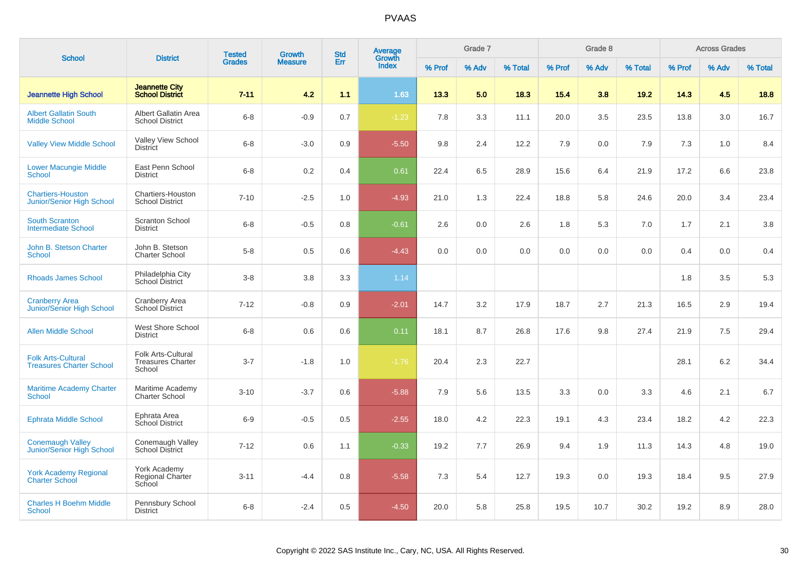| <b>School</b>                                                | <b>District</b>                                          | <b>Tested</b> | <b>Growth</b>  | <b>Std</b> | Average<br>Growth |        | Grade 7 |         |        | Grade 8 |         |        | <b>Across Grades</b> |         |
|--------------------------------------------------------------|----------------------------------------------------------|---------------|----------------|------------|-------------------|--------|---------|---------|--------|---------|---------|--------|----------------------|---------|
|                                                              |                                                          | <b>Grades</b> | <b>Measure</b> | Err        | <b>Index</b>      | % Prof | % Adv   | % Total | % Prof | % Adv   | % Total | % Prof | % Adv                | % Total |
| <b>Jeannette High School</b>                                 | <b>Jeannette City</b><br><b>School District</b>          | $7 - 11$      | 4.2            | 1.1        | 1.63              | 13.3   | 5.0     | 18.3    | 15.4   | 3.8     | 19.2    | 14.3   | 4.5                  | 18.8    |
| <b>Albert Gallatin South</b><br><b>Middle School</b>         | Albert Gallatin Area<br><b>School District</b>           | $6 - 8$       | $-0.9$         | 0.7        | $-1.23$           | 7.8    | 3.3     | 11.1    | 20.0   | 3.5     | 23.5    | 13.8   | 3.0                  | 16.7    |
| <b>Valley View Middle School</b>                             | Valley View School<br><b>District</b>                    | $6 - 8$       | $-3.0$         | 0.9        | $-5.50$           | 9.8    | 2.4     | 12.2    | 7.9    | 0.0     | 7.9     | 7.3    | 1.0                  | 8.4     |
| <b>Lower Macungie Middle</b><br><b>School</b>                | East Penn School<br><b>District</b>                      | $6 - 8$       | $0.2\,$        | 0.4        | 0.61              | 22.4   | 6.5     | 28.9    | 15.6   | 6.4     | 21.9    | 17.2   | 6.6                  | 23.8    |
| <b>Chartiers-Houston</b><br><b>Junior/Senior High School</b> | Chartiers-Houston<br><b>School District</b>              | $7 - 10$      | $-2.5$         | 1.0        | $-4.93$           | 21.0   | 1.3     | 22.4    | 18.8   | 5.8     | 24.6    | 20.0   | 3.4                  | 23.4    |
| <b>South Scranton</b><br><b>Intermediate School</b>          | <b>Scranton School</b><br><b>District</b>                | $6 - 8$       | $-0.5$         | 0.8        | $-0.61$           | 2.6    | 0.0     | 2.6     | 1.8    | 5.3     | 7.0     | 1.7    | 2.1                  | 3.8     |
| John B. Stetson Charter<br><b>School</b>                     | John B. Stetson<br><b>Charter School</b>                 | $5 - 8$       | 0.5            | 0.6        | $-4.43$           | 0.0    | 0.0     | 0.0     | 0.0    | 0.0     | 0.0     | 0.4    | 0.0                  | 0.4     |
| <b>Rhoads James School</b>                                   | Philadelphia City<br>School District                     | $3 - 8$       | 3.8            | 3.3        | 1.14              |        |         |         |        |         |         | 1.8    | 3.5                  | 5.3     |
| <b>Cranberry Area</b><br>Junior/Senior High School           | Cranberry Area<br><b>School District</b>                 | $7 - 12$      | $-0.8$         | 0.9        | $-2.01$           | 14.7   | 3.2     | 17.9    | 18.7   | 2.7     | 21.3    | 16.5   | 2.9                  | 19.4    |
| <b>Allen Middle School</b>                                   | <b>West Shore School</b><br><b>District</b>              | $6 - 8$       | 0.6            | 0.6        | 0.11              | 18.1   | 8.7     | 26.8    | 17.6   | 9.8     | 27.4    | 21.9   | 7.5                  | 29.4    |
| <b>Folk Arts-Cultural</b><br><b>Treasures Charter School</b> | Folk Arts-Cultural<br><b>Treasures Charter</b><br>School | $3 - 7$       | $-1.8$         | 1.0        | $-1.76$           | 20.4   | 2.3     | 22.7    |        |         |         | 28.1   | 6.2                  | 34.4    |
| <b>Maritime Academy Charter</b><br><b>School</b>             | Maritime Academy<br>Charter School                       | $3 - 10$      | $-3.7$         | 0.6        | $-5.88$           | 7.9    | 5.6     | 13.5    | 3.3    | 0.0     | 3.3     | 4.6    | 2.1                  | 6.7     |
| <b>Ephrata Middle School</b>                                 | Ephrata Area<br>School District                          | $6-9$         | $-0.5$         | 0.5        | $-2.55$           | 18.0   | 4.2     | 22.3    | 19.1   | 4.3     | 23.4    | 18.2   | 4.2                  | 22.3    |
| <b>Conemaugh Valley</b><br>Junior/Senior High School         | Conemaugh Valley<br><b>School District</b>               | $7 - 12$      | 0.6            | 1.1        | $-0.33$           | 19.2   | 7.7     | 26.9    | 9.4    | 1.9     | 11.3    | 14.3   | 4.8                  | 19.0    |
| <b>York Academy Regional</b><br><b>Charter School</b>        | York Academy<br><b>Regional Charter</b><br>School        | $3 - 11$      | $-4.4$         | 0.8        | $-5.58$           | 7.3    | 5.4     | 12.7    | 19.3   | 0.0     | 19.3    | 18.4   | 9.5                  | 27.9    |
| <b>Charles H Boehm Middle</b><br><b>School</b>               | Pennsbury School<br><b>District</b>                      | $6 - 8$       | $-2.4$         | 0.5        | $-4.50$           | 20.0   | 5.8     | 25.8    | 19.5   | 10.7    | 30.2    | 19.2   | 8.9                  | 28.0    |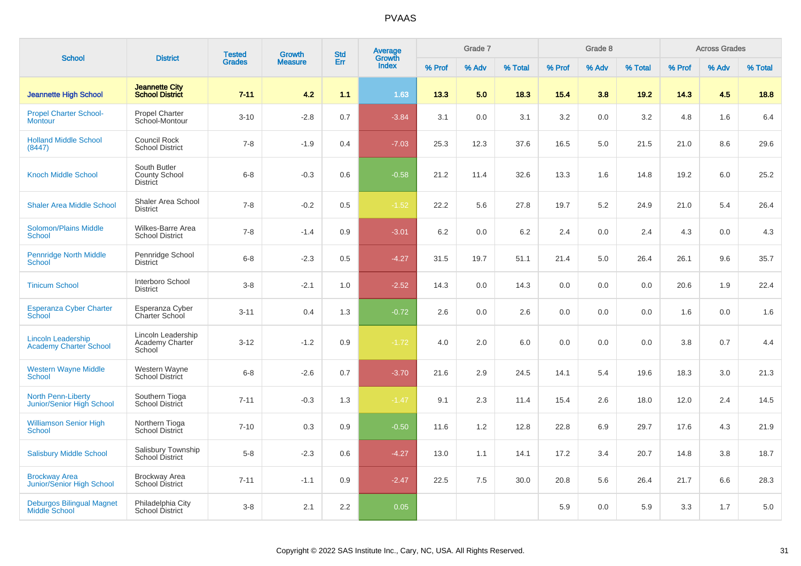| <b>School</b>                                              | <b>District</b>                                         | <b>Tested</b> | <b>Growth</b>  | <b>Std</b> | Average<br>Growth |        | Grade 7 |         |        | Grade 8 |         |        | <b>Across Grades</b> |         |
|------------------------------------------------------------|---------------------------------------------------------|---------------|----------------|------------|-------------------|--------|---------|---------|--------|---------|---------|--------|----------------------|---------|
|                                                            |                                                         | <b>Grades</b> | <b>Measure</b> | Err        | <b>Index</b>      | % Prof | % Adv   | % Total | % Prof | % Adv   | % Total | % Prof | % Adv                | % Total |
| <b>Jeannette High School</b>                               | <b>Jeannette City</b><br><b>School District</b>         | $7 - 11$      | 4.2            | 1.1        | 1.63              | 13.3   | 5.0     | 18.3    | 15.4   | 3.8     | 19.2    | 14.3   | 4.5                  | 18.8    |
| <b>Propel Charter School-</b><br><b>Montour</b>            | <b>Propel Charter</b><br>School-Montour                 | $3 - 10$      | $-2.8$         | 0.7        | $-3.84$           | 3.1    | 0.0     | 3.1     | 3.2    | 0.0     | 3.2     | 4.8    | 1.6                  | 6.4     |
| <b>Holland Middle School</b><br>(8447)                     | Council Rock<br><b>School District</b>                  | $7 - 8$       | $-1.9$         | 0.4        | $-7.03$           | 25.3   | 12.3    | 37.6    | 16.5   | 5.0     | 21.5    | 21.0   | 8.6                  | 29.6    |
| <b>Knoch Middle School</b>                                 | South Butler<br><b>County School</b><br><b>District</b> | $6 - 8$       | $-0.3$         | 0.6        | $-0.58$           | 21.2   | 11.4    | 32.6    | 13.3   | 1.6     | 14.8    | 19.2   | 6.0                  | 25.2    |
| <b>Shaler Area Middle School</b>                           | Shaler Area School<br><b>District</b>                   | $7 - 8$       | $-0.2$         | 0.5        | $-1.52$           | 22.2   | 5.6     | 27.8    | 19.7   | 5.2     | 24.9    | 21.0   | 5.4                  | 26.4    |
| <b>Solomon/Plains Middle</b><br><b>School</b>              | Wilkes-Barre Area<br><b>School District</b>             | $7 - 8$       | $-1.4$         | 0.9        | $-3.01$           | 6.2    | 0.0     | 6.2     | 2.4    | 0.0     | 2.4     | 4.3    | 0.0                  | 4.3     |
| <b>Pennridge North Middle</b><br><b>School</b>             | Pennridge School<br><b>District</b>                     | $6 - 8$       | $-2.3$         | 0.5        | $-4.27$           | 31.5   | 19.7    | 51.1    | 21.4   | 5.0     | 26.4    | 26.1   | 9.6                  | 35.7    |
| <b>Tinicum School</b>                                      | Interboro School<br><b>District</b>                     | $3 - 8$       | $-2.1$         | 1.0        | $-2.52$           | 14.3   | 0.0     | 14.3    | 0.0    | 0.0     | 0.0     | 20.6   | 1.9                  | 22.4    |
| <b>Esperanza Cyber Charter</b><br>School                   | Esperanza Cyber<br>Charter School                       | $3 - 11$      | 0.4            | 1.3        | $-0.72$           | 2.6    | 0.0     | 2.6     | 0.0    | 0.0     | 0.0     | 1.6    | 0.0                  | 1.6     |
| <b>Lincoln Leadership</b><br><b>Academy Charter School</b> | Lincoln Leadership<br>Academy Charter<br>School         | $3 - 12$      | $-1.2$         | 0.9        | $-1.72$           | 4.0    | 2.0     | 6.0     | 0.0    | 0.0     | 0.0     | 3.8    | 0.7                  | 4.4     |
| <b>Western Wayne Middle</b><br><b>School</b>               | Western Wayne<br>School District                        | $6 - 8$       | $-2.6$         | 0.7        | $-3.70$           | 21.6   | 2.9     | 24.5    | 14.1   | 5.4     | 19.6    | 18.3   | 3.0                  | 21.3    |
| <b>North Penn-Liberty</b><br>Junior/Senior High School     | Southern Tioga<br>School District                       | $7 - 11$      | $-0.3$         | 1.3        | $-1.47$           | 9.1    | 2.3     | 11.4    | 15.4   | 2.6     | 18.0    | 12.0   | 2.4                  | 14.5    |
| <b>Williamson Senior High</b><br>School                    | Northern Tioga<br><b>School District</b>                | $7 - 10$      | 0.3            | 0.9        | $-0.50$           | 11.6   | 1.2     | 12.8    | 22.8   | 6.9     | 29.7    | 17.6   | 4.3                  | 21.9    |
| <b>Salisbury Middle School</b>                             | Salisbury Township<br>School District                   | $5 - 8$       | $-2.3$         | 0.6        | $-4.27$           | 13.0   | 1.1     | 14.1    | 17.2   | 3.4     | 20.7    | 14.8   | 3.8                  | 18.7    |
| <b>Brockway Area</b><br>Junior/Senior High School          | <b>Brockway Area</b><br>School District                 | $7 - 11$      | $-1.1$         | 0.9        | $-2.47$           | 22.5   | 7.5     | 30.0    | 20.8   | 5.6     | 26.4    | 21.7   | 6.6                  | 28.3    |
| <b>Deburgos Bilingual Magnet</b><br><b>Middle School</b>   | Philadelphia City<br><b>School District</b>             | $3 - 8$       | 2.1            | 2.2        | 0.05              |        |         |         | 5.9    | 0.0     | 5.9     | 3.3    | 1.7                  | $5.0\,$ |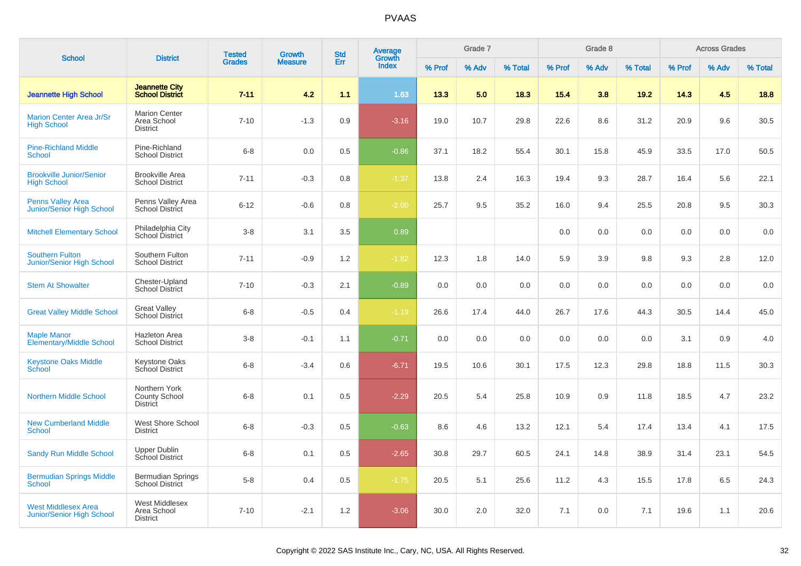| <b>School</b>                                           | <b>District</b>                                          | <b>Tested</b> | Growth         | <b>Std</b> | Average<br>Growth |        | Grade 7 |         |        | Grade 8 |         |        | <b>Across Grades</b> |         |
|---------------------------------------------------------|----------------------------------------------------------|---------------|----------------|------------|-------------------|--------|---------|---------|--------|---------|---------|--------|----------------------|---------|
|                                                         |                                                          | <b>Grades</b> | <b>Measure</b> | Err        | Index             | % Prof | % Adv   | % Total | % Prof | % Adv   | % Total | % Prof | % Adv                | % Total |
| <b>Jeannette High School</b>                            | <b>Jeannette City</b><br><b>School District</b>          | $7 - 11$      | 4.2            | 1.1        | 1.63              | 13.3   | 5.0     | 18.3    | 15.4   | 3.8     | 19.2    | 14.3   | 4.5                  | 18.8    |
| <b>Marion Center Area Jr/Sr</b><br><b>High School</b>   | <b>Marion Center</b><br>Area School<br><b>District</b>   | $7 - 10$      | $-1.3$         | 0.9        | $-3.16$           | 19.0   | 10.7    | 29.8    | 22.6   | 8.6     | 31.2    | 20.9   | 9.6                  | 30.5    |
| <b>Pine-Richland Middle</b><br><b>School</b>            | Pine-Richland<br><b>School District</b>                  | $6 - 8$       | 0.0            | 0.5        | $-0.86$           | 37.1   | 18.2    | 55.4    | 30.1   | 15.8    | 45.9    | 33.5   | 17.0                 | 50.5    |
| <b>Brookville Junior/Senior</b><br><b>High School</b>   | <b>Brookville Area</b><br><b>School District</b>         | $7 - 11$      | $-0.3$         | 0.8        | $-1.37$           | 13.8   | 2.4     | 16.3    | 19.4   | 9.3     | 28.7    | 16.4   | 5.6                  | 22.1    |
| <b>Penns Valley Area</b><br>Junior/Senior High School   | Penns Valley Area<br><b>School District</b>              | $6 - 12$      | $-0.6$         | 0.8        | $-2.00$           | 25.7   | 9.5     | 35.2    | 16.0   | 9.4     | 25.5    | 20.8   | 9.5                  | 30.3    |
| <b>Mitchell Elementary School</b>                       | Philadelphia City<br>School District                     | $3 - 8$       | 3.1            | 3.5        | 0.89              |        |         |         | 0.0    | 0.0     | 0.0     | 0.0    | 0.0                  | 0.0     |
| <b>Southern Fulton</b><br>Junior/Senior High School     | Southern Fulton<br><b>School District</b>                | $7 - 11$      | $-0.9$         | 1.2        | $-1.82$           | 12.3   | 1.8     | 14.0    | 5.9    | 3.9     | 9.8     | 9.3    | 2.8                  | 12.0    |
| <b>Stem At Showalter</b>                                | Chester-Upland<br><b>School District</b>                 | $7 - 10$      | $-0.3$         | 2.1        | $-0.89$           | 0.0    | 0.0     | 0.0     | 0.0    | 0.0     | 0.0     | 0.0    | 0.0                  | 0.0     |
| <b>Great Valley Middle School</b>                       | <b>Great Valley</b><br><b>School District</b>            | $6 - 8$       | $-0.5$         | 0.4        | $-1.19$           | 26.6   | 17.4    | 44.0    | 26.7   | 17.6    | 44.3    | 30.5   | 14.4                 | 45.0    |
| <b>Maple Manor</b><br><b>Elementary/Middle School</b>   | <b>Hazleton Area</b><br><b>School District</b>           | $3-8$         | $-0.1$         | 1.1        | $-0.71$           | 0.0    | 0.0     | 0.0     | 0.0    | 0.0     | 0.0     | 3.1    | 0.9                  | 4.0     |
| <b>Keystone Oaks Middle</b><br>School                   | Keystone Oaks<br>School District                         | $6 - 8$       | $-3.4$         | 0.6        | $-6.71$           | 19.5   | 10.6    | 30.1    | 17.5   | 12.3    | 29.8    | 18.8   | 11.5                 | 30.3    |
| <b>Northern Middle School</b>                           | Northern York<br><b>County School</b><br><b>District</b> | $6 - 8$       | 0.1            | 0.5        | $-2.29$           | 20.5   | 5.4     | 25.8    | 10.9   | 0.9     | 11.8    | 18.5   | 4.7                  | 23.2    |
| <b>New Cumberland Middle</b><br><b>School</b>           | West Shore School<br><b>District</b>                     | $6 - 8$       | $-0.3$         | 0.5        | $-0.63$           | 8.6    | 4.6     | 13.2    | 12.1   | 5.4     | 17.4    | 13.4   | 4.1                  | 17.5    |
| <b>Sandy Run Middle School</b>                          | Upper Dublin<br>School District                          | $6 - 8$       | 0.1            | 0.5        | $-2.65$           | 30.8   | 29.7    | 60.5    | 24.1   | 14.8    | 38.9    | 31.4   | 23.1                 | 54.5    |
| <b>Bermudian Springs Middle</b><br><b>School</b>        | <b>Bermudian Springs</b><br><b>School District</b>       | $5 - 8$       | 0.4            | 0.5        | $-1.75$           | 20.5   | 5.1     | 25.6    | 11.2   | 4.3     | 15.5    | 17.8   | 6.5                  | 24.3    |
| <b>West Middlesex Area</b><br>Junior/Senior High School | West Middlesex<br>Area School<br><b>District</b>         | $7 - 10$      | $-2.1$         | 1.2        | $-3.06$           | 30.0   | 2.0     | 32.0    | 7.1    | 0.0     | 7.1     | 19.6   | 1.1                  | 20.6    |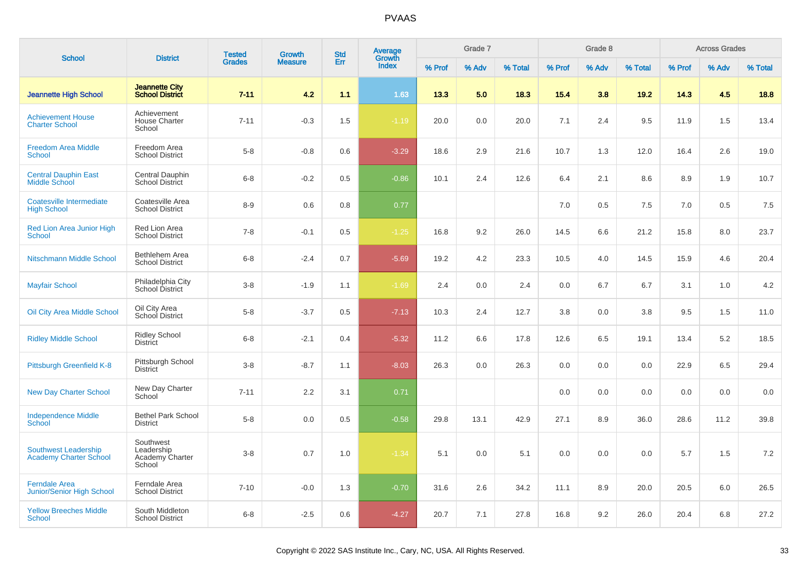| <b>School</b>                                                | <b>District</b>                                      | <b>Tested</b> | <b>Growth</b>  | <b>Std</b> | Average<br>Growth |        | Grade 7 |         |        | Grade 8 |         |        | <b>Across Grades</b> |         |
|--------------------------------------------------------------|------------------------------------------------------|---------------|----------------|------------|-------------------|--------|---------|---------|--------|---------|---------|--------|----------------------|---------|
|                                                              |                                                      | <b>Grades</b> | <b>Measure</b> | Err        | <b>Index</b>      | % Prof | % Adv   | % Total | % Prof | % Adv   | % Total | % Prof | % Adv                | % Total |
| <b>Jeannette High School</b>                                 | <b>Jeannette City</b><br><b>School District</b>      | $7 - 11$      | 4.2            | 1.1        | 1.63              | 13.3   | 5.0     | 18.3    | 15.4   | 3.8     | 19.2    | 14.3   | 4.5                  | 18.8    |
| <b>Achievement House</b><br><b>Charter School</b>            | Achievement<br><b>House Charter</b><br>School        | $7 - 11$      | $-0.3$         | 1.5        | $-1.19$           | 20.0   | 0.0     | 20.0    | 7.1    | 2.4     | 9.5     | 11.9   | 1.5                  | 13.4    |
| <b>Freedom Area Middle</b><br><b>School</b>                  | Freedom Area<br><b>School District</b>               | $5-8$         | $-0.8$         | 0.6        | $-3.29$           | 18.6   | 2.9     | 21.6    | 10.7   | 1.3     | 12.0    | 16.4   | 2.6                  | 19.0    |
| <b>Central Dauphin East</b><br><b>Middle School</b>          | <b>Central Dauphin</b><br><b>School District</b>     | $6-8$         | $-0.2$         | 0.5        | $-0.86$           | 10.1   | 2.4     | 12.6    | 6.4    | 2.1     | 8.6     | 8.9    | 1.9                  | 10.7    |
| Coatesville Intermediate<br><b>High School</b>               | Coatesville Area<br><b>School District</b>           | $8-9$         | 0.6            | 0.8        | 0.77              |        |         |         | 7.0    | 0.5     | 7.5     | 7.0    | 0.5                  | 7.5     |
| Red Lion Area Junior High<br><b>School</b>                   | Red Lion Area<br><b>School District</b>              | $7 - 8$       | $-0.1$         | 0.5        | $-1.25$           | 16.8   | 9.2     | 26.0    | 14.5   | 6.6     | 21.2    | 15.8   | 8.0                  | 23.7    |
| Nitschmann Middle School                                     | Bethlehem Area<br><b>School District</b>             | $6-8$         | $-2.4$         | 0.7        | $-5.69$           | 19.2   | 4.2     | 23.3    | 10.5   | 4.0     | 14.5    | 15.9   | 4.6                  | 20.4    |
| <b>Mayfair School</b>                                        | Philadelphia City<br>School District                 | $3 - 8$       | $-1.9$         | 1.1        | $-1.69$           | 2.4    | 0.0     | 2.4     | 0.0    | 6.7     | 6.7     | 3.1    | 1.0                  | 4.2     |
| Oil City Area Middle School                                  | Oil City Area<br>School District                     | $5 - 8$       | $-3.7$         | 0.5        | $-7.13$           | 10.3   | 2.4     | 12.7    | 3.8    | 0.0     | 3.8     | 9.5    | 1.5                  | 11.0    |
| <b>Ridley Middle School</b>                                  | Ridley School<br><b>District</b>                     | $6 - 8$       | $-2.1$         | 0.4        | $-5.32$           | 11.2   | 6.6     | 17.8    | 12.6   | 6.5     | 19.1    | 13.4   | 5.2                  | 18.5    |
| Pittsburgh Greenfield K-8                                    | Pittsburgh School<br><b>District</b>                 | $3 - 8$       | $-8.7$         | 1.1        | $-8.03$           | 26.3   | 0.0     | 26.3    | 0.0    | 0.0     | 0.0     | 22.9   | 6.5                  | 29.4    |
| <b>New Day Charter School</b>                                | New Day Charter<br>School                            | $7 - 11$      | 2.2            | 3.1        | 0.71              |        |         |         | 0.0    | 0.0     | 0.0     | 0.0    | 0.0                  | 0.0     |
| <b>Independence Middle</b><br>School                         | <b>Bethel Park School</b><br><b>District</b>         | $5-8$         | 0.0            | 0.5        | $-0.58$           | 29.8   | 13.1    | 42.9    | 27.1   | 8.9     | 36.0    | 28.6   | 11.2                 | 39.8    |
| <b>Southwest Leadership</b><br><b>Academy Charter School</b> | Southwest<br>Leadership<br>Academy Charter<br>School | $3-8$         | 0.7            | 1.0        | $-1.34$           | 5.1    | 0.0     | 5.1     | 0.0    | 0.0     | 0.0     | 5.7    | 1.5                  | 7.2     |
| <b>Ferndale Area</b><br>Junior/Senior High School            | Ferndale Area<br><b>School District</b>              | $7 - 10$      | $-0.0$         | 1.3        | $-0.70$           | 31.6   | 2.6     | 34.2    | 11.1   | 8.9     | 20.0    | 20.5   | 6.0                  | 26.5    |
| <b>Yellow Breeches Middle</b><br><b>School</b>               | South Middleton<br><b>School District</b>            | $6 - 8$       | $-2.5$         | 0.6        | $-4.27$           | 20.7   | 7.1     | 27.8    | 16.8   | 9.2     | 26.0    | 20.4   | 6.8                  | 27.2    |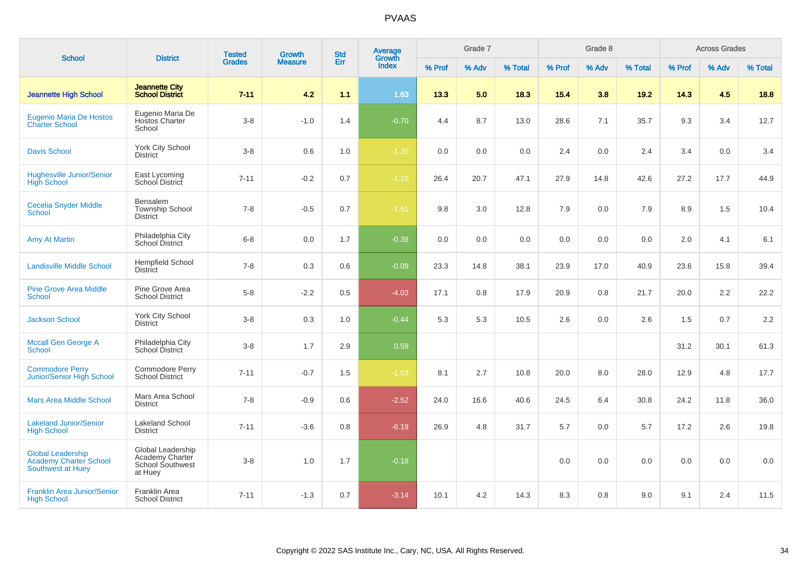| <b>School</b>                                                                  | <b>District</b>                                                            | <b>Tested</b> | <b>Growth</b>  | <b>Std</b> | Average<br>Growth |        | Grade 7 |         |        | Grade 8 |         |        | <b>Across Grades</b> |         |
|--------------------------------------------------------------------------------|----------------------------------------------------------------------------|---------------|----------------|------------|-------------------|--------|---------|---------|--------|---------|---------|--------|----------------------|---------|
|                                                                                |                                                                            | <b>Grades</b> | <b>Measure</b> | Err        | <b>Index</b>      | % Prof | % Adv   | % Total | % Prof | % Adv   | % Total | % Prof | % Adv                | % Total |
| <b>Jeannette High School</b>                                                   | <b>Jeannette City</b><br><b>School District</b>                            | $7 - 11$      | 4.2            | 1.1        | 1.63              | 13.3   | 5.0     | 18.3    | 15.4   | 3.8     | 19.2    | 14.3   | 4.5                  | 18.8    |
| <b>Eugenio Maria De Hostos</b><br><b>Charter School</b>                        | Eugenio Maria De<br>Hostos Charter<br>School                               | $3 - 8$       | $-1.0$         | 1.4        | $-0.70$           | 4.4    | 8.7     | 13.0    | 28.6   | 7.1     | 35.7    | 9.3    | 3.4                  | 12.7    |
| <b>Davis School</b>                                                            | York City School<br><b>District</b>                                        | $3-8$         | 0.6            | 1.0        | $-1.20$           | 0.0    | 0.0     | 0.0     | 2.4    | 0.0     | 2.4     | 3.4    | 0.0                  | 3.4     |
| <b>Hughesville Junior/Senior</b><br><b>High School</b>                         | East Lycoming<br>School District                                           | $7 - 11$      | $-0.2$         | 0.7        | $-1.10$           | 26.4   | 20.7    | 47.1    | 27.9   | 14.8    | 42.6    | 27.2   | 17.7                 | 44.9    |
| Cecelia Snyder Middle<br><b>School</b>                                         | Bensalem<br><b>Township School</b><br><b>District</b>                      | $7 - 8$       | $-0.5$         | 0.7        | $-1.51$           | 9.8    | 3.0     | 12.8    | 7.9    | 0.0     | 7.9     | 8.9    | 1.5                  | 10.4    |
| <b>Amy At Martin</b>                                                           | Philadelphia City<br>School District                                       | $6 - 8$       | 0.0            | 1.7        | $-0.38$           | 0.0    | 0.0     | 0.0     | 0.0    | 0.0     | 0.0     | 2.0    | 4.1                  | 6.1     |
| <b>Landisville Middle School</b>                                               | <b>Hempfield School</b><br><b>District</b>                                 | $7 - 8$       | 0.3            | 0.6        | $-0.09$           | 23.3   | 14.8    | 38.1    | 23.9   | 17.0    | 40.9    | 23.6   | 15.8                 | 39.4    |
| <b>Pine Grove Area Middle</b><br><b>School</b>                                 | Pine Grove Area<br><b>School District</b>                                  | $5-8$         | $-2.2$         | 0.5        | $-4.03$           | 17.1   | 0.8     | 17.9    | 20.9   | 0.8     | 21.7    | 20.0   | 2.2                  | 22.2    |
| <b>Jackson School</b>                                                          | <b>York City School</b><br><b>District</b>                                 | $3 - 8$       | 0.3            | 1.0        | $-0.44$           | 5.3    | 5.3     | 10.5    | 2.6    | 0.0     | 2.6     | 1.5    | 0.7                  | 2.2     |
| <b>Mccall Gen George A</b><br><b>School</b>                                    | Philadelphia City<br>School District                                       | $3 - 8$       | 1.7            | 2.9        | 0.59              |        |         |         |        |         |         | 31.2   | 30.1                 | 61.3    |
| <b>Commodore Perry</b><br>Junior/Senior High School                            | Commodore Perry<br><b>School District</b>                                  | $7 - 11$      | $-0.7$         | 1.5        | $-1.03$           | 8.1    | 2.7     | 10.8    | 20.0   | 8.0     | 28.0    | 12.9   | 4.8                  | 17.7    |
| <b>Mars Area Middle School</b>                                                 | Mars Area School<br><b>District</b>                                        | $7 - 8$       | $-0.9$         | 0.6        | $-2.52$           | 24.0   | 16.6    | 40.6    | 24.5   | 6.4     | 30.8    | 24.2   | 11.8                 | 36.0    |
| <b>Lakeland Junior/Senior</b><br><b>High School</b>                            | <b>Lakeland School</b><br><b>District</b>                                  | $7 - 11$      | $-3.6$         | 0.8        | $-6.19$           | 26.9   | 4.8     | 31.7    | 5.7    | 0.0     | 5.7     | 17.2   | 2.6                  | 19.8    |
| <b>Global Leadership</b><br><b>Academy Charter School</b><br>Southwest at Huey | Global Leadership<br>Academy Charter<br><b>School Southwest</b><br>at Huey | $3 - 8$       | 1.0            | 1.7        | $-0.18$           |        |         |         | 0.0    | 0.0     | 0.0     | 0.0    | 0.0                  | 0.0     |
| <b>Franklin Area Junior/Senior</b><br><b>High School</b>                       | Franklin Area<br><b>School District</b>                                    | $7 - 11$      | $-1.3$         | 0.7        | $-3.14$           | 10.1   | 4.2     | 14.3    | 8.3    | 0.8     | 9.0     | 9.1    | 2.4                  | 11.5    |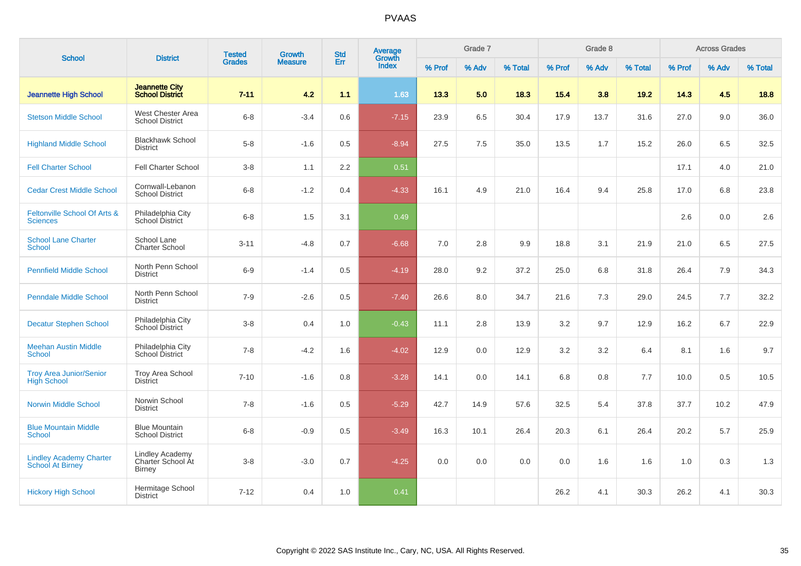|                                                           |                                                              | <b>Tested</b> | <b>Growth</b>  | <b>Std</b> | <b>Average</b><br>Growth |        | Grade 7 |         |        | Grade 8 |         |        | <b>Across Grades</b> |         |
|-----------------------------------------------------------|--------------------------------------------------------------|---------------|----------------|------------|--------------------------|--------|---------|---------|--------|---------|---------|--------|----------------------|---------|
| <b>School</b>                                             | <b>District</b>                                              | <b>Grades</b> | <b>Measure</b> | Err        | <b>Index</b>             | % Prof | % Adv   | % Total | % Prof | % Adv   | % Total | % Prof | % Adv                | % Total |
| <b>Jeannette High School</b>                              | <b>Jeannette City</b><br><b>School District</b>              | $7 - 11$      | 4.2            | 1.1        | 1.63                     | 13.3   | 5.0     | 18.3    | 15.4   | 3.8     | 19.2    | 14.3   | 4.5                  | 18.8    |
| <b>Stetson Middle School</b>                              | West Chester Area<br><b>School District</b>                  | $6 - 8$       | $-3.4$         | 0.6        | $-7.15$                  | 23.9   | 6.5     | 30.4    | 17.9   | 13.7    | 31.6    | 27.0   | 9.0                  | 36.0    |
| <b>Highland Middle School</b>                             | <b>Blackhawk School</b><br><b>District</b>                   | $5-8$         | $-1.6$         | 0.5        | $-8.94$                  | 27.5   | 7.5     | 35.0    | 13.5   | 1.7     | 15.2    | 26.0   | 6.5                  | 32.5    |
| <b>Fell Charter School</b>                                | <b>Fell Charter School</b>                                   | $3-8$         | 1.1            | 2.2        | 0.51                     |        |         |         |        |         |         | 17.1   | 4.0                  | 21.0    |
| <b>Cedar Crest Middle School</b>                          | Cornwall-Lebanon<br><b>School District</b>                   | $6 - 8$       | $-1.2$         | 0.4        | $-4.33$                  | 16.1   | 4.9     | 21.0    | 16.4   | 9.4     | 25.8    | 17.0   | 6.8                  | 23.8    |
| Feltonville School Of Arts &<br><b>Sciences</b>           | Philadelphia City<br>School District                         | $6 - 8$       | 1.5            | 3.1        | 0.49                     |        |         |         |        |         |         | 2.6    | 0.0                  | 2.6     |
| <b>School Lane Charter</b><br><b>School</b>               | School Lane<br><b>Charter School</b>                         | $3 - 11$      | $-4.8$         | 0.7        | $-6.68$                  | 7.0    | 2.8     | 9.9     | 18.8   | 3.1     | 21.9    | 21.0   | 6.5                  | 27.5    |
| <b>Pennfield Middle School</b>                            | North Penn School<br><b>District</b>                         | $6-9$         | $-1.4$         | 0.5        | $-4.19$                  | 28.0   | 9.2     | 37.2    | 25.0   | 6.8     | 31.8    | 26.4   | 7.9                  | 34.3    |
| <b>Penndale Middle School</b>                             | North Penn School<br><b>District</b>                         | $7 - 9$       | $-2.6$         | 0.5        | $-7.40$                  | 26.6   | 8.0     | 34.7    | 21.6   | $7.3$   | 29.0    | 24.5   | 7.7                  | 32.2    |
| <b>Decatur Stephen School</b>                             | Philadelphia City<br>School District                         | $3-8$         | 0.4            | 1.0        | $-0.43$                  | 11.1   | 2.8     | 13.9    | 3.2    | 9.7     | 12.9    | 16.2   | 6.7                  | 22.9    |
| <b>Meehan Austin Middle</b><br><b>School</b>              | Philadelphia City<br>School District                         | $7 - 8$       | $-4.2$         | 1.6        | $-4.02$                  | 12.9   | 0.0     | 12.9    | 3.2    | 3.2     | 6.4     | 8.1    | 1.6                  | 9.7     |
| <b>Troy Area Junior/Senior</b><br><b>High School</b>      | <b>Troy Area School</b><br><b>District</b>                   | $7 - 10$      | $-1.6$         | 0.8        | $-3.28$                  | 14.1   | 0.0     | 14.1    | 6.8    | 0.8     | 7.7     | 10.0   | 0.5                  | 10.5    |
| <b>Norwin Middle School</b>                               | Norwin School<br><b>District</b>                             | $7 - 8$       | $-1.6$         | 0.5        | $-5.29$                  | 42.7   | 14.9    | 57.6    | 32.5   | 5.4     | 37.8    | 37.7   | 10.2                 | 47.9    |
| <b>Blue Mountain Middle</b><br><b>School</b>              | <b>Blue Mountain</b><br><b>School District</b>               | $6 - 8$       | $-0.9$         | 0.5        | $-3.49$                  | 16.3   | 10.1    | 26.4    | 20.3   | 6.1     | 26.4    | 20.2   | 5.7                  | 25.9    |
| <b>Lindley Academy Charter</b><br><b>School At Birney</b> | <b>Lindley Academy</b><br>Charter School At<br><b>Birney</b> | $3 - 8$       | $-3.0$         | 0.7        | $-4.25$                  | 0.0    | 0.0     | 0.0     | 0.0    | 1.6     | 1.6     | 1.0    | 0.3                  | 1.3     |
| <b>Hickory High School</b>                                | Hermitage School<br><b>District</b>                          | $7 - 12$      | 0.4            | 1.0        | 0.41                     |        |         |         | 26.2   | 4.1     | 30.3    | 26.2   | 4.1                  | 30.3    |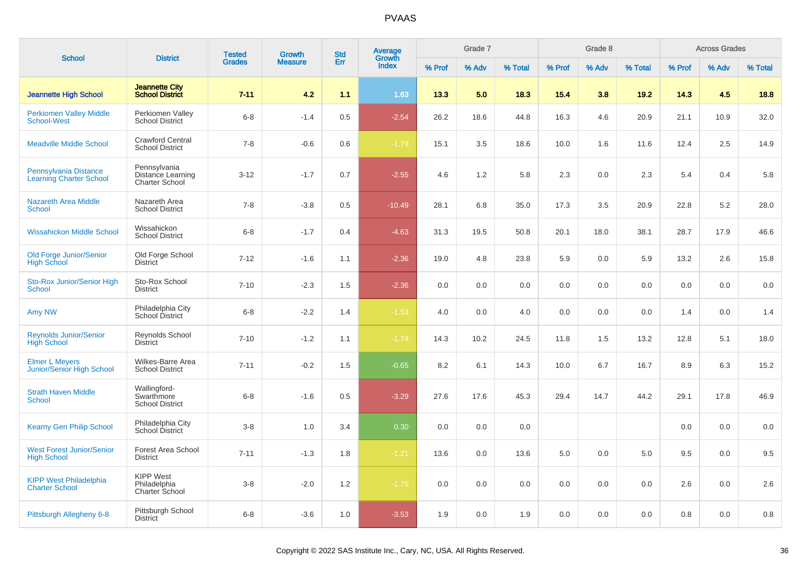|                                                           |                                                            | <b>Tested</b> | <b>Growth</b>  | <b>Std</b> | Average<br>Growth |        | Grade 7 |         |        | Grade 8 |         |        | <b>Across Grades</b> |         |
|-----------------------------------------------------------|------------------------------------------------------------|---------------|----------------|------------|-------------------|--------|---------|---------|--------|---------|---------|--------|----------------------|---------|
| <b>School</b>                                             | <b>District</b>                                            | <b>Grades</b> | <b>Measure</b> | Err        | Index             | % Prof | % Adv   | % Total | % Prof | % Adv   | % Total | % Prof | % Adv                | % Total |
| <b>Jeannette High School</b>                              | <b>Jeannette City</b><br><b>School District</b>            | $7 - 11$      | 4.2            | 1.1        | 1.63              | 13.3   | 5.0     | 18.3    | 15.4   | 3.8     | 19.2    | 14.3   | 4.5                  | 18.8    |
| <b>Perkiomen Valley Middle</b><br><b>School-West</b>      | Perkiomen Valley<br><b>School District</b>                 | $6 - 8$       | $-1.4$         | 0.5        | $-2.54$           | 26.2   | 18.6    | 44.8    | 16.3   | 4.6     | 20.9    | 21.1   | 10.9                 | 32.0    |
| <b>Meadville Middle School</b>                            | <b>Crawford Central</b><br><b>School District</b>          | $7 - 8$       | $-0.6$         | 0.6        | $-1.79$           | 15.1   | 3.5     | 18.6    | 10.0   | 1.6     | 11.6    | 12.4   | 2.5                  | 14.9    |
| Pennsylvania Distance<br><b>Learning Charter School</b>   | Pennsylvania<br>Distance Learning<br><b>Charter School</b> | $3 - 12$      | $-1.7$         | 0.7        | $-2.55$           | 4.6    | 1.2     | 5.8     | 2.3    | 0.0     | 2.3     | 5.4    | 0.4                  | 5.8     |
| <b>Nazareth Area Middle</b><br><b>School</b>              | Nazareth Area<br><b>School District</b>                    | $7 - 8$       | $-3.8$         | 0.5        | $-10.49$          | 28.1   | 6.8     | 35.0    | 17.3   | 3.5     | 20.9    | 22.8   | 5.2                  | 28.0    |
| <b>Wissahickon Middle School</b>                          | Wissahickon<br><b>School District</b>                      | $6 - 8$       | $-1.7$         | 0.4        | $-4.63$           | 31.3   | 19.5    | 50.8    | 20.1   | 18.0    | 38.1    | 28.7   | 17.9                 | 46.6    |
| Old Forge Junior/Senior<br><b>High School</b>             | Old Forge School<br><b>District</b>                        | $7 - 12$      | $-1.6$         | 1.1        | $-2.36$           | 19.0   | 4.8     | 23.8    | 5.9    | 0.0     | 5.9     | 13.2   | 2.6                  | 15.8    |
| Sto-Rox Junior/Senior High<br><b>School</b>               | Sto-Rox School<br><b>District</b>                          | $7 - 10$      | $-2.3$         | 1.5        | $-2.36$           | 0.0    | 0.0     | 0.0     | 0.0    | 0.0     | 0.0     | 0.0    | 0.0                  | $0.0\,$ |
| Amy NW                                                    | Philadelphia City<br>School District                       | $6 - 8$       | $-2.2$         | 1.4        | $-1.53$           | 4.0    | 0.0     | 4.0     | 0.0    | 0.0     | 0.0     | 1.4    | 0.0                  | 1.4     |
| Reynolds Junior/Senior<br><b>High School</b>              | Reynolds School<br><b>District</b>                         | $7 - 10$      | $-1.2$         | 1.1        | $-1.74$           | 14.3   | 10.2    | 24.5    | 11.8   | 1.5     | 13.2    | 12.8   | 5.1                  | 18.0    |
| <b>Elmer L Meyers</b><br><b>Junior/Senior High School</b> | Wilkes-Barre Area<br><b>School District</b>                | $7 - 11$      | $-0.2$         | 1.5        | $-0.65$           | 8.2    | 6.1     | 14.3    | 10.0   | 6.7     | 16.7    | 8.9    | 6.3                  | 15.2    |
| <b>Strath Haven Middle</b><br><b>School</b>               | Wallingford-<br>Swarthmore<br><b>School District</b>       | $6 - 8$       | $-1.6$         | 0.5        | $-3.29$           | 27.6   | 17.6    | 45.3    | 29.4   | 14.7    | 44.2    | 29.1   | 17.8                 | 46.9    |
| <b>Kearny Gen Philip School</b>                           | Philadelphia City<br>School District                       | $3 - 8$       | 1.0            | 3.4        | 0.30              | 0.0    | 0.0     | 0.0     |        |         |         | 0.0    | 0.0                  | 0.0     |
| <b>West Forest Junior/Senior</b><br><b>High School</b>    | Forest Area School<br><b>District</b>                      | $7 - 11$      | $-1.3$         | 1.8        | $-1.21$           | 13.6   | 0.0     | 13.6    | 5.0    | 0.0     | 5.0     | 9.5    | 0.0                  | 9.5     |
| <b>KIPP West Philadelphia</b><br><b>Charter School</b>    | <b>KIPP West</b><br>Philadelphia<br><b>Charter School</b>  | $3 - 8$       | $-2.0$         | 1.2        | $-1.75$           | 0.0    | 0.0     | 0.0     | 0.0    | 0.0     | 0.0     | 2.6    | 0.0                  | 2.6     |
| Pittsburgh Allegheny 6-8                                  | Pittsburgh School<br><b>District</b>                       | $6 - 8$       | $-3.6$         | 1.0        | $-3.53$           | 1.9    | 0.0     | 1.9     | 0.0    | 0.0     | 0.0     | 0.8    | 0.0                  | 0.8     |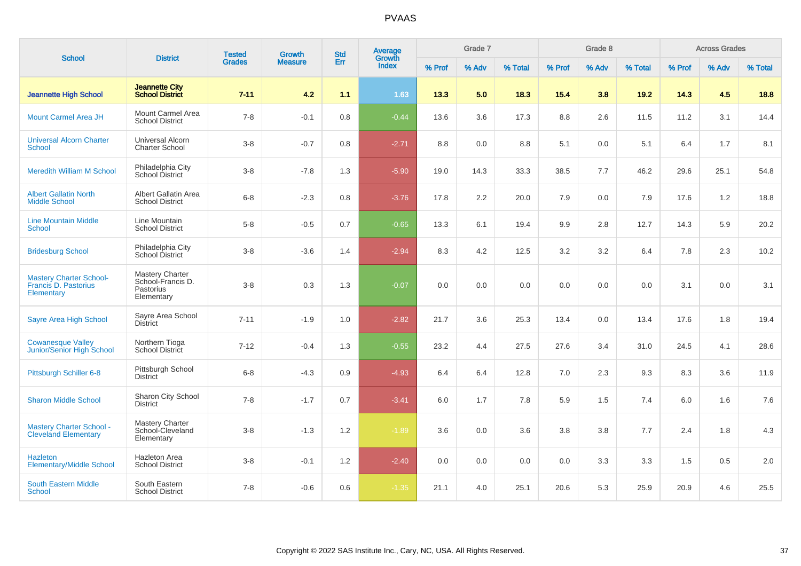| <b>School</b>                                                        |                                                                        | <b>Tested</b> | Growth         | <b>Std</b> | Average<br>Growth |        | Grade 7 |         |        | Grade 8 |         |        | <b>Across Grades</b> |         |
|----------------------------------------------------------------------|------------------------------------------------------------------------|---------------|----------------|------------|-------------------|--------|---------|---------|--------|---------|---------|--------|----------------------|---------|
|                                                                      | <b>District</b>                                                        | <b>Grades</b> | <b>Measure</b> | Err        | <b>Index</b>      | % Prof | % Adv   | % Total | % Prof | % Adv   | % Total | % Prof | % Adv                | % Total |
| <b>Jeannette High School</b>                                         | <b>Jeannette City</b><br><b>School District</b>                        | $7 - 11$      | 4.2            | 1.1        | 1.63              | 13.3   | 5.0     | 18.3    | 15.4   | 3.8     | 19.2    | 14.3   | 4.5                  | 18.8    |
| <b>Mount Carmel Area JH</b>                                          | Mount Carmel Area<br><b>School District</b>                            | $7 - 8$       | $-0.1$         | 0.8        | $-0.44$           | 13.6   | 3.6     | 17.3    | 8.8    | 2.6     | 11.5    | 11.2   | 3.1                  | 14.4    |
| <b>Universal Alcorn Charter</b><br><b>School</b>                     | Universal Alcorn<br><b>Charter School</b>                              | $3 - 8$       | $-0.7$         | 0.8        | $-2.71$           | 8.8    | 0.0     | 8.8     | 5.1    | 0.0     | 5.1     | 6.4    | 1.7                  | 8.1     |
| <b>Meredith William M School</b>                                     | Philadelphia City<br>School District                                   | $3 - 8$       | $-7.8$         | 1.3        | $-5.90$           | 19.0   | 14.3    | 33.3    | 38.5   | 7.7     | 46.2    | 29.6   | 25.1                 | 54.8    |
| <b>Albert Gallatin North</b><br><b>Middle School</b>                 | Albert Gallatin Area<br><b>School District</b>                         | $6 - 8$       | $-2.3$         | 0.8        | $-3.76$           | 17.8   | 2.2     | 20.0    | 7.9    | 0.0     | 7.9     | 17.6   | 1.2                  | 18.8    |
| <b>Line Mountain Middle</b><br><b>School</b>                         | Line Mountain<br><b>School District</b>                                | $5 - 8$       | $-0.5$         | 0.7        | $-0.65$           | 13.3   | 6.1     | 19.4    | 9.9    | 2.8     | 12.7    | 14.3   | 5.9                  | 20.2    |
| <b>Bridesburg School</b>                                             | Philadelphia City<br>School District                                   | $3 - 8$       | $-3.6$         | 1.4        | $-2.94$           | 8.3    | 4.2     | 12.5    | 3.2    | 3.2     | 6.4     | 7.8    | 2.3                  | 10.2    |
| <b>Mastery Charter School-</b><br>Francis D. Pastorius<br>Elementary | <b>Mastery Charter</b><br>School-Francis D.<br>Pastorius<br>Elementary | $3 - 8$       | 0.3            | 1.3        | $-0.07$           | 0.0    | 0.0     | 0.0     | 0.0    | 0.0     | 0.0     | 3.1    | 0.0                  | 3.1     |
| Sayre Area High School                                               | Sayre Area School<br><b>District</b>                                   | $7 - 11$      | $-1.9$         | 1.0        | $-2.82$           | 21.7   | 3.6     | 25.3    | 13.4   | 0.0     | 13.4    | 17.6   | 1.8                  | 19.4    |
| <b>Cowanesque Valley</b><br>Junior/Senior High School                | Northern Tioga<br>School District                                      | $7 - 12$      | $-0.4$         | 1.3        | $-0.55$           | 23.2   | 4.4     | 27.5    | 27.6   | 3.4     | 31.0    | 24.5   | 4.1                  | 28.6    |
| Pittsburgh Schiller 6-8                                              | Pittsburgh School<br><b>District</b>                                   | $6 - 8$       | $-4.3$         | 0.9        | $-4.93$           | 6.4    | 6.4     | 12.8    | 7.0    | 2.3     | 9.3     | 8.3    | 3.6                  | 11.9    |
| <b>Sharon Middle School</b>                                          | Sharon City School<br><b>District</b>                                  | $7 - 8$       | $-1.7$         | 0.7        | $-3.41$           | 6.0    | 1.7     | 7.8     | 5.9    | 1.5     | 7.4     | 6.0    | 1.6                  | 7.6     |
| <b>Mastery Charter School -</b><br><b>Cleveland Elementary</b>       | Mastery Charter<br>School-Cleveland<br>Elementary                      | $3 - 8$       | $-1.3$         | 1.2        | $-1.89$           | 3.6    | 0.0     | 3.6     | 3.8    | 3.8     | 7.7     | 2.4    | 1.8                  | 4.3     |
| <b>Hazleton</b><br><b>Elementary/Middle School</b>                   | <b>Hazleton Area</b><br><b>School District</b>                         | $3 - 8$       | $-0.1$         | 1.2        | $-2.40$           | 0.0    | 0.0     | 0.0     | 0.0    | 3.3     | 3.3     | 1.5    | 0.5                  | 2.0     |
| <b>South Eastern Middle</b><br><b>School</b>                         | South Eastern<br><b>School District</b>                                | $7 - 8$       | $-0.6$         | 0.6        | $-1.35$           | 21.1   | 4.0     | 25.1    | 20.6   | 5.3     | 25.9    | 20.9   | 4.6                  | 25.5    |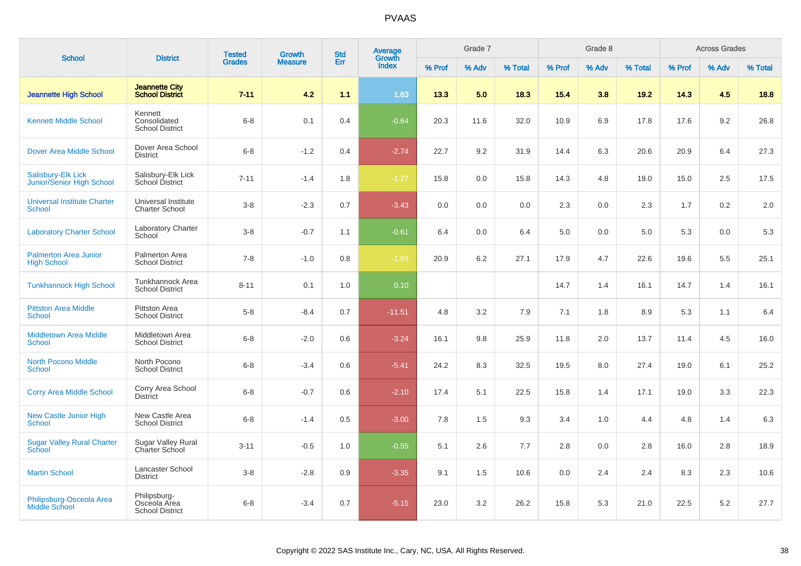| <b>School</b>                                          | <b>District</b>                                        | <b>Tested</b> | <b>Growth</b>  | <b>Std</b> | <b>Average</b><br>Growth |        | Grade 7 |         |        | Grade 8 |         |        | <b>Across Grades</b> |         |
|--------------------------------------------------------|--------------------------------------------------------|---------------|----------------|------------|--------------------------|--------|---------|---------|--------|---------|---------|--------|----------------------|---------|
|                                                        |                                                        | <b>Grades</b> | <b>Measure</b> | Err        | <b>Index</b>             | % Prof | % Adv   | % Total | % Prof | % Adv   | % Total | % Prof | % Adv                | % Total |
| <b>Jeannette High School</b>                           | <b>Jeannette City</b><br><b>School District</b>        | $7 - 11$      | 4.2            | 1.1        | 1.63                     | 13.3   | 5.0     | 18.3    | 15.4   | 3.8     | 19.2    | 14.3   | 4.5                  | 18.8    |
| <b>Kennett Middle School</b>                           | Kennett<br>Consolidated<br><b>School District</b>      | $6 - 8$       | 0.1            | 0.4        | $-0.64$                  | 20.3   | 11.6    | 32.0    | 10.9   | 6.9     | 17.8    | 17.6   | 9.2                  | 26.8    |
| <b>Dover Area Middle School</b>                        | Dover Area School<br><b>District</b>                   | $6 - 8$       | $-1.2$         | 0.4        | $-2.74$                  | 22.7   | 9.2     | 31.9    | 14.4   | 6.3     | 20.6    | 20.9   | 6.4                  | 27.3    |
| <b>Salisbury-Elk Lick</b><br>Junior/Senior High School | Salisbury-Elk Lick<br>School District                  | $7 - 11$      | $-1.4$         | 1.8        | $-1.27$                  | 15.8   | 0.0     | 15.8    | 14.3   | 4.8     | 19.0    | 15.0   | 2.5                  | 17.5    |
| <b>Universal Institute Charter</b><br><b>School</b>    | Universal Institute<br><b>Charter School</b>           | $3 - 8$       | $-2.3$         | 0.7        | $-3.43$                  | 0.0    | 0.0     | 0.0     | 2.3    | 0.0     | 2.3     | 1.7    | 0.2                  | 2.0     |
| <b>Laboratory Charter School</b>                       | <b>Laboratory Charter</b><br>School                    | $3 - 8$       | $-0.7$         | 1.1        | $-0.61$                  | 6.4    | 0.0     | 6.4     | 5.0    | 0.0     | 5.0     | 5.3    | 0.0                  | 5.3     |
| <b>Palmerton Area Junior</b><br><b>High School</b>     | Palmerton Area<br><b>School District</b>               | $7 - 8$       | $-1.0$         | 0.8        | $-1.89$                  | 20.9   | 6.2     | 27.1    | 17.9   | 4.7     | 22.6    | 19.6   | 5.5                  | 25.1    |
| <b>Tunkhannock High School</b>                         | Tunkhannock Area<br><b>School District</b>             | $8 - 11$      | 0.1            | 1.0        | 0.10                     |        |         |         | 14.7   | 1.4     | 16.1    | 14.7   | 1.4                  | 16.1    |
| <b>Pittston Area Middle</b><br><b>School</b>           | <b>Pittston Area</b><br><b>School District</b>         | $5-8$         | $-8.4$         | 0.7        | $-11.51$                 | 4.8    | 3.2     | 7.9     | 7.1    | 1.8     | 8.9     | 5.3    | 1.1                  | 6.4     |
| <b>Middletown Area Middle</b><br><b>School</b>         | Middletown Area<br><b>School District</b>              | $6 - 8$       | $-2.0$         | 0.6        | $-3.24$                  | 16.1   | 9.8     | 25.9    | 11.8   | 2.0     | 13.7    | 11.4   | 4.5                  | 16.0    |
| <b>North Pocono Middle</b><br><b>School</b>            | North Pocono<br><b>School District</b>                 | $6 - 8$       | $-3.4$         | 0.6        | $-5.41$                  | 24.2   | 8.3     | 32.5    | 19.5   | 8.0     | 27.4    | 19.0   | 6.1                  | 25.2    |
| <b>Corry Area Middle School</b>                        | Corry Area School<br><b>District</b>                   | $6 - 8$       | $-0.7$         | 0.6        | $-2.10$                  | 17.4   | 5.1     | 22.5    | 15.8   | 1.4     | 17.1    | 19.0   | 3.3                  | 22.3    |
| <b>New Castle Junior High</b><br><b>School</b>         | New Castle Area<br><b>School District</b>              | $6 - 8$       | $-1.4$         | 0.5        | $-3.00$                  | 7.8    | 1.5     | 9.3     | 3.4    | 1.0     | 4.4     | 4.8    | 1.4                  | 6.3     |
| <b>Sugar Valley Rural Charter</b><br><b>School</b>     | Sugar Valley Rural<br>Charter School                   | $3 - 11$      | $-0.5$         | 1.0        | $-0.55$                  | 5.1    | 2.6     | 7.7     | 2.8    | 0.0     | 2.8     | 16.0   | 2.8                  | 18.9    |
| <b>Martin School</b>                                   | Lancaster School<br><b>District</b>                    | $3-8$         | $-2.8$         | 0.9        | $-3.35$                  | 9.1    | 1.5     | 10.6    | 0.0    | 2.4     | 2.4     | 8.3    | 2.3                  | 10.6    |
| Philipsburg-Osceola Area<br><b>Middle School</b>       | Philipsburg-<br>Osceola Area<br><b>School District</b> | $6 - 8$       | $-3.4$         | 0.7        | $-5.15$                  | 23.0   | 3.2     | 26.2    | 15.8   | 5.3     | 21.0    | 22.5   | 5.2                  | 27.7    |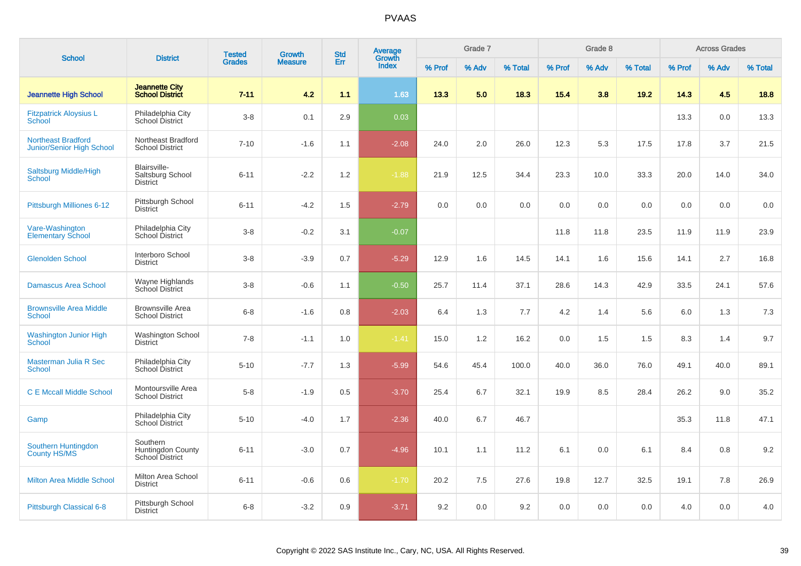|                                                        |                                                         | <b>Tested</b> | <b>Growth</b>  | <b>Std</b> | Average<br>Growth |        | Grade 7 |         |        | Grade 8 |         |        | <b>Across Grades</b> |         |
|--------------------------------------------------------|---------------------------------------------------------|---------------|----------------|------------|-------------------|--------|---------|---------|--------|---------|---------|--------|----------------------|---------|
| <b>School</b>                                          | <b>District</b>                                         | <b>Grades</b> | <b>Measure</b> | Err        | <b>Index</b>      | % Prof | % Adv   | % Total | % Prof | % Adv   | % Total | % Prof | % Adv                | % Total |
| <b>Jeannette High School</b>                           | <b>Jeannette City</b><br><b>School District</b>         | $7 - 11$      | 4.2            | 1.1        | 1.63              | 13.3   | 5.0     | 18.3    | 15.4   | 3.8     | 19.2    | 14.3   | 4.5                  | 18.8    |
| <b>Fitzpatrick Aloysius L</b><br><b>School</b>         | Philadelphia City<br>School District                    | $3 - 8$       | 0.1            | 2.9        | 0.03              |        |         |         |        |         |         | 13.3   | 0.0                  | 13.3    |
| <b>Northeast Bradford</b><br>Junior/Senior High School | Northeast Bradford<br><b>School District</b>            | $7 - 10$      | $-1.6$         | 1.1        | $-2.08$           | 24.0   | 2.0     | 26.0    | 12.3   | 5.3     | 17.5    | 17.8   | 3.7                  | 21.5    |
| Saltsburg Middle/High<br>School                        | Blairsville-<br>Saltsburg School<br><b>District</b>     | $6 - 11$      | $-2.2$         | 1.2        | $-1.88$           | 21.9   | 12.5    | 34.4    | 23.3   | 10.0    | 33.3    | 20.0   | 14.0                 | 34.0    |
| Pittsburgh Milliones 6-12                              | Pittsburgh School<br><b>District</b>                    | $6 - 11$      | $-4.2$         | 1.5        | $-2.79$           | 0.0    | 0.0     | 0.0     | 0.0    | 0.0     | 0.0     | 0.0    | 0.0                  | 0.0     |
| Vare-Washington<br><b>Elementary School</b>            | Philadelphia City<br>School District                    | $3 - 8$       | $-0.2$         | 3.1        | $-0.07$           |        |         |         | 11.8   | 11.8    | 23.5    | 11.9   | 11.9                 | 23.9    |
| <b>Glenolden School</b>                                | Interboro School<br><b>District</b>                     | $3 - 8$       | $-3.9$         | 0.7        | $-5.29$           | 12.9   | 1.6     | 14.5    | 14.1   | 1.6     | 15.6    | 14.1   | 2.7                  | 16.8    |
| <b>Damascus Area School</b>                            | Wayne Highlands<br><b>School District</b>               | $3 - 8$       | $-0.6$         | 1.1        | $-0.50$           | 25.7   | 11.4    | 37.1    | 28.6   | 14.3    | 42.9    | 33.5   | 24.1                 | 57.6    |
| <b>Brownsville Area Middle</b><br><b>School</b>        | <b>Brownsville Area</b><br><b>School District</b>       | $6 - 8$       | $-1.6$         | 0.8        | $-2.03$           | 6.4    | 1.3     | 7.7     | 4.2    | 1.4     | 5.6     | 6.0    | 1.3                  | 7.3     |
| <b>Washington Junior High</b><br><b>School</b>         | Washington School<br><b>District</b>                    | $7 - 8$       | $-1.1$         | 1.0        | $-1.41$           | 15.0   | 1.2     | 16.2    | 0.0    | 1.5     | 1.5     | 8.3    | 1.4                  | 9.7     |
| Masterman Julia R Sec<br><b>School</b>                 | Philadelphia City<br>School District                    | $5 - 10$      | $-7.7$         | 1.3        | $-5.99$           | 54.6   | 45.4    | 100.0   | 40.0   | 36.0    | 76.0    | 49.1   | 40.0                 | 89.1    |
| <b>C E Mccall Middle School</b>                        | Montoursville Area<br><b>School District</b>            | $5 - 8$       | $-1.9$         | 0.5        | $-3.70$           | 25.4   | 6.7     | 32.1    | 19.9   | 8.5     | 28.4    | 26.2   | 9.0                  | 35.2    |
| Gamp                                                   | Philadelphia City<br>School District                    | $5 - 10$      | $-4.0$         | 1.7        | $-2.36$           | 40.0   | 6.7     | 46.7    |        |         |         | 35.3   | 11.8                 | 47.1    |
| Southern Huntingdon<br><b>County HS/MS</b>             | Southern<br><b>Huntingdon County</b><br>School District | $6 - 11$      | $-3.0$         | 0.7        | $-4.96$           | 10.1   | 1.1     | 11.2    | 6.1    | 0.0     | 6.1     | 8.4    | 0.8                  | 9.2     |
| <b>Milton Area Middle School</b>                       | Milton Area School<br><b>District</b>                   | $6 - 11$      | $-0.6$         | 0.6        | $-1.70$           | 20.2   | 7.5     | 27.6    | 19.8   | 12.7    | 32.5    | 19.1   | 7.8                  | 26.9    |
| Pittsburgh Classical 6-8                               | Pittsburgh School<br><b>District</b>                    | $6 - 8$       | $-3.2$         | 0.9        | $-3.71$           | 9.2    | 0.0     | 9.2     | 0.0    | 0.0     | 0.0     | 4.0    | 0.0                  | 4.0     |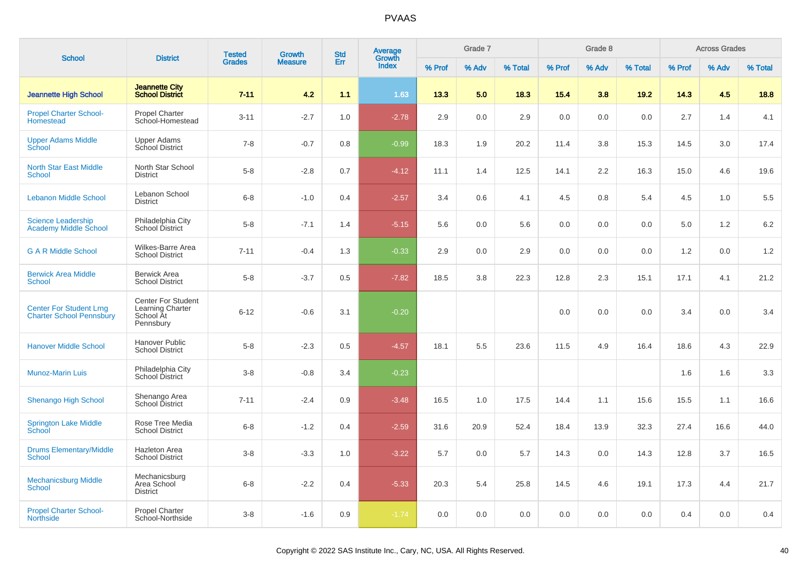|                                                                   |                                                                  | <b>Tested</b> | <b>Growth</b>  | <b>Std</b> | <b>Average</b>  |        | Grade 7 |         |        | Grade 8 |         |        | <b>Across Grades</b> |         |
|-------------------------------------------------------------------|------------------------------------------------------------------|---------------|----------------|------------|-----------------|--------|---------|---------|--------|---------|---------|--------|----------------------|---------|
| <b>School</b>                                                     | <b>District</b>                                                  | <b>Grades</b> | <b>Measure</b> | Err        | Growth<br>Index | % Prof | % Adv   | % Total | % Prof | % Adv   | % Total | % Prof | % Adv                | % Total |
| <b>Jeannette High School</b>                                      | <b>Jeannette City</b><br><b>School District</b>                  | $7 - 11$      | 4.2            | 1.1        | 1.63            | 13.3   | 5.0     | 18.3    | 15.4   | 3.8     | 19.2    | 14.3   | 4.5                  | 18.8    |
| <b>Propel Charter School-</b><br>Homestead                        | <b>Propel Charter</b><br>School-Homestead                        | $3 - 11$      | $-2.7$         | 1.0        | $-2.78$         | 2.9    | 0.0     | 2.9     | 0.0    | 0.0     | 0.0     | 2.7    | 1.4                  | 4.1     |
| <b>Upper Adams Middle</b><br>School                               | <b>Upper Adams</b><br>School District                            | $7 - 8$       | $-0.7$         | 0.8        | $-0.99$         | 18.3   | 1.9     | 20.2    | 11.4   | 3.8     | 15.3    | 14.5   | 3.0                  | 17.4    |
| <b>North Star East Middle</b><br>School                           | North Star School<br>District                                    | $5-8$         | $-2.8$         | 0.7        | $-4.12$         | 11.1   | 1.4     | 12.5    | 14.1   | 2.2     | 16.3    | 15.0   | 4.6                  | 19.6    |
| <b>Lebanon Middle School</b>                                      | Lebanon School<br><b>District</b>                                | $6 - 8$       | $-1.0$         | 0.4        | $-2.57$         | 3.4    | 0.6     | 4.1     | 4.5    | 0.8     | 5.4     | 4.5    | 1.0                  | 5.5     |
| <b>Science Leadership</b><br><b>Academy Middle School</b>         | Philadelphia City<br><b>School District</b>                      | $5-8$         | $-7.1$         | 1.4        | $-5.15$         | 5.6    | 0.0     | 5.6     | 0.0    | 0.0     | 0.0     | 5.0    | $1.2$                | 6.2     |
| <b>G A R Middle School</b>                                        | Wilkes-Barre Area<br><b>School District</b>                      | $7 - 11$      | $-0.4$         | 1.3        | $-0.33$         | 2.9    | 0.0     | 2.9     | 0.0    | 0.0     | 0.0     | 1.2    | 0.0                  | 1.2     |
| <b>Berwick Area Middle</b><br>School                              | <b>Berwick Area</b><br><b>School District</b>                    | $5-8$         | $-3.7$         | 0.5        | $-7.82$         | 18.5   | 3.8     | 22.3    | 12.8   | 2.3     | 15.1    | 17.1   | 4.1                  | 21.2    |
| <b>Center For Student Lrng</b><br><b>Charter School Pennsbury</b> | Center For Student<br>Learning Charter<br>School At<br>Pennsbury | $6 - 12$      | $-0.6$         | 3.1        | $-0.20$         |        |         |         | 0.0    | 0.0     | 0.0     | 3.4    | 0.0                  | 3.4     |
| <b>Hanover Middle School</b>                                      | <b>Hanover Public</b><br><b>School District</b>                  | $5-8$         | $-2.3$         | 0.5        | $-4.57$         | 18.1   | 5.5     | 23.6    | 11.5   | 4.9     | 16.4    | 18.6   | 4.3                  | 22.9    |
| <b>Munoz-Marin Luis</b>                                           | Philadelphia City<br>School District                             | $3 - 8$       | $-0.8$         | 3.4        | $-0.23$         |        |         |         |        |         |         | 1.6    | 1.6                  | 3.3     |
| <b>Shenango High School</b>                                       | Shenango Area<br>School District                                 | $7 - 11$      | $-2.4$         | 0.9        | $-3.48$         | 16.5   | 1.0     | 17.5    | 14.4   | 1.1     | 15.6    | 15.5   | 1.1                  | 16.6    |
| <b>Springton Lake Middle</b><br>School                            | Rose Tree Media<br><b>School District</b>                        | $6 - 8$       | $-1.2$         | 0.4        | $-2.59$         | 31.6   | 20.9    | 52.4    | 18.4   | 13.9    | 32.3    | 27.4   | 16.6                 | 44.0    |
| <b>Drums Elementary/Middle</b><br>School                          | <b>Hazleton Area</b><br><b>School District</b>                   | $3-8$         | $-3.3$         | 1.0        | $-3.22$         | 5.7    | 0.0     | 5.7     | 14.3   | 0.0     | 14.3    | 12.8   | 3.7                  | 16.5    |
| <b>Mechanicsburg Middle</b><br>School                             | Mechanicsburg<br>Area School<br><b>District</b>                  | $6 - 8$       | $-2.2$         | 0.4        | $-5.33$         | 20.3   | 5.4     | 25.8    | 14.5   | 4.6     | 19.1    | 17.3   | 4.4                  | 21.7    |
| <b>Propel Charter School-</b><br><b>Northside</b>                 | <b>Propel Charter</b><br>School-Northside                        | $3-8$         | $-1.6$         | 0.9        | $-1.74$         | 0.0    | 0.0     | 0.0     | 0.0    | 0.0     | 0.0     | 0.4    | 0.0                  | 0.4     |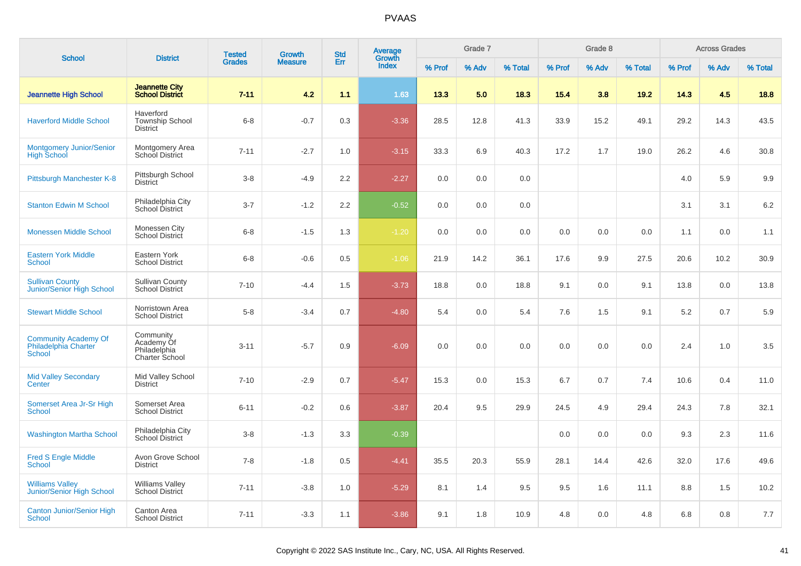| <b>School</b>                                                        | <b>District</b>                                           | <b>Tested</b> | <b>Growth</b>  | <b>Std</b> | <b>Average</b><br>Growth |        | Grade 7 |         |        | Grade 8 |         |        | <b>Across Grades</b> |         |
|----------------------------------------------------------------------|-----------------------------------------------------------|---------------|----------------|------------|--------------------------|--------|---------|---------|--------|---------|---------|--------|----------------------|---------|
|                                                                      |                                                           | <b>Grades</b> | <b>Measure</b> | Err        | Index                    | % Prof | % Adv   | % Total | % Prof | % Adv   | % Total | % Prof | % Adv                | % Total |
| <b>Jeannette High School</b>                                         | <b>Jeannette City</b><br><b>School District</b>           | $7 - 11$      | 4.2            | 1.1        | 1.63                     | 13.3   | 5.0     | 18.3    | 15.4   | 3.8     | 19.2    | 14.3   | 4.5                  | 18.8    |
| <b>Haverford Middle School</b>                                       | Haverford<br><b>Township School</b><br><b>District</b>    | $6 - 8$       | $-0.7$         | 0.3        | $-3.36$                  | 28.5   | 12.8    | 41.3    | 33.9   | 15.2    | 49.1    | 29.2   | 14.3                 | 43.5    |
| <b>Montgomery Junior/Senior</b><br><b>High School</b>                | Montgomery Area<br>School District                        | $7 - 11$      | $-2.7$         | 1.0        | $-3.15$                  | 33.3   | 6.9     | 40.3    | 17.2   | 1.7     | 19.0    | 26.2   | 4.6                  | 30.8    |
| Pittsburgh Manchester K-8                                            | Pittsburgh School<br><b>District</b>                      | $3 - 8$       | $-4.9$         | 2.2        | $-2.27$                  | 0.0    | 0.0     | 0.0     |        |         |         | 4.0    | 5.9                  | 9.9     |
| <b>Stanton Edwin M School</b>                                        | Philadelphia City<br>School District                      | $3 - 7$       | $-1.2$         | 2.2        | $-0.52$                  | 0.0    | 0.0     | 0.0     |        |         |         | 3.1    | 3.1                  | 6.2     |
| <b>Monessen Middle School</b>                                        | Monessen City<br>School District                          | $6 - 8$       | $-1.5$         | 1.3        | $-1.20$                  | 0.0    | 0.0     | 0.0     | 0.0    | 0.0     | 0.0     | 1.1    | 0.0                  | 1.1     |
| <b>Eastern York Middle</b><br><b>School</b>                          | Eastern York<br><b>School District</b>                    | $6 - 8$       | $-0.6$         | 0.5        | $-1.06$                  | 21.9   | 14.2    | 36.1    | 17.6   | 9.9     | 27.5    | 20.6   | 10.2                 | 30.9    |
| <b>Sullivan County</b><br>Junior/Senior High School                  | Sullivan County<br>School District                        | $7 - 10$      | $-4.4$         | 1.5        | $-3.73$                  | 18.8   | 0.0     | 18.8    | 9.1    | 0.0     | 9.1     | 13.8   | 0.0                  | 13.8    |
| <b>Stewart Middle School</b>                                         | Norristown Area<br><b>School District</b>                 | $5-8$         | $-3.4$         | 0.7        | $-4.80$                  | 5.4    | 0.0     | 5.4     | 7.6    | 1.5     | 9.1     | 5.2    | 0.7                  | 5.9     |
| <b>Community Academy Of</b><br>Philadelphia Charter<br><b>School</b> | Community<br>Academy Of<br>Philadelphia<br>Charter School | $3 - 11$      | $-5.7$         | 0.9        | $-6.09$                  | 0.0    | 0.0     | 0.0     | 0.0    | 0.0     | 0.0     | 2.4    | 1.0                  | 3.5     |
| <b>Mid Valley Secondary</b><br>Center                                | Mid Valley School<br><b>District</b>                      | $7 - 10$      | $-2.9$         | 0.7        | $-5.47$                  | 15.3   | 0.0     | 15.3    | 6.7    | 0.7     | 7.4     | 10.6   | 0.4                  | 11.0    |
| Somerset Area Jr-Sr High<br>School                                   | Somerset Area<br><b>School District</b>                   | $6 - 11$      | $-0.2$         | 0.6        | $-3.87$                  | 20.4   | 9.5     | 29.9    | 24.5   | 4.9     | 29.4    | 24.3   | 7.8                  | 32.1    |
| <b>Washington Martha School</b>                                      | Philadelphia City<br>School District                      | $3 - 8$       | $-1.3$         | 3.3        | $-0.39$                  |        |         |         | 0.0    | 0.0     | 0.0     | 9.3    | 2.3                  | 11.6    |
| <b>Fred S Engle Middle</b><br><b>School</b>                          | Avon Grove School<br><b>District</b>                      | $7 - 8$       | $-1.8$         | 0.5        | $-4.41$                  | 35.5   | 20.3    | 55.9    | 28.1   | 14.4    | 42.6    | 32.0   | 17.6                 | 49.6    |
| <b>Williams Valley</b><br>Junior/Senior High School                  | <b>Williams Valley</b><br>School District                 | $7 - 11$      | $-3.8$         | 1.0        | $-5.29$                  | 8.1    | 1.4     | 9.5     | 9.5    | 1.6     | 11.1    | 8.8    | 1.5                  | 10.2    |
| <b>Canton Junior/Senior High</b><br><b>School</b>                    | Canton Area<br><b>School District</b>                     | $7 - 11$      | $-3.3$         | 1.1        | $-3.86$                  | 9.1    | 1.8     | 10.9    | 4.8    | 0.0     | 4.8     | 6.8    | 0.8                  | 7.7     |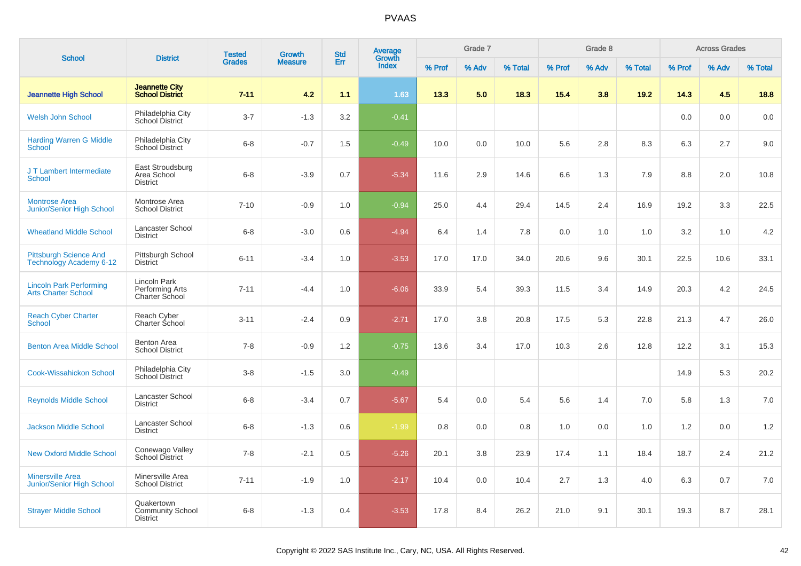| <b>School</b>                                                   | <b>District</b>                                          | <b>Tested</b> | Growth         | <b>Std</b> | Average<br>Growth |        | Grade 7 |         |        | Grade 8 |         |        | <b>Across Grades</b> |         |
|-----------------------------------------------------------------|----------------------------------------------------------|---------------|----------------|------------|-------------------|--------|---------|---------|--------|---------|---------|--------|----------------------|---------|
|                                                                 |                                                          | <b>Grades</b> | <b>Measure</b> | Err        | Index             | % Prof | % Adv   | % Total | % Prof | % Adv   | % Total | % Prof | % Adv                | % Total |
| <b>Jeannette High School</b>                                    | <b>Jeannette City</b><br><b>School District</b>          | $7 - 11$      | 4.2            | 1.1        | 1.63              | 13.3   | 5.0     | 18.3    | 15.4   | 3.8     | 19.2    | 14.3   | 4.5                  | 18.8    |
| <b>Welsh John School</b>                                        | Philadelphia City<br>School District                     | $3 - 7$       | $-1.3$         | 3.2        | $-0.41$           |        |         |         |        |         |         | 0.0    | 0.0                  | 0.0     |
| <b>Harding Warren G Middle</b><br>School                        | Philadelphia City<br>School District                     | $6 - 8$       | $-0.7$         | 1.5        | $-0.49$           | 10.0   | 0.0     | 10.0    | 5.6    | 2.8     | 8.3     | 6.3    | 2.7                  | 9.0     |
| J T Lambert Intermediate<br><b>School</b>                       | East Stroudsburg<br>Area School<br><b>District</b>       | $6 - 8$       | $-3.9$         | 0.7        | $-5.34$           | 11.6   | 2.9     | 14.6    | 6.6    | 1.3     | 7.9     | 8.8    | 2.0                  | 10.8    |
| <b>Montrose Area</b><br><b>Junior/Senior High School</b>        | Montrose Area<br><b>School District</b>                  | $7 - 10$      | $-0.9$         | 1.0        | $-0.94$           | 25.0   | 4.4     | 29.4    | 14.5   | 2.4     | 16.9    | 19.2   | 3.3                  | 22.5    |
| <b>Wheatland Middle School</b>                                  | Lancaster School<br><b>District</b>                      | $6 - 8$       | $-3.0$         | 0.6        | $-4.94$           | 6.4    | 1.4     | 7.8     | 0.0    | 1.0     | 1.0     | 3.2    | 1.0                  | 4.2     |
| <b>Pittsburgh Science And</b><br><b>Technology Academy 6-12</b> | Pittsburgh School<br><b>District</b>                     | $6 - 11$      | $-3.4$         | 1.0        | $-3.53$           | 17.0   | 17.0    | 34.0    | 20.6   | 9.6     | 30.1    | 22.5   | 10.6                 | 33.1    |
| <b>Lincoln Park Performing</b><br><b>Arts Charter School</b>    | Lincoln Park<br>Performing Arts<br><b>Charter School</b> | $7 - 11$      | $-4.4$         | 1.0        | $-6.06$           | 33.9   | 5.4     | 39.3    | 11.5   | 3.4     | 14.9    | 20.3   | 4.2                  | 24.5    |
| <b>Reach Cyber Charter</b><br><b>School</b>                     | Reach Cyber<br>Charter School                            | $3 - 11$      | $-2.4$         | 0.9        | $-2.71$           | 17.0   | 3.8     | 20.8    | 17.5   | 5.3     | 22.8    | 21.3   | 4.7                  | 26.0    |
| <b>Benton Area Middle School</b>                                | Benton Area<br><b>School District</b>                    | $7 - 8$       | $-0.9$         | 1.2        | $-0.75$           | 13.6   | 3.4     | 17.0    | 10.3   | 2.6     | 12.8    | 12.2   | 3.1                  | 15.3    |
| <b>Cook-Wissahickon School</b>                                  | Philadelphia City<br>School District                     | $3 - 8$       | $-1.5$         | 3.0        | $-0.49$           |        |         |         |        |         |         | 14.9   | 5.3                  | 20.2    |
| <b>Reynolds Middle School</b>                                   | Lancaster School<br><b>District</b>                      | $6 - 8$       | $-3.4$         | 0.7        | $-5.67$           | 5.4    | 0.0     | 5.4     | 5.6    | 1.4     | 7.0     | 5.8    | 1.3                  | 7.0     |
| <b>Jackson Middle School</b>                                    | Lancaster School<br><b>District</b>                      | $6 - 8$       | $-1.3$         | 0.6        | $-1.99$           | 0.8    | 0.0     | 0.8     | 1.0    | 0.0     | 1.0     | 1.2    | 0.0                  | 1.2     |
| <b>New Oxford Middle School</b>                                 | Conewago Valley<br><b>School District</b>                | $7 - 8$       | $-2.1$         | 0.5        | $-5.26$           | 20.1   | 3.8     | 23.9    | 17.4   | 1.1     | 18.4    | 18.7   | 2.4                  | 21.2    |
| <b>Minersville Area</b><br><b>Junior/Senior High School</b>     | Minersville Area<br><b>School District</b>               | $7 - 11$      | $-1.9$         | 1.0        | $-2.17$           | 10.4   | 0.0     | 10.4    | 2.7    | 1.3     | 4.0     | 6.3    | 0.7                  | 7.0     |
| <b>Strayer Middle School</b>                                    | Quakertown<br><b>Community School</b><br><b>District</b> | $6 - 8$       | $-1.3$         | 0.4        | $-3.53$           | 17.8   | 8.4     | 26.2    | 21.0   | 9.1     | 30.1    | 19.3   | 8.7                  | 28.1    |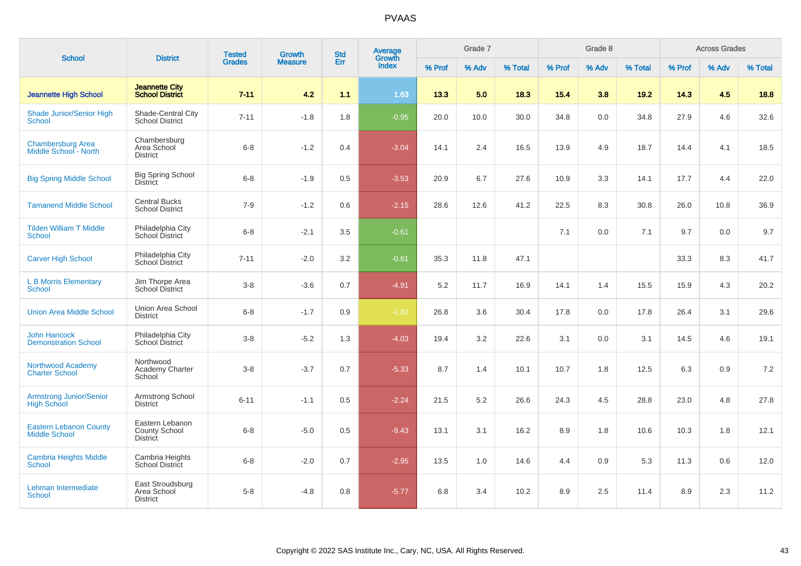| <b>School</b>                                         | <b>District</b>                                     | <b>Tested</b> | <b>Growth</b>  | <b>Std</b> | Average<br>Growth |        | Grade 7 |         |        | Grade 8 |         |        | <b>Across Grades</b> |         |
|-------------------------------------------------------|-----------------------------------------------------|---------------|----------------|------------|-------------------|--------|---------|---------|--------|---------|---------|--------|----------------------|---------|
|                                                       |                                                     | <b>Grades</b> | <b>Measure</b> | Err        | <b>Index</b>      | % Prof | % Adv   | % Total | % Prof | % Adv   | % Total | % Prof | % Adv                | % Total |
| <b>Jeannette High School</b>                          | <b>Jeannette City</b><br><b>School District</b>     | $7 - 11$      | 4.2            | 1.1        | 1.63              | 13.3   | 5.0     | 18.3    | 15.4   | 3.8     | 19.2    | 14.3   | 4.5                  | 18.8    |
| <b>Shade Junior/Senior High</b><br>School             | Shade-Central City<br><b>School District</b>        | $7 - 11$      | $-1.8$         | 1.8        | $-0.95$           | 20.0   | 10.0    | 30.0    | 34.8   | 0.0     | 34.8    | 27.9   | 4.6                  | 32.6    |
| <b>Chambersburg Area</b><br>Middle School - North     | Chambersburg<br>Area School<br><b>District</b>      | $6 - 8$       | $-1.2$         | 0.4        | $-3.04$           | 14.1   | 2.4     | 16.5    | 13.9   | 4.9     | 18.7    | 14.4   | 4.1                  | 18.5    |
| <b>Big Spring Middle School</b>                       | <b>Big Spring School</b><br><b>District</b>         | $6 - 8$       | $-1.9$         | 0.5        | $-3.53$           | 20.9   | 6.7     | 27.6    | 10.9   | 3.3     | 14.1    | 17.7   | 4.4                  | 22.0    |
| <b>Tamanend Middle School</b>                         | <b>Central Bucks</b><br><b>School District</b>      | $7 - 9$       | $-1.2$         | 0.6        | $-2.15$           | 28.6   | 12.6    | 41.2    | 22.5   | 8.3     | 30.8    | 26.0   | 10.8                 | 36.9    |
| <b>Tilden William T Middle</b><br><b>School</b>       | Philadelphia City<br>School District                | $6 - 8$       | $-2.1$         | 3.5        | $-0.61$           |        |         |         | 7.1    | 0.0     | 7.1     | 9.7    | 0.0                  | 9.7     |
| <b>Carver High School</b>                             | Philadelphia City<br>School District                | $7 - 11$      | $-2.0$         | 3.2        | $-0.61$           | 35.3   | 11.8    | 47.1    |        |         |         | 33.3   | 8.3                  | 41.7    |
| <b>L B Morris Elementary</b><br>School                | Jim Thorpe Area<br><b>School District</b>           | $3 - 8$       | $-3.6$         | 0.7        | $-4.91$           | 5.2    | 11.7    | 16.9    | 14.1   | 1.4     | 15.5    | 15.9   | 4.3                  | 20.2    |
| <b>Union Area Middle School</b>                       | Union Area School<br><b>District</b>                | $6 - 8$       | $-1.7$         | 0.9        | $-1.83$           | 26.8   | 3.6     | 30.4    | 17.8   | 0.0     | 17.8    | 26.4   | 3.1                  | 29.6    |
| <b>John Hancock</b><br><b>Demonstration School</b>    | Philadelphia City<br>School District                | $3-8$         | $-5.2$         | 1.3        | $-4.03$           | 19.4   | 3.2     | 22.6    | 3.1    | 0.0     | 3.1     | 14.5   | 4.6                  | 19.1    |
| Northwood Academy<br><b>Charter School</b>            | Northwood<br>Academy Charter<br>School              | $3 - 8$       | $-3.7$         | 0.7        | $-5.33$           | 8.7    | 1.4     | 10.1    | 10.7   | 1.8     | 12.5    | 6.3    | 0.9                  | 7.2     |
| <b>Armstrong Junior/Senior</b><br><b>High School</b>  | Armstrong School<br><b>District</b>                 | $6 - 11$      | $-1.1$         | 0.5        | $-2.24$           | 21.5   | 5.2     | 26.6    | 24.3   | 4.5     | 28.8    | 23.0   | 4.8                  | 27.8    |
| <b>Eastern Lebanon County</b><br><b>Middle School</b> | Eastern Lebanon<br>County School<br><b>District</b> | $6 - 8$       | $-5.0$         | 0.5        | $-9.43$           | 13.1   | 3.1     | 16.2    | 8.9    | 1.8     | 10.6    | 10.3   | 1.8                  | 12.1    |
| <b>Cambria Heights Middle</b><br><b>School</b>        | Cambria Heights<br><b>School District</b>           | $6 - 8$       | $-2.0$         | 0.7        | $-2.95$           | 13.5   | 1.0     | 14.6    | 4.4    | 0.9     | 5.3     | 11.3   | 0.6                  | 12.0    |
| Lehman Intermediate<br><b>School</b>                  | East Stroudsburg<br>Area School<br><b>District</b>  | $5 - 8$       | $-4.8$         | 0.8        | $-5.77$           | 6.8    | 3.4     | 10.2    | 8.9    | 2.5     | 11.4    | 8.9    | 2.3                  | 11.2    |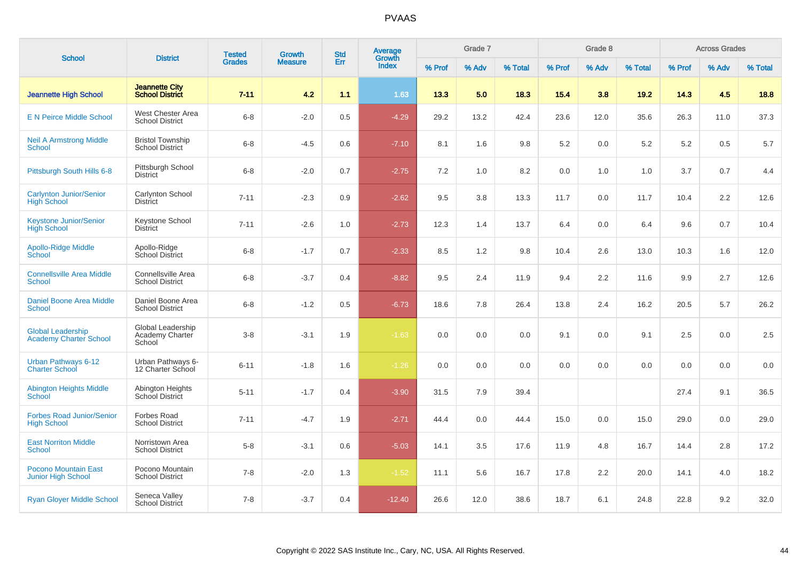| <b>School</b>                                             | <b>District</b>                                       | <b>Tested</b> | Growth         | <b>Std</b> | Average<br>Growth |        | Grade 7 |         |        | Grade 8 |         |        | <b>Across Grades</b> |         |
|-----------------------------------------------------------|-------------------------------------------------------|---------------|----------------|------------|-------------------|--------|---------|---------|--------|---------|---------|--------|----------------------|---------|
|                                                           |                                                       | <b>Grades</b> | <b>Measure</b> | Err        | <b>Index</b>      | % Prof | % Adv   | % Total | % Prof | % Adv   | % Total | % Prof | % Adv                | % Total |
| <b>Jeannette High School</b>                              | <b>Jeannette City</b><br><b>School District</b>       | $7 - 11$      | 4.2            | 1.1        | 1.63              | 13.3   | 5.0     | 18.3    | 15.4   | 3.8     | 19.2    | 14.3   | 4.5                  | 18.8    |
| <b>E N Peirce Middle School</b>                           | West Chester Area<br><b>School District</b>           | $6 - 8$       | $-2.0$         | 0.5        | $-4.29$           | 29.2   | 13.2    | 42.4    | 23.6   | 12.0    | 35.6    | 26.3   | 11.0                 | 37.3    |
| <b>Neil A Armstrong Middle</b><br>School                  | <b>Bristol Township</b><br><b>School District</b>     | $6 - 8$       | $-4.5$         | 0.6        | $-7.10$           | 8.1    | 1.6     | 9.8     | 5.2    | 0.0     | 5.2     | 5.2    | 0.5                  | 5.7     |
| Pittsburgh South Hills 6-8                                | Pittsburgh School<br><b>District</b>                  | $6 - 8$       | $-2.0$         | 0.7        | $-2.75$           | 7.2    | 1.0     | 8.2     | 0.0    | 1.0     | 1.0     | 3.7    | 0.7                  | 4.4     |
| <b>Carlynton Junior/Senior</b><br><b>High School</b>      | Carlynton School<br><b>District</b>                   | $7 - 11$      | $-2.3$         | 0.9        | $-2.62$           | 9.5    | 3.8     | 13.3    | 11.7   | 0.0     | 11.7    | 10.4   | 2.2                  | 12.6    |
| <b>Keystone Junior/Senior</b><br><b>High School</b>       | Keystone School<br><b>District</b>                    | $7 - 11$      | $-2.6$         | 1.0        | $-2.73$           | 12.3   | 1.4     | 13.7    | 6.4    | 0.0     | 6.4     | 9.6    | 0.7                  | 10.4    |
| <b>Apollo-Ridge Middle</b><br>School                      | Apollo-Ridge<br>School District                       | $6 - 8$       | $-1.7$         | 0.7        | $-2.33$           | 8.5    | 1.2     | 9.8     | 10.4   | 2.6     | 13.0    | 10.3   | 1.6                  | 12.0    |
| <b>Connellsville Area Middle</b><br>School                | Connellsville Area<br><b>School District</b>          | $6 - 8$       | $-3.7$         | 0.4        | $-8.82$           | 9.5    | 2.4     | 11.9    | 9.4    | 2.2     | 11.6    | 9.9    | 2.7                  | 12.6    |
| <b>Daniel Boone Area Middle</b><br><b>School</b>          | Daniel Boone Area<br><b>School District</b>           | $6 - 8$       | $-1.2$         | 0.5        | $-6.73$           | 18.6   | 7.8     | 26.4    | 13.8   | 2.4     | 16.2    | 20.5   | 5.7                  | 26.2    |
| <b>Global Leadership</b><br><b>Academy Charter School</b> | Global Leadership<br><b>Academy Charter</b><br>School | $3 - 8$       | $-3.1$         | 1.9        | $-1.63$           | 0.0    | 0.0     | 0.0     | 9.1    | 0.0     | 9.1     | 2.5    | 0.0                  | 2.5     |
| <b>Urban Pathways 6-12</b><br><b>Charter School</b>       | Urban Pathways 6-<br>12 Charter School                | $6 - 11$      | $-1.8$         | 1.6        | $-1.26$           | 0.0    | 0.0     | 0.0     | 0.0    | 0.0     | 0.0     | 0.0    | 0.0                  | 0.0     |
| <b>Abington Heights Middle</b><br>School                  | Abington Heights<br>School District                   | $5 - 11$      | $-1.7$         | 0.4        | $-3.90$           | 31.5   | 7.9     | 39.4    |        |         |         | 27.4   | 9.1                  | 36.5    |
| <b>Forbes Road Junior/Senior</b><br><b>High School</b>    | <b>Forbes Road</b><br><b>School District</b>          | $7 - 11$      | $-4.7$         | 1.9        | $-2.71$           | 44.4   | 0.0     | 44.4    | 15.0   | 0.0     | 15.0    | 29.0   | 0.0                  | 29.0    |
| <b>East Norriton Middle</b><br><b>School</b>              | Norristown Area<br><b>School District</b>             | $5 - 8$       | $-3.1$         | 0.6        | $-5.03$           | 14.1   | 3.5     | 17.6    | 11.9   | 4.8     | 16.7    | 14.4   | 2.8                  | 17.2    |
| <b>Pocono Mountain East</b><br><b>Junior High School</b>  | Pocono Mountain<br><b>School District</b>             | $7 - 8$       | $-2.0$         | 1.3        | $-1.52$           | 11.1   | 5.6     | 16.7    | 17.8   | 2.2     | 20.0    | 14.1   | 4.0                  | 18.2    |
| <b>Ryan Gloyer Middle School</b>                          | Seneca Valley<br><b>School District</b>               | $7 - 8$       | $-3.7$         | 0.4        | $-12.40$          | 26.6   | 12.0    | 38.6    | 18.7   | 6.1     | 24.8    | 22.8   | 9.2                  | 32.0    |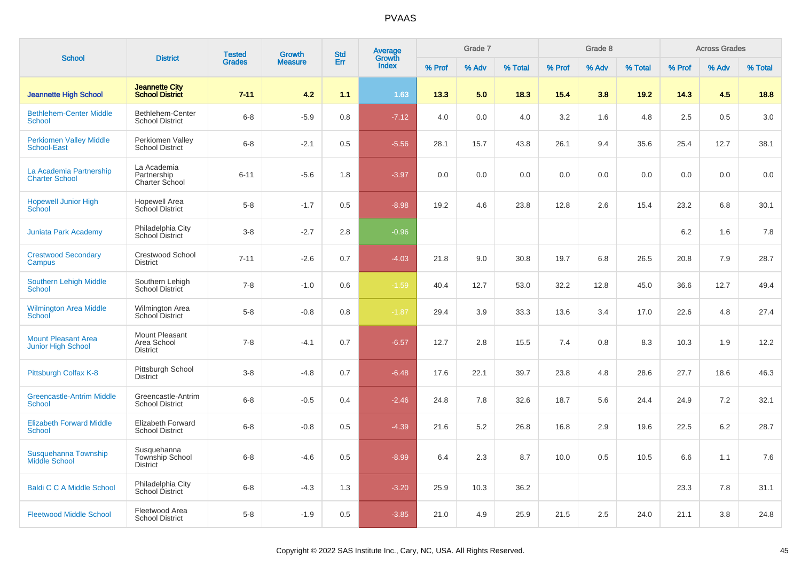| <b>School</b>                                        | <b>District</b>                                          | <b>Tested</b> | <b>Growth</b>  | <b>Std</b> | Average<br>Growth |        | Grade 7 |         |        | Grade 8 |         |        | <b>Across Grades</b> |         |
|------------------------------------------------------|----------------------------------------------------------|---------------|----------------|------------|-------------------|--------|---------|---------|--------|---------|---------|--------|----------------------|---------|
|                                                      |                                                          | <b>Grades</b> | <b>Measure</b> | Err        | Index             | % Prof | % Adv   | % Total | % Prof | % Adv   | % Total | % Prof | % Adv                | % Total |
| <b>Jeannette High School</b>                         | <b>Jeannette City</b><br><b>School District</b>          | $7 - 11$      | 4.2            | 1.1        | 1.63              | 13.3   | 5.0     | 18.3    | 15.4   | 3.8     | 19.2    | 14.3   | 4.5                  | 18.8    |
| <b>Bethlehem-Center Middle</b><br><b>School</b>      | Bethlehem-Center<br><b>School District</b>               | $6 - 8$       | $-5.9$         | 0.8        | $-7.12$           | 4.0    | 0.0     | 4.0     | 3.2    | 1.6     | 4.8     | 2.5    | 0.5                  | 3.0     |
| <b>Perkiomen Valley Middle</b><br><b>School-East</b> | Perkiomen Valley<br><b>School District</b>               | $6 - 8$       | $-2.1$         | 0.5        | $-5.56$           | 28.1   | 15.7    | 43.8    | 26.1   | 9.4     | 35.6    | 25.4   | 12.7                 | 38.1    |
| La Academia Partnership<br><b>Charter School</b>     | La Academia<br>Partnership<br>Charter School             | $6 - 11$      | $-5.6$         | 1.8        | $-3.97$           | 0.0    | 0.0     | 0.0     | 0.0    | 0.0     | 0.0     | 0.0    | 0.0                  | 0.0     |
| <b>Hopewell Junior High</b><br>School                | <b>Hopewell Area</b><br><b>School District</b>           | $5 - 8$       | $-1.7$         | 0.5        | $-8.98$           | 19.2   | 4.6     | 23.8    | 12.8   | 2.6     | 15.4    | 23.2   | 6.8                  | 30.1    |
| <b>Juniata Park Academy</b>                          | Philadelphia City<br>School District                     | $3 - 8$       | $-2.7$         | 2.8        | $-0.96$           |        |         |         |        |         |         | 6.2    | 1.6                  | 7.8     |
| <b>Crestwood Secondary</b><br>Campus                 | <b>Crestwood School</b><br><b>District</b>               | $7 - 11$      | $-2.6$         | 0.7        | $-4.03$           | 21.8   | 9.0     | 30.8    | 19.7   | 6.8     | 26.5    | 20.8   | 7.9                  | 28.7    |
| Southern Lehigh Middle<br><b>School</b>              | Southern Lehigh<br>School District                       | $7 - 8$       | $-1.0$         | 0.6        | $-1.59$           | 40.4   | 12.7    | 53.0    | 32.2   | 12.8    | 45.0    | 36.6   | 12.7                 | 49.4    |
| <b>Wilmington Area Middle</b><br>School              | Wilmington Area<br>School District                       | $5 - 8$       | $-0.8$         | 0.8        | $-1.87$           | 29.4   | 3.9     | 33.3    | 13.6   | 3.4     | 17.0    | 22.6   | 4.8                  | 27.4    |
| <b>Mount Pleasant Area</b><br>Junior High School     | Mount Pleasant<br>Area School<br><b>District</b>         | $7 - 8$       | $-4.1$         | 0.7        | $-6.57$           | 12.7   | 2.8     | 15.5    | 7.4    | 0.8     | 8.3     | 10.3   | 1.9                  | 12.2    |
| Pittsburgh Colfax K-8                                | Pittsburgh School<br><b>District</b>                     | $3 - 8$       | $-4.8$         | 0.7        | $-6.48$           | 17.6   | 22.1    | 39.7    | 23.8   | 4.8     | 28.6    | 27.7   | 18.6                 | 46.3    |
| <b>Greencastle-Antrim Middle</b><br><b>School</b>    | Greencastle-Antrim<br><b>School District</b>             | $6 - 8$       | $-0.5$         | 0.4        | $-2.46$           | 24.8   | 7.8     | 32.6    | 18.7   | 5.6     | 24.4    | 24.9   | $7.2\,$              | 32.1    |
| <b>Elizabeth Forward Middle</b><br><b>School</b>     | <b>Elizabeth Forward</b><br><b>School District</b>       | $6 - 8$       | $-0.8$         | 0.5        | $-4.39$           | 21.6   | 5.2     | 26.8    | 16.8   | 2.9     | 19.6    | 22.5   | 6.2                  | 28.7    |
| Susquehanna Township<br><b>Middle School</b>         | Susquehanna<br><b>Township School</b><br><b>District</b> | $6 - 8$       | $-4.6$         | 0.5        | $-8.99$           | 6.4    | 2.3     | 8.7     | 10.0   | 0.5     | 10.5    | 6.6    | 1.1                  | 7.6     |
| <b>Baldi C C A Middle School</b>                     | Philadelphia City<br><b>School District</b>              | $6 - 8$       | $-4.3$         | 1.3        | $-3.20$           | 25.9   | 10.3    | 36.2    |        |         |         | 23.3   | 7.8                  | 31.1    |
| <b>Fleetwood Middle School</b>                       | Fleetwood Area<br><b>School District</b>                 | $5 - 8$       | $-1.9$         | 0.5        | $-3.85$           | 21.0   | 4.9     | 25.9    | 21.5   | 2.5     | 24.0    | 21.1   | 3.8                  | 24.8    |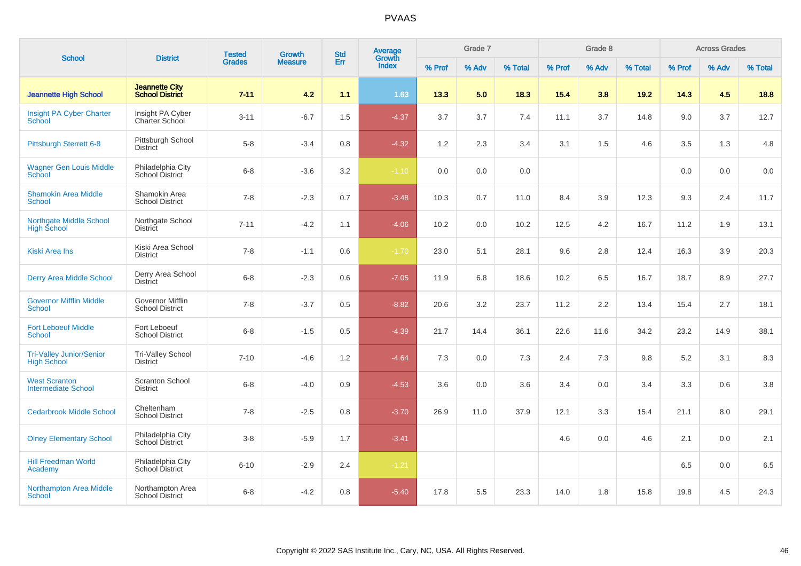| <b>School</b>                                         | <b>District</b>                                 | <b>Tested</b> | <b>Growth</b>  | <b>Std</b> | <b>Average</b><br>Growth |        | Grade 7 |         |        | Grade 8 |         |        | <b>Across Grades</b> |         |
|-------------------------------------------------------|-------------------------------------------------|---------------|----------------|------------|--------------------------|--------|---------|---------|--------|---------|---------|--------|----------------------|---------|
|                                                       |                                                 | <b>Grades</b> | <b>Measure</b> | Err        | Index                    | % Prof | % Adv   | % Total | % Prof | % Adv   | % Total | % Prof | % Adv                | % Total |
| <b>Jeannette High School</b>                          | <b>Jeannette City</b><br><b>School District</b> | $7 - 11$      | 4.2            | 1.1        | 1.63                     | 13.3   | 5.0     | 18.3    | 15.4   | 3.8     | 19.2    | 14.3   | 4.5                  | 18.8    |
| Insight PA Cyber Charter<br>School                    | Insight PA Cyber<br>Charter School              | $3 - 11$      | $-6.7$         | 1.5        | $-4.37$                  | 3.7    | 3.7     | 7.4     | 11.1   | 3.7     | 14.8    | 9.0    | 3.7                  | 12.7    |
| <b>Pittsburgh Sterrett 6-8</b>                        | Pittsburgh School<br><b>District</b>            | $5-8$         | $-3.4$         | 0.8        | $-4.32$                  | 1.2    | 2.3     | 3.4     | 3.1    | 1.5     | 4.6     | 3.5    | 1.3                  | 4.8     |
| <b>Wagner Gen Louis Middle</b><br>School              | Philadelphia City<br>School District            | $6 - 8$       | $-3.6$         | 3.2        | $-1.10$                  | 0.0    | 0.0     | 0.0     |        |         |         | 0.0    | 0.0                  | 0.0     |
| <b>Shamokin Area Middle</b><br>School                 | Shamokin Area<br><b>School District</b>         | $7 - 8$       | $-2.3$         | 0.7        | $-3.48$                  | 10.3   | 0.7     | 11.0    | 8.4    | 3.9     | 12.3    | 9.3    | 2.4                  | 11.7    |
| <b>Northgate Middle School</b><br><b>High School</b>  | Northgate School<br><b>District</b>             | $7 - 11$      | $-4.2$         | 1.1        | $-4.06$                  | 10.2   | 0.0     | 10.2    | 12.5   | 4.2     | 16.7    | 11.2   | 1.9                  | 13.1    |
| <b>Kiski Area Ihs</b>                                 | Kiski Area School<br><b>District</b>            | $7 - 8$       | $-1.1$         | 0.6        | $-1.70$                  | 23.0   | 5.1     | 28.1    | 9.6    | 2.8     | 12.4    | 16.3   | 3.9                  | 20.3    |
| Derry Area Middle School                              | Derry Area School<br><b>District</b>            | $6 - 8$       | $-2.3$         | 0.6        | $-7.05$                  | 11.9   | 6.8     | 18.6    | 10.2   | 6.5     | 16.7    | 18.7   | 8.9                  | 27.7    |
| <b>Governor Mifflin Middle</b><br>School              | Governor Mifflin<br><b>School District</b>      | $7 - 8$       | $-3.7$         | 0.5        | $-8.82$                  | 20.6   | 3.2     | 23.7    | 11.2   | 2.2     | 13.4    | 15.4   | 2.7                  | 18.1    |
| <b>Fort Leboeuf Middle</b><br><b>School</b>           | Fort Leboeuf<br><b>School District</b>          | $6-8$         | $-1.5$         | 0.5        | $-4.39$                  | 21.7   | 14.4    | 36.1    | 22.6   | 11.6    | 34.2    | 23.2   | 14.9                 | 38.1    |
| <b>Tri-Valley Junior/Senior</b><br><b>High School</b> | <b>Tri-Valley School</b><br><b>District</b>     | $7 - 10$      | $-4.6$         | 1.2        | $-4.64$                  | 7.3    | 0.0     | 7.3     | 2.4    | 7.3     | 9.8     | 5.2    | 3.1                  | 8.3     |
| <b>West Scranton</b><br><b>Intermediate School</b>    | <b>Scranton School</b><br><b>District</b>       | $6-8$         | $-4.0$         | 0.9        | $-4.53$                  | 3.6    | 0.0     | 3.6     | 3.4    | 0.0     | 3.4     | 3.3    | 0.6                  | 3.8     |
| <b>Cedarbrook Middle School</b>                       | Cheltenham<br><b>School District</b>            | $7 - 8$       | $-2.5$         | 0.8        | $-3.70$                  | 26.9   | 11.0    | 37.9    | 12.1   | 3.3     | 15.4    | 21.1   | 8.0                  | 29.1    |
| <b>Olney Elementary School</b>                        | Philadelphia City<br>School District            | $3-8$         | $-5.9$         | 1.7        | $-3.41$                  |        |         |         | 4.6    | 0.0     | 4.6     | 2.1    | 0.0                  | 2.1     |
| <b>Hill Freedman World</b><br>Academy                 | Philadelphia City<br>School District            | $6 - 10$      | $-2.9$         | 2.4        | $-1.21$                  |        |         |         |        |         |         | 6.5    | 0.0                  | 6.5     |
| <b>Northampton Area Middle</b><br><b>School</b>       | Northampton Area<br><b>School District</b>      | $6 - 8$       | $-4.2$         | 0.8        | $-5.40$                  | 17.8   | 5.5     | 23.3    | 14.0   | 1.8     | 15.8    | 19.8   | 4.5                  | 24.3    |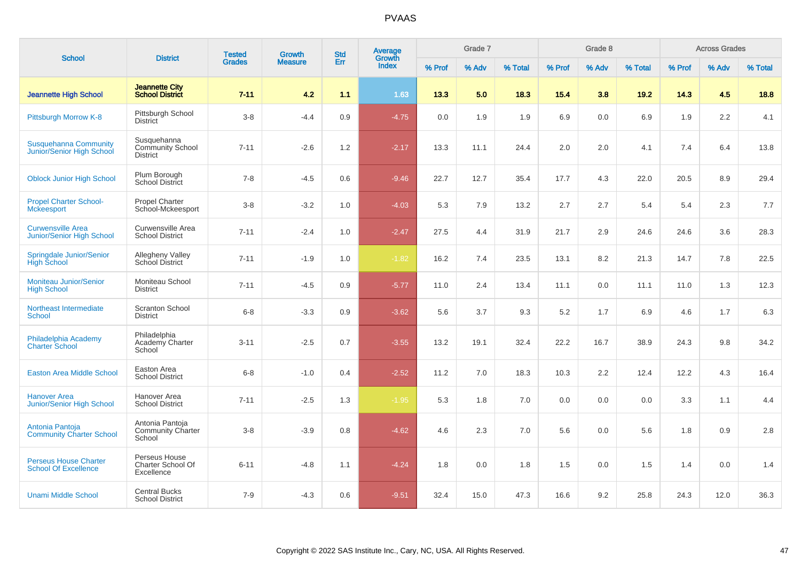| <b>School</b>                                                | <b>District</b>                                           | <b>Tested</b> | <b>Growth</b>  | <b>Std</b> | Average<br>Growth |        | Grade 7 |         |        | Grade 8 |         |        | <b>Across Grades</b> |         |
|--------------------------------------------------------------|-----------------------------------------------------------|---------------|----------------|------------|-------------------|--------|---------|---------|--------|---------|---------|--------|----------------------|---------|
|                                                              |                                                           | <b>Grades</b> | <b>Measure</b> | Err        | <b>Index</b>      | % Prof | % Adv   | % Total | % Prof | % Adv   | % Total | % Prof | % Adv                | % Total |
| <b>Jeannette High School</b>                                 | <b>Jeannette City</b><br><b>School District</b>           | $7 - 11$      | 4.2            | 1.1        | 1.63              | 13.3   | 5.0     | 18.3    | 15.4   | 3.8     | 19.2    | 14.3   | 4.5                  | 18.8    |
| Pittsburgh Morrow K-8                                        | Pittsburgh School<br><b>District</b>                      | $3 - 8$       | $-4.4$         | 0.9        | $-4.75$           | 0.0    | 1.9     | 1.9     | 6.9    | 0.0     | 6.9     | 1.9    | 2.2                  | 4.1     |
| <b>Susquehanna Community</b><br>Junior/Senior High School    | Susquehanna<br><b>Community School</b><br><b>District</b> | $7 - 11$      | $-2.6$         | 1.2        | $-2.17$           | 13.3   | 11.1    | 24.4    | 2.0    | 2.0     | 4.1     | 7.4    | 6.4                  | 13.8    |
| <b>Oblock Junior High School</b>                             | Plum Borough<br>School District                           | $7 - 8$       | $-4.5$         | 0.6        | $-9.46$           | 22.7   | 12.7    | 35.4    | 17.7   | 4.3     | 22.0    | 20.5   | 8.9                  | 29.4    |
| <b>Propel Charter School-</b><br><b>Mckeesport</b>           | Propel Charter<br>School-Mckeesport                       | $3 - 8$       | $-3.2$         | 1.0        | $-4.03$           | 5.3    | 7.9     | 13.2    | 2.7    | 2.7     | 5.4     | 5.4    | 2.3                  | 7.7     |
| <b>Curwensville Area</b><br><b>Junior/Senior High School</b> | Curwensville Area<br><b>School District</b>               | $7 - 11$      | $-2.4$         | 1.0        | $-2.47$           | 27.5   | 4.4     | 31.9    | 21.7   | 2.9     | 24.6    | 24.6   | 3.6                  | 28.3    |
| Springdale Junior/Senior<br><b>High School</b>               | Allegheny Valley<br>School District                       | $7 - 11$      | $-1.9$         | 1.0        | $-1.82$           | 16.2   | 7.4     | 23.5    | 13.1   | 8.2     | 21.3    | 14.7   | 7.8                  | 22.5    |
| <b>Moniteau Junior/Senior</b><br><b>High School</b>          | Moniteau School<br><b>District</b>                        | $7 - 11$      | $-4.5$         | 0.9        | $-5.77$           | 11.0   | 2.4     | 13.4    | 11.1   | 0.0     | 11.1    | 11.0   | 1.3                  | 12.3    |
| <b>Northeast Intermediate</b><br><b>School</b>               | <b>Scranton School</b><br><b>District</b>                 | $6 - 8$       | $-3.3$         | 0.9        | $-3.62$           | 5.6    | 3.7     | 9.3     | 5.2    | 1.7     | 6.9     | 4.6    | 1.7                  | 6.3     |
| Philadelphia Academy<br><b>Charter School</b>                | Philadelphia<br>Academy Charter<br>School                 | $3 - 11$      | $-2.5$         | 0.7        | $-3.55$           | 13.2   | 19.1    | 32.4    | 22.2   | 16.7    | 38.9    | 24.3   | 9.8                  | 34.2    |
| <b>Easton Area Middle School</b>                             | Easton Area<br><b>School District</b>                     | $6 - 8$       | $-1.0$         | 0.4        | $-2.52$           | 11.2   | 7.0     | 18.3    | 10.3   | 2.2     | 12.4    | 12.2   | 4.3                  | 16.4    |
| <b>Hanover Area</b><br>Junior/Senior High School             | Hanover Area<br><b>School District</b>                    | $7 - 11$      | $-2.5$         | 1.3        | $-1.95$           | 5.3    | 1.8     | 7.0     | 0.0    | 0.0     | 0.0     | 3.3    | 1.1                  | 4.4     |
| Antonia Pantoja<br><b>Community Charter School</b>           | Antonia Pantoja<br><b>Community Charter</b><br>School     | $3 - 8$       | $-3.9$         | 0.8        | $-4.62$           | 4.6    | 2.3     | 7.0     | 5.6    | 0.0     | 5.6     | 1.8    | 0.9                  | 2.8     |
| <b>Perseus House Charter</b><br><b>School Of Excellence</b>  | Perseus House<br>Charter School Of<br>Excellence          | $6 - 11$      | $-4.8$         | 1.1        | $-4.24$           | 1.8    | 0.0     | 1.8     | 1.5    | 0.0     | 1.5     | 1.4    | $0.0\,$              | 1.4     |
| <b>Unami Middle School</b>                                   | <b>Central Bucks</b><br><b>School District</b>            | $7 - 9$       | $-4.3$         | 0.6        | $-9.51$           | 32.4   | 15.0    | 47.3    | 16.6   | 9.2     | 25.8    | 24.3   | 12.0                 | 36.3    |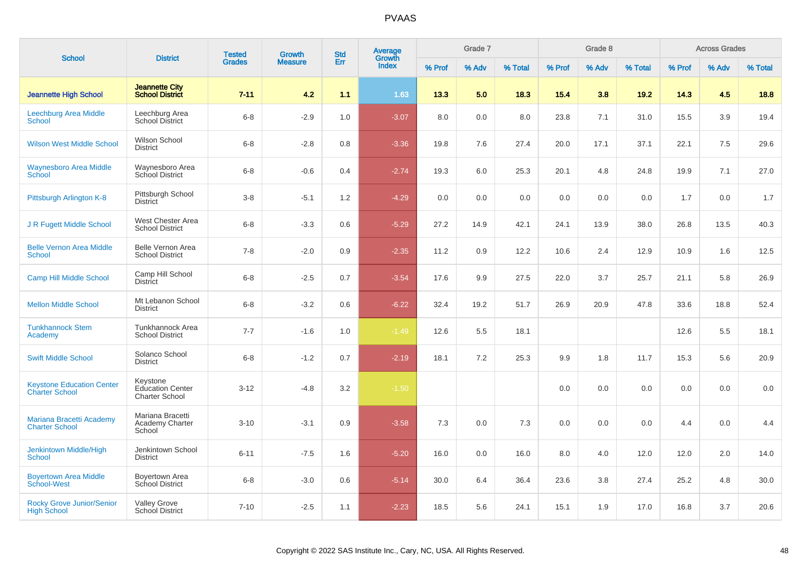| <b>School</b>                                             | <b>District</b>                                              | <b>Tested</b> | <b>Growth</b>  | <b>Std</b> | Average<br>Growth |        | Grade 7 |         |        | Grade 8 |         |        | <b>Across Grades</b> |         |
|-----------------------------------------------------------|--------------------------------------------------------------|---------------|----------------|------------|-------------------|--------|---------|---------|--------|---------|---------|--------|----------------------|---------|
|                                                           |                                                              | <b>Grades</b> | <b>Measure</b> | Err        | <b>Index</b>      | % Prof | % Adv   | % Total | % Prof | % Adv   | % Total | % Prof | % Adv                | % Total |
| <b>Jeannette High School</b>                              | <b>Jeannette City</b><br><b>School District</b>              | $7 - 11$      | 4.2            | 1.1        | 1.63              | 13.3   | 5.0     | 18.3    | 15.4   | 3.8     | 19.2    | 14.3   | 4.5                  | 18.8    |
| Leechburg Area Middle<br><b>School</b>                    | Leechburg Area<br><b>School District</b>                     | $6 - 8$       | $-2.9$         | 1.0        | $-3.07$           | 8.0    | 0.0     | 8.0     | 23.8   | 7.1     | 31.0    | 15.5   | 3.9                  | 19.4    |
| <b>Wilson West Middle School</b>                          | <b>Wilson School</b><br><b>District</b>                      | $6 - 8$       | $-2.8$         | 0.8        | $-3.36$           | 19.8   | 7.6     | 27.4    | 20.0   | 17.1    | 37.1    | 22.1   | $7.5\,$              | 29.6    |
| <b>Waynesboro Area Middle</b><br><b>School</b>            | Waynesboro Area<br>School District                           | $6 - 8$       | $-0.6$         | 0.4        | $-2.74$           | 19.3   | 6.0     | 25.3    | 20.1   | 4.8     | 24.8    | 19.9   | 7.1                  | 27.0    |
| Pittsburgh Arlington K-8                                  | Pittsburgh School<br><b>District</b>                         | $3 - 8$       | $-5.1$         | 1.2        | $-4.29$           | 0.0    | 0.0     | 0.0     | 0.0    | 0.0     | 0.0     | 1.7    | 0.0                  | 1.7     |
| J R Fugett Middle School                                  | West Chester Area<br><b>School District</b>                  | $6 - 8$       | $-3.3$         | 0.6        | $-5.29$           | 27.2   | 14.9    | 42.1    | 24.1   | 13.9    | 38.0    | 26.8   | 13.5                 | 40.3    |
| <b>Belle Vernon Area Middle</b><br><b>School</b>          | Belle Vernon Area<br><b>School District</b>                  | $7 - 8$       | $-2.0$         | 0.9        | $-2.35$           | 11.2   | 0.9     | 12.2    | 10.6   | 2.4     | 12.9    | 10.9   | 1.6                  | 12.5    |
| <b>Camp Hill Middle School</b>                            | Camp Hill School<br><b>District</b>                          | $6 - 8$       | $-2.5$         | 0.7        | $-3.54$           | 17.6   | 9.9     | 27.5    | 22.0   | 3.7     | 25.7    | 21.1   | 5.8                  | 26.9    |
| <b>Mellon Middle School</b>                               | Mt Lebanon School<br><b>District</b>                         | $6 - 8$       | $-3.2$         | 0.6        | $-6.22$           | 32.4   | 19.2    | 51.7    | 26.9   | 20.9    | 47.8    | 33.6   | 18.8                 | 52.4    |
| <b>Tunkhannock Stem</b><br>Academy                        | Tunkhannock Area<br><b>School District</b>                   | $7 - 7$       | $-1.6$         | 1.0        | $-1.49$           | 12.6   | 5.5     | 18.1    |        |         |         | 12.6   | 5.5                  | 18.1    |
| <b>Swift Middle School</b>                                | Solanco School<br><b>District</b>                            | $6 - 8$       | $-1.2$         | 0.7        | $-2.19$           | 18.1   | 7.2     | 25.3    | 9.9    | 1.8     | 11.7    | 15.3   | 5.6                  | 20.9    |
| <b>Keystone Education Center</b><br><b>Charter School</b> | Keystone<br><b>Education Center</b><br><b>Charter School</b> | $3 - 12$      | $-4.8$         | 3.2        | $-1.50$           |        |         |         | 0.0    | 0.0     | 0.0     | 0.0    | 0.0                  | 0.0     |
| Mariana Bracetti Academy<br><b>Charter School</b>         | Mariana Bracetti<br><b>Academy Charter</b><br>School         | $3 - 10$      | $-3.1$         | 0.9        | $-3.58$           | 7.3    | 0.0     | 7.3     | 0.0    | 0.0     | 0.0     | 4.4    | 0.0                  | 4.4     |
| Jenkintown Middle/High<br><b>School</b>                   | Jenkintown School<br><b>District</b>                         | $6 - 11$      | $-7.5$         | 1.6        | $-5.20$           | 16.0   | 0.0     | 16.0    | 8.0    | 4.0     | 12.0    | 12.0   | 2.0                  | 14.0    |
| <b>Boyertown Area Middle</b><br>School-West               | Boyertown Area<br>School District                            | $6 - 8$       | $-3.0$         | 0.6        | $-5.14$           | 30.0   | 6.4     | 36.4    | 23.6   | 3.8     | 27.4    | 25.2   | 4.8                  | 30.0    |
| <b>Rocky Grove Junior/Senior</b><br><b>High School</b>    | <b>Valley Grove</b><br><b>School District</b>                | $7 - 10$      | $-2.5$         | 1.1        | $-2.23$           | 18.5   | 5.6     | 24.1    | 15.1   | 1.9     | 17.0    | 16.8   | 3.7                  | 20.6    |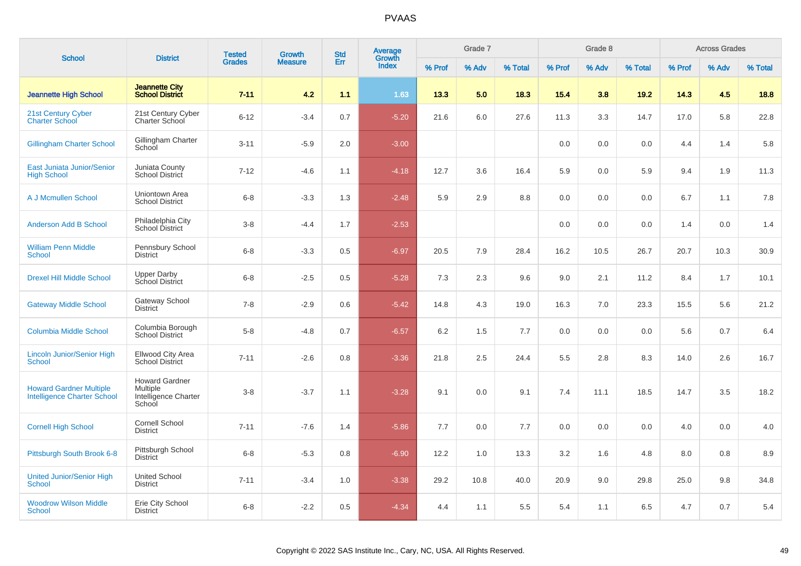| <b>School</b>                                                        | <b>District</b>                                                     | <b>Tested</b> | <b>Growth</b>  | <b>Std</b> | Average<br>Growth |        | Grade 7 |         |        | Grade 8 |         |        | <b>Across Grades</b> |         |
|----------------------------------------------------------------------|---------------------------------------------------------------------|---------------|----------------|------------|-------------------|--------|---------|---------|--------|---------|---------|--------|----------------------|---------|
|                                                                      |                                                                     | <b>Grades</b> | <b>Measure</b> | Err        | <b>Index</b>      | % Prof | % Adv   | % Total | % Prof | % Adv   | % Total | % Prof | % Adv                | % Total |
| <b>Jeannette High School</b>                                         | <b>Jeannette City</b><br><b>School District</b>                     | $7 - 11$      | 4.2            | 1.1        | 1.63              | 13.3   | 5.0     | 18.3    | 15.4   | 3.8     | 19.2    | 14.3   | 4.5                  | 18.8    |
| 21st Century Cyber<br><b>Charter School</b>                          | 21st Century Cyber<br>Charter School                                | $6 - 12$      | $-3.4$         | 0.7        | $-5.20$           | 21.6   | 6.0     | 27.6    | 11.3   | 3.3     | 14.7    | 17.0   | 5.8                  | 22.8    |
| <b>Gillingham Charter School</b>                                     | Gillingham Charter<br>School                                        | $3 - 11$      | $-5.9$         | 2.0        | $-3.00$           |        |         |         | 0.0    | 0.0     | 0.0     | 4.4    | 1.4                  | 5.8     |
| East Juniata Junior/Senior<br><b>High School</b>                     | Juniata County<br><b>School District</b>                            | $7 - 12$      | $-4.6$         | 1.1        | $-4.18$           | 12.7   | 3.6     | 16.4    | 5.9    | 0.0     | 5.9     | 9.4    | 1.9                  | 11.3    |
| A J Mcmullen School                                                  | Uniontown Area<br><b>School District</b>                            | $6 - 8$       | $-3.3$         | 1.3        | $-2.48$           | 5.9    | 2.9     | 8.8     | 0.0    | 0.0     | 0.0     | 6.7    | 1.1                  | 7.8     |
| <b>Anderson Add B School</b>                                         | Philadelphia City<br>School District                                | $3 - 8$       | $-4.4$         | 1.7        | $-2.53$           |        |         |         | 0.0    | 0.0     | 0.0     | 1.4    | 0.0                  | 1.4     |
| <b>William Penn Middle</b><br><b>School</b>                          | Pennsbury School<br><b>District</b>                                 | $6 - 8$       | $-3.3$         | 0.5        | $-6.97$           | 20.5   | 7.9     | 28.4    | 16.2   | 10.5    | 26.7    | 20.7   | 10.3                 | 30.9    |
| <b>Drexel Hill Middle School</b>                                     | <b>Upper Darby</b><br>School District                               | $6 - 8$       | $-2.5$         | 0.5        | $-5.28$           | 7.3    | 2.3     | 9.6     | 9.0    | 2.1     | 11.2    | 8.4    | 1.7                  | 10.1    |
| <b>Gateway Middle School</b>                                         | Gateway School<br><b>District</b>                                   | $7 - 8$       | $-2.9$         | 0.6        | $-5.42$           | 14.8   | 4.3     | 19.0    | 16.3   | 7.0     | 23.3    | 15.5   | 5.6                  | 21.2    |
| <b>Columbia Middle School</b>                                        | Columbia Borough<br><b>School District</b>                          | $5 - 8$       | $-4.8$         | 0.7        | $-6.57$           | 6.2    | 1.5     | 7.7     | 0.0    | 0.0     | 0.0     | 5.6    | 0.7                  | 6.4     |
| <b>Lincoln Junior/Senior High</b><br><b>School</b>                   | Ellwood City Area<br><b>School District</b>                         | $7 - 11$      | $-2.6$         | 0.8        | $-3.36$           | 21.8   | 2.5     | 24.4    | 5.5    | 2.8     | 8.3     | 14.0   | 2.6                  | 16.7    |
| <b>Howard Gardner Multiple</b><br><b>Intelligence Charter School</b> | <b>Howard Gardner</b><br>Multiple<br>Intelligence Charter<br>School | $3 - 8$       | $-3.7$         | 1.1        | $-3.28$           | 9.1    | 0.0     | 9.1     | 7.4    | 11.1    | 18.5    | 14.7   | 3.5                  | 18.2    |
| <b>Cornell High School</b>                                           | Cornell School<br><b>District</b>                                   | $7 - 11$      | $-7.6$         | 1.4        | $-5.86$           | 7.7    | 0.0     | 7.7     | 0.0    | 0.0     | 0.0     | 4.0    | 0.0                  | 4.0     |
| Pittsburgh South Brook 6-8                                           | Pittsburgh School<br><b>District</b>                                | $6 - 8$       | $-5.3$         | 0.8        | $-6.90$           | 12.2   | 1.0     | 13.3    | 3.2    | 1.6     | 4.8     | 8.0    | 0.8                  | 8.9     |
| <b>United Junior/Senior High</b><br>School                           | United School<br><b>District</b>                                    | $7 - 11$      | $-3.4$         | 1.0        | $-3.38$           | 29.2   | 10.8    | 40.0    | 20.9   | 9.0     | 29.8    | 25.0   | 9.8                  | 34.8    |
| <b>Woodrow Wilson Middle</b><br><b>School</b>                        | Erie City School<br><b>District</b>                                 | $6 - 8$       | $-2.2$         | 0.5        | $-4.34$           | 4.4    | 1.1     | 5.5     | 5.4    | 1.1     | 6.5     | 4.7    | 0.7                  | 5.4     |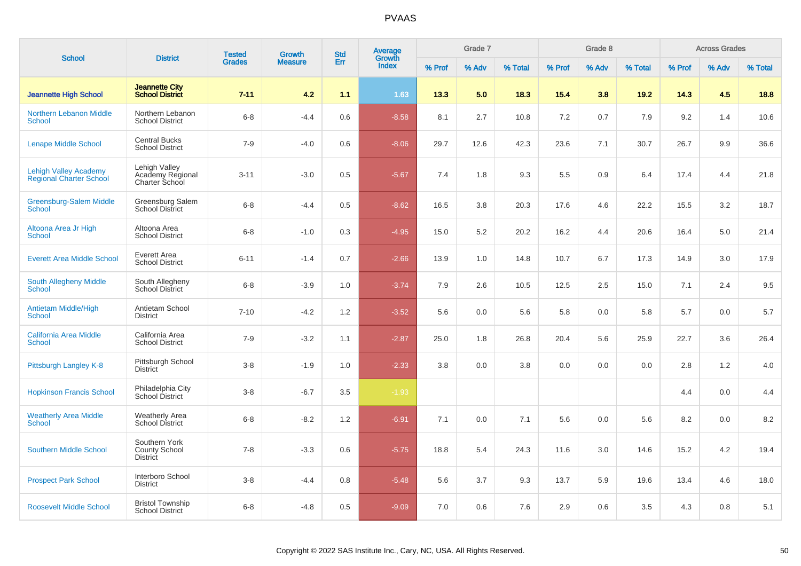| <b>School</b>                                                  | <b>District</b>                                          | <b>Tested</b> | <b>Growth</b>  | <b>Std</b> | Average<br>Growth |        | Grade 7 |         |        | Grade 8 |         |        | <b>Across Grades</b> |         |
|----------------------------------------------------------------|----------------------------------------------------------|---------------|----------------|------------|-------------------|--------|---------|---------|--------|---------|---------|--------|----------------------|---------|
|                                                                |                                                          | <b>Grades</b> | <b>Measure</b> | Err        | <b>Index</b>      | % Prof | % Adv   | % Total | % Prof | % Adv   | % Total | % Prof | % Adv                | % Total |
| <b>Jeannette High School</b>                                   | <b>Jeannette City</b><br><b>School District</b>          | $7 - 11$      | 4.2            | 1.1        | 1.63              | 13.3   | 5.0     | 18.3    | 15.4   | 3.8     | 19.2    | 14.3   | 4.5                  | 18.8    |
| <b>Northern Lebanon Middle</b><br><b>School</b>                | Northern Lebanon<br><b>School District</b>               | $6 - 8$       | $-4.4$         | 0.6        | $-8.58$           | 8.1    | 2.7     | 10.8    | 7.2    | 0.7     | 7.9     | 9.2    | 1.4                  | 10.6    |
| <b>Lenape Middle School</b>                                    | <b>Central Bucks</b><br><b>School District</b>           | $7 - 9$       | $-4.0$         | 0.6        | $-8.06$           | 29.7   | 12.6    | 42.3    | 23.6   | 7.1     | 30.7    | 26.7   | 9.9                  | 36.6    |
| <b>Lehigh Valley Academy</b><br><b>Regional Charter School</b> | Lehigh Valley<br>Academy Regional<br>Charter School      | $3 - 11$      | $-3.0$         | 0.5        | $-5.67$           | 7.4    | 1.8     | 9.3     | 5.5    | 0.9     | 6.4     | 17.4   | 4.4                  | 21.8    |
| Greensburg-Salem Middle<br><b>School</b>                       | Greensburg Salem<br><b>School District</b>               | $6 - 8$       | $-4.4$         | 0.5        | $-8.62$           | 16.5   | 3.8     | 20.3    | 17.6   | 4.6     | 22.2    | 15.5   | 3.2                  | 18.7    |
| Altoona Area Jr High<br><b>School</b>                          | Altoona Area<br><b>School District</b>                   | $6 - 8$       | $-1.0$         | 0.3        | $-4.95$           | 15.0   | 5.2     | 20.2    | 16.2   | 4.4     | 20.6    | 16.4   | 5.0                  | 21.4    |
| <b>Everett Area Middle School</b>                              | Everett Area<br><b>School District</b>                   | $6 - 11$      | $-1.4$         | 0.7        | $-2.66$           | 13.9   | 1.0     | 14.8    | 10.7   | 6.7     | 17.3    | 14.9   | 3.0                  | 17.9    |
| <b>South Allegheny Middle</b><br><b>School</b>                 | South Allegheny<br><b>School District</b>                | $6 - 8$       | $-3.9$         | 1.0        | $-3.74$           | 7.9    | 2.6     | 10.5    | 12.5   | 2.5     | 15.0    | 7.1    | 2.4                  | 9.5     |
| <b>Antietam Middle/High</b><br><b>School</b>                   | Antietam School<br><b>District</b>                       | $7 - 10$      | $-4.2$         | 1.2        | $-3.52$           | 5.6    | 0.0     | 5.6     | 5.8    | 0.0     | 5.8     | 5.7    | 0.0                  | 5.7     |
| <b>California Area Middle</b><br><b>School</b>                 | California Area<br><b>School District</b>                | $7 - 9$       | $-3.2$         | 1.1        | $-2.87$           | 25.0   | 1.8     | 26.8    | 20.4   | 5.6     | 25.9    | 22.7   | 3.6                  | 26.4    |
| Pittsburgh Langley K-8                                         | Pittsburgh School<br><b>District</b>                     | $3 - 8$       | $-1.9$         | 1.0        | $-2.33$           | 3.8    | 0.0     | 3.8     | 0.0    | 0.0     | 0.0     | 2.8    | 1.2                  | 4.0     |
| <b>Hopkinson Francis School</b>                                | Philadelphia City<br>School District                     | $3 - 8$       | $-6.7$         | 3.5        | $-1.93$           |        |         |         |        |         |         | 4.4    | 0.0                  | 4.4     |
| <b>Weatherly Area Middle</b><br><b>School</b>                  | <b>Weatherly Area</b><br>School District                 | $6 - 8$       | $-8.2$         | 1.2        | $-6.91$           | 7.1    | 0.0     | 7.1     | 5.6    | 0.0     | 5.6     | 8.2    | 0.0                  | 8.2     |
| <b>Southern Middle School</b>                                  | Southern York<br><b>County School</b><br><b>District</b> | $7 - 8$       | $-3.3$         | 0.6        | $-5.75$           | 18.8   | 5.4     | 24.3    | 11.6   | 3.0     | 14.6    | 15.2   | 4.2                  | 19.4    |
| <b>Prospect Park School</b>                                    | Interboro School<br><b>District</b>                      | $3 - 8$       | $-4.4$         | 0.8        | $-5.48$           | 5.6    | 3.7     | 9.3     | 13.7   | 5.9     | 19.6    | 13.4   | 4.6                  | 18.0    |
| <b>Roosevelt Middle School</b>                                 | <b>Bristol Township</b><br><b>School District</b>        | $6 - 8$       | $-4.8$         | 0.5        | $-9.09$           | 7.0    | 0.6     | 7.6     | 2.9    | 0.6     | 3.5     | 4.3    | 0.8                  | 5.1     |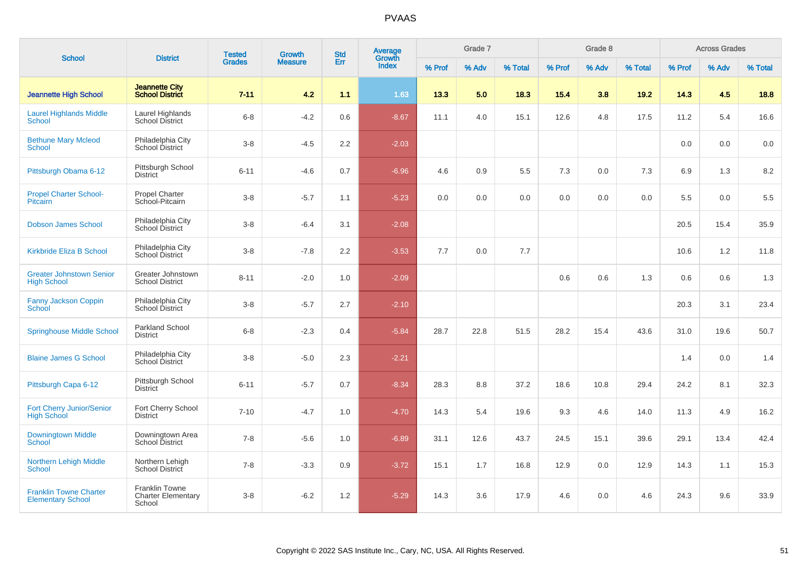|                                                           |                                                       | <b>Tested</b> |        | <b>Std</b><br>Growth<br>Err<br><b>Measure</b> | Average         |        | Grade 7 |         |        | Grade 8 |         |        | <b>Across Grades</b> |         |
|-----------------------------------------------------------|-------------------------------------------------------|---------------|--------|-----------------------------------------------|-----------------|--------|---------|---------|--------|---------|---------|--------|----------------------|---------|
| <b>School</b>                                             | <b>District</b>                                       | <b>Grades</b> |        |                                               | Growth<br>Index | % Prof | % Adv   | % Total | % Prof | % Adv   | % Total | % Prof | % Adv                | % Total |
| <b>Jeannette High School</b>                              | <b>Jeannette City</b><br><b>School District</b>       | $7 - 11$      | 4.2    | 1.1                                           | 1.63            | 13.3   | 5.0     | 18.3    | 15.4   | 3.8     | 19.2    | 14.3   | 4.5                  | 18.8    |
| <b>Laurel Highlands Middle</b><br><b>School</b>           | Laurel Highlands<br><b>School District</b>            | $6 - 8$       | $-4.2$ | 0.6                                           | $-8.67$         | 11.1   | 4.0     | 15.1    | 12.6   | 4.8     | 17.5    | 11.2   | 5.4                  | 16.6    |
| <b>Bethune Mary Mcleod</b><br><b>School</b>               | Philadelphia City<br>School District                  | $3 - 8$       | $-4.5$ | 2.2                                           | $-2.03$         |        |         |         |        |         |         | 0.0    | 0.0                  | 0.0     |
| Pittsburgh Obama 6-12                                     | Pittsburgh School<br><b>District</b>                  | $6 - 11$      | $-4.6$ | 0.7                                           | $-6.96$         | 4.6    | 0.9     | 5.5     | 7.3    | 0.0     | 7.3     | 6.9    | 1.3                  | 8.2     |
| <b>Propel Charter School-</b><br><b>Pitcairn</b>          | Propel Charter<br>School-Pitcairn                     | $3 - 8$       | $-5.7$ | 1.1                                           | $-5.23$         | 0.0    | 0.0     | 0.0     | 0.0    | 0.0     | 0.0     | 5.5    | 0.0                  | 5.5     |
| <b>Dobson James School</b>                                | Philadelphia City<br>School District                  | $3-8$         | $-6.4$ | 3.1                                           | $-2.08$         |        |         |         |        |         |         | 20.5   | 15.4                 | 35.9    |
| Kirkbride Eliza B School                                  | Philadelphia City<br>School District                  | $3 - 8$       | $-7.8$ | 2.2                                           | $-3.53$         | 7.7    | 0.0     | 7.7     |        |         |         | 10.6   | 1.2                  | 11.8    |
| <b>Greater Johnstown Senior</b><br><b>High School</b>     | Greater Johnstown<br><b>School District</b>           | $8 - 11$      | $-2.0$ | 1.0                                           | $-2.09$         |        |         |         | 0.6    | 0.6     | 1.3     | 0.6    | 0.6                  | 1.3     |
| <b>Fanny Jackson Coppin</b><br><b>School</b>              | Philadelphia City<br>School District                  | $3-8$         | $-5.7$ | 2.7                                           | $-2.10$         |        |         |         |        |         |         | 20.3   | 3.1                  | 23.4    |
| <b>Springhouse Middle School</b>                          | Parkland School<br><b>District</b>                    | $6 - 8$       | $-2.3$ | 0.4                                           | $-5.84$         | 28.7   | 22.8    | 51.5    | 28.2   | 15.4    | 43.6    | 31.0   | 19.6                 | 50.7    |
| <b>Blaine James G School</b>                              | Philadelphia City<br>School District                  | $3 - 8$       | $-5.0$ | 2.3                                           | $-2.21$         |        |         |         |        |         |         | 1.4    | 0.0                  | 1.4     |
| Pittsburgh Capa 6-12                                      | Pittsburgh School<br><b>District</b>                  | $6 - 11$      | $-5.7$ | 0.7                                           | $-8.34$         | 28.3   | 8.8     | 37.2    | 18.6   | 10.8    | 29.4    | 24.2   | 8.1                  | 32.3    |
| Fort Cherry Junior/Senior<br><b>High School</b>           | Fort Cherry School<br><b>District</b>                 | $7 - 10$      | $-4.7$ | 1.0                                           | $-4.70$         | 14.3   | 5.4     | 19.6    | 9.3    | 4.6     | 14.0    | 11.3   | 4.9                  | 16.2    |
| Downingtown Middle<br>School                              | Downingtown Area<br>School District                   | $7 - 8$       | $-5.6$ | 1.0                                           | $-6.89$         | 31.1   | 12.6    | 43.7    | 24.5   | 15.1    | 39.6    | 29.1   | 13.4                 | 42.4    |
| <b>Northern Lehigh Middle</b><br><b>School</b>            | Northern Lehigh<br>School District                    | $7 - 8$       | $-3.3$ | 0.9                                           | $-3.72$         | 15.1   | 1.7     | 16.8    | 12.9   | 0.0     | 12.9    | 14.3   | 1.1                  | 15.3    |
| <b>Franklin Towne Charter</b><br><b>Elementary School</b> | Franklin Towne<br><b>Charter Elementary</b><br>School | $3 - 8$       | $-6.2$ | 1.2                                           | $-5.29$         | 14.3   | 3.6     | 17.9    | 4.6    | 0.0     | 4.6     | 24.3   | 9.6                  | 33.9    |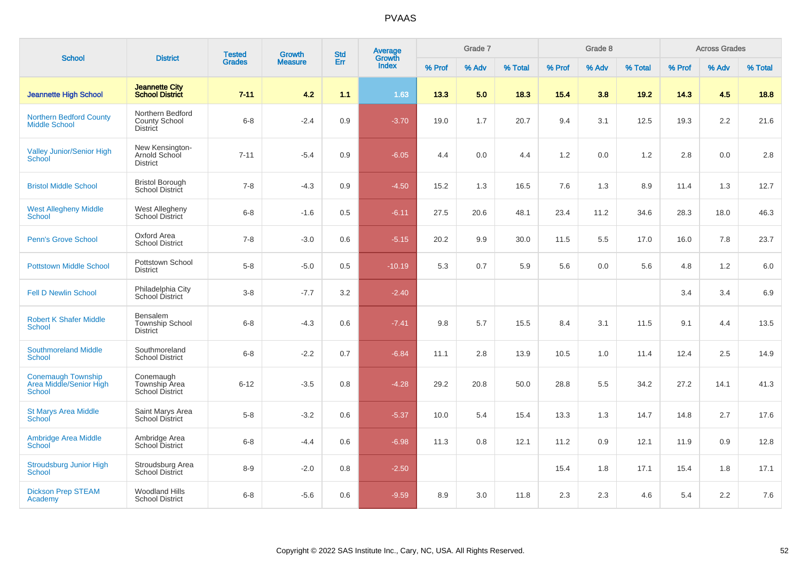| <b>School</b>                                                         | <b>District</b>                                       | <b>Tested</b> | <b>Growth</b>  | <b>Std</b> | Average<br>Growth |        | Grade 7 |         |        | Grade 8 |         |        | <b>Across Grades</b> |         |
|-----------------------------------------------------------------------|-------------------------------------------------------|---------------|----------------|------------|-------------------|--------|---------|---------|--------|---------|---------|--------|----------------------|---------|
|                                                                       |                                                       | <b>Grades</b> | <b>Measure</b> | Err        | <b>Index</b>      | % Prof | % Adv   | % Total | % Prof | % Adv   | % Total | % Prof | % Adv                | % Total |
| <b>Jeannette High School</b>                                          | <b>Jeannette City</b><br><b>School District</b>       | $7 - 11$      | 4.2            | 1.1        | 1.63              | 13.3   | 5.0     | 18.3    | 15.4   | 3.8     | 19.2    | 14.3   | 4.5                  | 18.8    |
| <b>Northern Bedford County</b><br><b>Middle School</b>                | Northern Bedford<br>County School<br><b>District</b>  | $6 - 8$       | $-2.4$         | 0.9        | $-3.70$           | 19.0   | 1.7     | 20.7    | 9.4    | 3.1     | 12.5    | 19.3   | $2.2\,$              | 21.6    |
| <b>Valley Junior/Senior High</b><br><b>School</b>                     | New Kensington-<br>Arnold School<br><b>District</b>   | $7 - 11$      | $-5.4$         | 0.9        | $-6.05$           | 4.4    | 0.0     | 4.4     | 1.2    | 0.0     | 1.2     | 2.8    | 0.0                  | 2.8     |
| <b>Bristol Middle School</b>                                          | <b>Bristol Borough</b><br><b>School District</b>      | $7 - 8$       | $-4.3$         | 0.9        | $-4.50$           | 15.2   | 1.3     | 16.5    | 7.6    | 1.3     | 8.9     | 11.4   | 1.3                  | 12.7    |
| <b>West Allegheny Middle</b><br>School                                | West Allegheny<br>School District                     | $6-8$         | $-1.6$         | 0.5        | $-6.11$           | 27.5   | 20.6    | 48.1    | 23.4   | 11.2    | 34.6    | 28.3   | 18.0                 | 46.3    |
| <b>Penn's Grove School</b>                                            | Oxford Area<br><b>School District</b>                 | $7 - 8$       | $-3.0$         | 0.6        | $-5.15$           | 20.2   | 9.9     | 30.0    | 11.5   | 5.5     | 17.0    | 16.0   | 7.8                  | 23.7    |
| <b>Pottstown Middle School</b>                                        | Pottstown School<br><b>District</b>                   | $5 - 8$       | $-5.0$         | 0.5        | $-10.19$          | 5.3    | 0.7     | 5.9     | 5.6    | 0.0     | 5.6     | 4.8    | 1.2                  | 6.0     |
| <b>Fell D Newlin School</b>                                           | Philadelphia City<br>School District                  | $3 - 8$       | $-7.7$         | 3.2        | $-2.40$           |        |         |         |        |         |         | 3.4    | 3.4                  | 6.9     |
| <b>Robert K Shafer Middle</b><br><b>School</b>                        | Bensalem<br><b>Township School</b><br><b>District</b> | $6 - 8$       | $-4.3$         | 0.6        | $-7.41$           | 9.8    | 5.7     | 15.5    | 8.4    | 3.1     | 11.5    | 9.1    | 4.4                  | 13.5    |
| <b>Southmoreland Middle</b><br><b>School</b>                          | Southmoreland<br><b>School District</b>               | $6 - 8$       | $-2.2$         | 0.7        | $-6.84$           | 11.1   | 2.8     | 13.9    | 10.5   | 1.0     | 11.4    | 12.4   | 2.5                  | 14.9    |
| <b>Conemaugh Township</b><br>Area Middle/Senior High<br><b>School</b> | Conemaugh<br>Township Area<br><b>School District</b>  | $6 - 12$      | $-3.5$         | 0.8        | $-4.28$           | 29.2   | 20.8    | 50.0    | 28.8   | 5.5     | 34.2    | 27.2   | 14.1                 | 41.3    |
| <b>St Marys Area Middle</b><br>School                                 | Saint Marys Area<br><b>School District</b>            | $5 - 8$       | $-3.2$         | 0.6        | $-5.37$           | 10.0   | 5.4     | 15.4    | 13.3   | 1.3     | 14.7    | 14.8   | 2.7                  | 17.6    |
| <b>Ambridge Area Middle</b><br><b>School</b>                          | Ambridge Area<br>School District                      | $6 - 8$       | $-4.4$         | 0.6        | $-6.98$           | 11.3   | 0.8     | 12.1    | 11.2   | 0.9     | 12.1    | 11.9   | 0.9                  | 12.8    |
| <b>Stroudsburg Junior High</b><br>School                              | Stroudsburg Area<br><b>School District</b>            | $8 - 9$       | $-2.0$         | 0.8        | $-2.50$           |        |         |         | 15.4   | 1.8     | 17.1    | 15.4   | 1.8                  | 17.1    |
| <b>Dickson Prep STEAM</b><br>Academy                                  | <b>Woodland Hills</b><br><b>School District</b>       | $6 - 8$       | $-5.6$         | 0.6        | $-9.59$           | 8.9    | 3.0     | 11.8    | 2.3    | 2.3     | 4.6     | 5.4    | 2.2                  | 7.6     |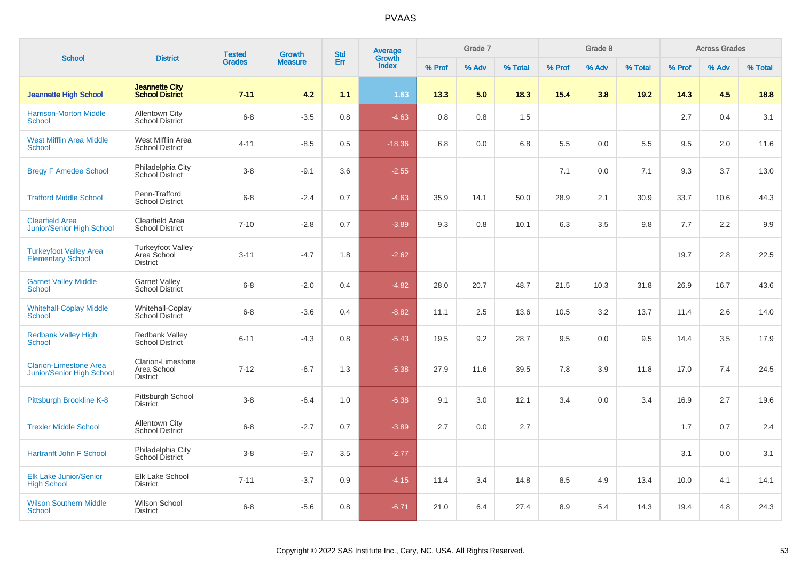| <b>School</b>                                              | <b>District</b>                                            | <b>Tested</b> | <b>Growth</b>  | <b>Std</b> | Average<br>Growth |        | Grade 7 |         |        | Grade 8 |         |        | <b>Across Grades</b> |         |
|------------------------------------------------------------|------------------------------------------------------------|---------------|----------------|------------|-------------------|--------|---------|---------|--------|---------|---------|--------|----------------------|---------|
|                                                            |                                                            | <b>Grades</b> | <b>Measure</b> | Err        | <b>Index</b>      | % Prof | % Adv   | % Total | % Prof | % Adv   | % Total | % Prof | % Adv                | % Total |
| <b>Jeannette High School</b>                               | <b>Jeannette City</b><br><b>School District</b>            | $7 - 11$      | 4.2            | 1.1        | 1.63              | 13.3   | 5.0     | 18.3    | 15.4   | 3.8     | 19.2    | 14.3   | 4.5                  | 18.8    |
| <b>Harrison-Morton Middle</b><br>School                    | <b>Allentown City</b><br>School District                   | $6 - 8$       | $-3.5$         | 0.8        | $-4.63$           | 0.8    | 0.8     | 1.5     |        |         |         | 2.7    | 0.4                  | 3.1     |
| <b>West Mifflin Area Middle</b><br><b>School</b>           | West Mifflin Area<br><b>School District</b>                | $4 - 11$      | $-8.5$         | 0.5        | $-18.36$          | 6.8    | 0.0     | 6.8     | 5.5    | 0.0     | 5.5     | 9.5    | 2.0                  | 11.6    |
| <b>Bregy F Amedee School</b>                               | Philadelphia City<br>School District                       | $3-8$         | $-9.1$         | 3.6        | $-2.55$           |        |         |         | 7.1    | 0.0     | 7.1     | 9.3    | 3.7                  | 13.0    |
| <b>Trafford Middle School</b>                              | Penn-Trafford<br><b>School District</b>                    | $6 - 8$       | $-2.4$         | 0.7        | $-4.63$           | 35.9   | 14.1    | 50.0    | 28.9   | 2.1     | 30.9    | 33.7   | 10.6                 | 44.3    |
| <b>Clearfield Area</b><br><b>Junior/Senior High School</b> | Clearfield Area<br><b>School District</b>                  | $7 - 10$      | $-2.8$         | 0.7        | $-3.89$           | 9.3    | 0.8     | 10.1    | 6.3    | 3.5     | 9.8     | 7.7    | 2.2                  | 9.9     |
| <b>Turkeyfoot Valley Area</b><br><b>Elementary School</b>  | <b>Turkeyfoot Valley</b><br>Area School<br><b>District</b> | $3 - 11$      | $-4.7$         | 1.8        | $-2.62$           |        |         |         |        |         |         | 19.7   | 2.8                  | 22.5    |
| <b>Garnet Valley Middle</b><br><b>School</b>               | <b>Garnet Valley</b><br><b>School District</b>             | $6 - 8$       | $-2.0$         | 0.4        | $-4.82$           | 28.0   | 20.7    | 48.7    | 21.5   | 10.3    | 31.8    | 26.9   | 16.7                 | 43.6    |
| <b>Whitehall-Coplay Middle</b><br><b>School</b>            | Whitehall-Coplay<br><b>School District</b>                 | $6 - 8$       | $-3.6$         | 0.4        | $-8.82$           | 11.1   | 2.5     | 13.6    | 10.5   | 3.2     | 13.7    | 11.4   | 2.6                  | 14.0    |
| <b>Redbank Valley High</b><br><b>School</b>                | <b>Redbank Valley</b><br>School District                   | $6 - 11$      | $-4.3$         | 0.8        | $-5.43$           | 19.5   | 9.2     | 28.7    | 9.5    | 0.0     | 9.5     | 14.4   | 3.5                  | 17.9    |
| <b>Clarion-Limestone Area</b><br>Junior/Senior High School | Clarion-Limestone<br>Area School<br><b>District</b>        | $7 - 12$      | $-6.7$         | 1.3        | $-5.38$           | 27.9   | 11.6    | 39.5    | 7.8    | 3.9     | 11.8    | 17.0   | 7.4                  | 24.5    |
| Pittsburgh Brookline K-8                                   | Pittsburgh School<br><b>District</b>                       | $3 - 8$       | $-6.4$         | 1.0        | $-6.38$           | 9.1    | 3.0     | 12.1    | 3.4    | 0.0     | 3.4     | 16.9   | 2.7                  | 19.6    |
| <b>Trexler Middle School</b>                               | <b>Allentown City</b><br>School District                   | $6 - 8$       | $-2.7$         | 0.7        | $-3.89$           | 2.7    | 0.0     | 2.7     |        |         |         | 1.7    | 0.7                  | 2.4     |
| <b>Hartranft John F School</b>                             | Philadelphia City<br>School District                       | $3 - 8$       | $-9.7$         | 3.5        | $-2.77$           |        |         |         |        |         |         | 3.1    | 0.0                  | 3.1     |
| Elk Lake Junior/Senior<br><b>High School</b>               | Elk Lake School<br><b>District</b>                         | $7 - 11$      | $-3.7$         | 0.9        | $-4.15$           | 11.4   | 3.4     | 14.8    | 8.5    | 4.9     | 13.4    | 10.0   | 4.1                  | 14.1    |
| <b>Wilson Southern Middle</b><br><b>School</b>             | <b>Wilson School</b><br><b>District</b>                    | $6 - 8$       | $-5.6$         | 0.8        | $-6.71$           | 21.0   | 6.4     | 27.4    | 8.9    | 5.4     | 14.3    | 19.4   | 4.8                  | 24.3    |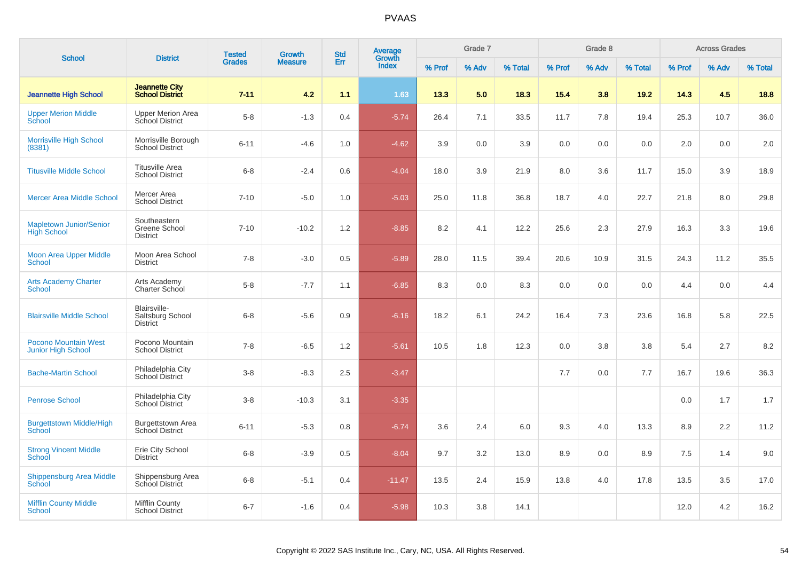| <b>School</b>                                        | <b>District</b>                                     | <b>Tested</b> | <b>Growth</b>  | <b>Std</b> | <b>Average</b><br>Growth |        | Grade 7 |         |        | Grade 8 |         |        | <b>Across Grades</b> |         |
|------------------------------------------------------|-----------------------------------------------------|---------------|----------------|------------|--------------------------|--------|---------|---------|--------|---------|---------|--------|----------------------|---------|
|                                                      |                                                     | <b>Grades</b> | <b>Measure</b> | Err        | <b>Index</b>             | % Prof | % Adv   | % Total | % Prof | % Adv   | % Total | % Prof | % Adv                | % Total |
| <b>Jeannette High School</b>                         | <b>Jeannette City</b><br><b>School District</b>     | $7 - 11$      | 4.2            | 1.1        | 1.63                     | 13.3   | 5.0     | 18.3    | 15.4   | 3.8     | 19.2    | 14.3   | 4.5                  | 18.8    |
| <b>Upper Merion Middle</b><br>School                 | <b>Upper Merion Area</b><br>School District         | $5-8$         | $-1.3$         | 0.4        | $-5.74$                  | 26.4   | 7.1     | 33.5    | 11.7   | 7.8     | 19.4    | 25.3   | 10.7                 | 36.0    |
| <b>Morrisville High School</b><br>(8381)             | Morrisville Borough<br><b>School District</b>       | $6 - 11$      | $-4.6$         | 1.0        | $-4.62$                  | 3.9    | 0.0     | 3.9     | 0.0    | 0.0     | 0.0     | 2.0    | 0.0                  | 2.0     |
| <b>Titusville Middle School</b>                      | <b>Titusville Area</b><br><b>School District</b>    | $6 - 8$       | $-2.4$         | 0.6        | $-4.04$                  | 18.0   | 3.9     | 21.9    | 8.0    | 3.6     | 11.7    | 15.0   | 3.9                  | 18.9    |
| <b>Mercer Area Middle School</b>                     | Mercer Area<br><b>School District</b>               | $7 - 10$      | $-5.0$         | 1.0        | $-5.03$                  | 25.0   | 11.8    | 36.8    | 18.7   | 4.0     | 22.7    | 21.8   | 8.0                  | 29.8    |
| <b>Mapletown Junior/Senior</b><br><b>High School</b> | Southeastern<br>Greene School<br><b>District</b>    | $7 - 10$      | $-10.2$        | 1.2        | $-8.85$                  | 8.2    | 4.1     | 12.2    | 25.6   | 2.3     | 27.9    | 16.3   | 3.3                  | 19.6    |
| <b>Moon Area Upper Middle</b><br>School              | Moon Area School<br><b>District</b>                 | $7 - 8$       | $-3.0$         | 0.5        | $-5.89$                  | 28.0   | 11.5    | 39.4    | 20.6   | 10.9    | 31.5    | 24.3   | 11.2                 | 35.5    |
| <b>Arts Academy Charter</b><br>School                | Arts Academy<br>Charter School                      | $5-8$         | $-7.7$         | 1.1        | $-6.85$                  | 8.3    | 0.0     | 8.3     | 0.0    | 0.0     | 0.0     | 4.4    | 0.0                  | 4.4     |
| <b>Blairsville Middle School</b>                     | Blairsville-<br>Saltsburg School<br><b>District</b> | $6 - 8$       | $-5.6$         | 0.9        | $-6.16$                  | 18.2   | 6.1     | 24.2    | 16.4   | 7.3     | 23.6    | 16.8   | 5.8                  | 22.5    |
| Pocono Mountain West<br>Junior High School           | Pocono Mountain<br><b>School District</b>           | $7 - 8$       | $-6.5$         | 1.2        | $-5.61$                  | 10.5   | 1.8     | 12.3    | 0.0    | 3.8     | 3.8     | 5.4    | 2.7                  | 8.2     |
| <b>Bache-Martin School</b>                           | Philadelphia City<br>School District                | $3 - 8$       | $-8.3$         | 2.5        | $-3.47$                  |        |         |         | 7.7    | 0.0     | 7.7     | 16.7   | 19.6                 | 36.3    |
| <b>Penrose School</b>                                | Philadelphia City<br>School District                | $3 - 8$       | $-10.3$        | 3.1        | $-3.35$                  |        |         |         |        |         |         | 0.0    | 1.7                  | 1.7     |
| <b>Burgettstown Middle/High</b><br>School            | <b>Burgettstown Area</b><br><b>School District</b>  | $6 - 11$      | $-5.3$         | 0.8        | $-6.74$                  | 3.6    | 2.4     | 6.0     | 9.3    | 4.0     | 13.3    | 8.9    | 2.2                  | 11.2    |
| <b>Strong Vincent Middle</b><br>School               | Erie City School<br><b>District</b>                 | $6 - 8$       | $-3.9$         | 0.5        | $-8.04$                  | 9.7    | 3.2     | 13.0    | 8.9    | 0.0     | 8.9     | 7.5    | 1.4                  | 9.0     |
| Shippensburg Area Middle<br>School                   | Shippensburg Area<br>School District                | $6 - 8$       | $-5.1$         | 0.4        | $-11.47$                 | 13.5   | 2.4     | 15.9    | 13.8   | 4.0     | 17.8    | 13.5   | 3.5                  | 17.0    |
| <b>Mifflin County Middle</b><br>School               | Mifflin County<br><b>School District</b>            | $6 - 7$       | $-1.6$         | 0.4        | $-5.98$                  | 10.3   | 3.8     | 14.1    |        |         |         | 12.0   | 4.2                  | 16.2    |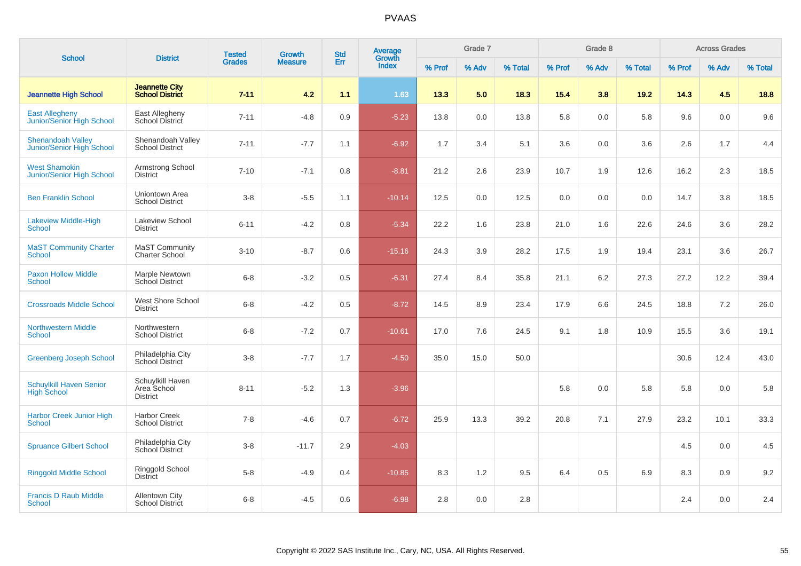| <b>School</b>                                                | <b>District</b>                                    | <b>Tested</b> | Growth         | <b>Std</b> | Average<br>Growth |        | Grade 7 |         |        | Grade 8 |         |        | <b>Across Grades</b> |         |
|--------------------------------------------------------------|----------------------------------------------------|---------------|----------------|------------|-------------------|--------|---------|---------|--------|---------|---------|--------|----------------------|---------|
|                                                              |                                                    | <b>Grades</b> | <b>Measure</b> | Err        | <b>Index</b>      | % Prof | % Adv   | % Total | % Prof | % Adv   | % Total | % Prof | % Adv                | % Total |
| <b>Jeannette High School</b>                                 | <b>Jeannette City</b><br><b>School District</b>    | $7 - 11$      | 4.2            | 1.1        | 1.63              | 13.3   | 5.0     | 18.3    | 15.4   | 3.8     | 19.2    | 14.3   | 4.5                  | 18.8    |
| <b>East Allegheny</b><br>Junior/Senior High School           | East Allegheny<br>School District                  | $7 - 11$      | $-4.8$         | 0.9        | $-5.23$           | 13.8   | 0.0     | 13.8    | 5.8    | 0.0     | 5.8     | 9.6    | 0.0                  | 9.6     |
| <b>Shenandoah Valley</b><br><b>Junior/Senior High School</b> | Shenandoah Valley<br><b>School District</b>        | $7 - 11$      | $-7.7$         | 1.1        | $-6.92$           | 1.7    | 3.4     | 5.1     | 3.6    | 0.0     | 3.6     | 2.6    | 1.7                  | 4.4     |
| <b>West Shamokin</b><br>Junior/Senior High School            | Armstrong School<br><b>District</b>                | $7 - 10$      | $-7.1$         | 0.8        | $-8.81$           | 21.2   | 2.6     | 23.9    | 10.7   | 1.9     | 12.6    | 16.2   | 2.3                  | 18.5    |
| <b>Ben Franklin School</b>                                   | Uniontown Area<br><b>School District</b>           | $3-8$         | $-5.5$         | 1.1        | $-10.14$          | 12.5   | 0.0     | 12.5    | 0.0    | 0.0     | 0.0     | 14.7   | 3.8                  | 18.5    |
| <b>Lakeview Middle-High</b><br>School                        | <b>Lakeview School</b><br><b>District</b>          | $6 - 11$      | $-4.2$         | 0.8        | $-5.34$           | 22.2   | 1.6     | 23.8    | 21.0   | 1.6     | 22.6    | 24.6   | 3.6                  | 28.2    |
| <b>MaST Community Charter</b><br><b>School</b>               | <b>MaST Community</b><br><b>Charter School</b>     | $3 - 10$      | $-8.7$         | 0.6        | $-15.16$          | 24.3   | 3.9     | 28.2    | 17.5   | 1.9     | 19.4    | 23.1   | 3.6                  | 26.7    |
| <b>Paxon Hollow Middle</b><br><b>School</b>                  | Marple Newtown<br>School District                  | $6 - 8$       | $-3.2$         | 0.5        | $-6.31$           | 27.4   | 8.4     | 35.8    | 21.1   | $6.2\,$ | 27.3    | 27.2   | 12.2                 | 39.4    |
| <b>Crossroads Middle School</b>                              | West Shore School<br><b>District</b>               | $6 - 8$       | $-4.2$         | 0.5        | $-8.72$           | 14.5   | 8.9     | 23.4    | 17.9   | 6.6     | 24.5    | 18.8   | 7.2                  | 26.0    |
| <b>Northwestern Middle</b><br><b>School</b>                  | Northwestern<br><b>School District</b>             | $6 - 8$       | $-7.2$         | 0.7        | $-10.61$          | 17.0   | 7.6     | 24.5    | 9.1    | 1.8     | 10.9    | 15.5   | 3.6                  | 19.1    |
| <b>Greenberg Joseph School</b>                               | Philadelphia City<br>School District               | $3-8$         | $-7.7$         | 1.7        | $-4.50$           | 35.0   | 15.0    | 50.0    |        |         |         | 30.6   | 12.4                 | 43.0    |
| <b>Schuylkill Haven Senior</b><br><b>High School</b>         | Schuylkill Haven<br>Area School<br><b>District</b> | $8 - 11$      | $-5.2$         | 1.3        | $-3.96$           |        |         |         | 5.8    | 0.0     | 5.8     | 5.8    | 0.0                  | 5.8     |
| <b>Harbor Creek Junior High</b><br>School                    | Harbor Creek<br><b>School District</b>             | $7 - 8$       | $-4.6$         | 0.7        | $-6.72$           | 25.9   | 13.3    | 39.2    | 20.8   | 7.1     | 27.9    | 23.2   | 10.1                 | 33.3    |
| <b>Spruance Gilbert School</b>                               | Philadelphia City<br><b>School District</b>        | $3 - 8$       | $-11.7$        | 2.9        | $-4.03$           |        |         |         |        |         |         | 4.5    | 0.0                  | 4.5     |
| <b>Ringgold Middle School</b>                                | Ringgold School<br><b>District</b>                 | $5-8$         | $-4.9$         | 0.4        | $-10.85$          | 8.3    | 1.2     | 9.5     | 6.4    | 0.5     | 6.9     | 8.3    | 0.9                  | 9.2     |
| <b>Francis D Raub Middle</b><br><b>School</b>                | <b>Allentown City</b><br><b>School District</b>    | $6 - 8$       | $-4.5$         | 0.6        | $-6.98$           | 2.8    | 0.0     | 2.8     |        |         |         | 2.4    | 0.0                  | $2.4\,$ |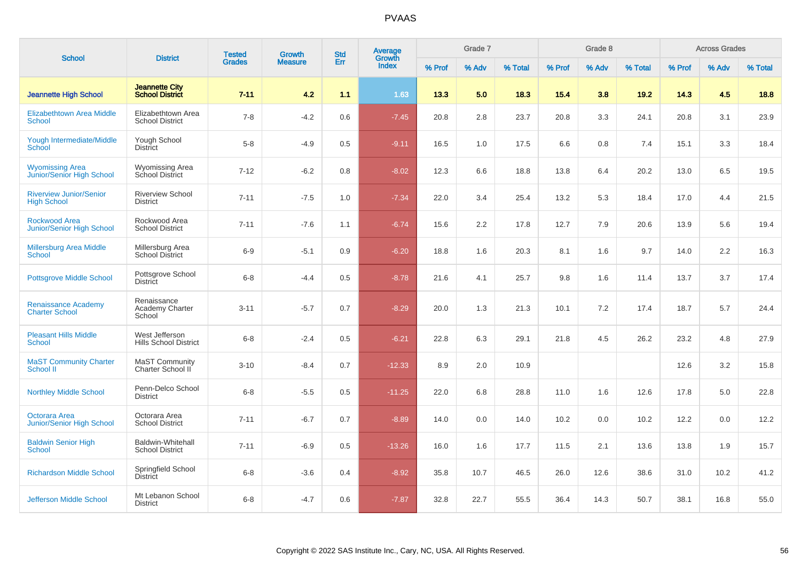| <b>School</b>                                              | <b>District</b>                                    | <b>Tested</b> | <b>Growth</b> | <b>Std</b><br>Err<br><b>Measure</b> | Average<br>Growth |        | Grade 7 |         |        | Grade 8 |         |        | <b>Across Grades</b> |         |
|------------------------------------------------------------|----------------------------------------------------|---------------|---------------|-------------------------------------|-------------------|--------|---------|---------|--------|---------|---------|--------|----------------------|---------|
|                                                            |                                                    | <b>Grades</b> |               |                                     | <b>Index</b>      | % Prof | % Adv   | % Total | % Prof | % Adv   | % Total | % Prof | % Adv                | % Total |
| <b>Jeannette High School</b>                               | <b>Jeannette City</b><br><b>School District</b>    | $7 - 11$      | 4.2           | 1.1                                 | 1.63              | 13.3   | 5.0     | 18.3    | 15.4   | 3.8     | 19.2    | 14.3   | 4.5                  | 18.8    |
| <b>Elizabethtown Area Middle</b><br><b>School</b>          | Elizabethtown Area<br><b>School District</b>       | $7 - 8$       | $-4.2$        | 0.6                                 | $-7.45$           | 20.8   | 2.8     | 23.7    | 20.8   | 3.3     | 24.1    | 20.8   | 3.1                  | 23.9    |
| Yough Intermediate/Middle<br>School                        | Yough School<br><b>District</b>                    | $5 - 8$       | $-4.9$        | 0.5                                 | $-9.11$           | 16.5   | 1.0     | 17.5    | 6.6    | 0.8     | 7.4     | 15.1   | 3.3                  | 18.4    |
| <b>Wyomissing Area</b><br><b>Junior/Senior High School</b> | <b>Wyomissing Area</b><br><b>School District</b>   | $7 - 12$      | $-6.2$        | 0.8                                 | $-8.02$           | 12.3   | 6.6     | 18.8    | 13.8   | 6.4     | 20.2    | 13.0   | 6.5                  | 19.5    |
| <b>Riverview Junior/Senior</b><br><b>High School</b>       | <b>Riverview School</b><br><b>District</b>         | $7 - 11$      | $-7.5$        | 1.0                                 | $-7.34$           | 22.0   | 3.4     | 25.4    | 13.2   | 5.3     | 18.4    | 17.0   | 4.4                  | 21.5    |
| <b>Rockwood Area</b><br><b>Junior/Senior High School</b>   | Rockwood Area<br><b>School District</b>            | $7 - 11$      | $-7.6$        | 1.1                                 | $-6.74$           | 15.6   | 2.2     | 17.8    | 12.7   | 7.9     | 20.6    | 13.9   | 5.6                  | 19.4    |
| Millersburg Area Middle<br>School                          | Millersburg Area<br><b>School District</b>         | $6-9$         | $-5.1$        | 0.9                                 | $-6.20$           | 18.8   | 1.6     | 20.3    | 8.1    | 1.6     | 9.7     | 14.0   | $2.2\,$              | 16.3    |
| <b>Pottsgrove Middle School</b>                            | Pottsgrove School<br><b>District</b>               | $6 - 8$       | $-4.4$        | 0.5                                 | $-8.78$           | 21.6   | 4.1     | 25.7    | 9.8    | 1.6     | 11.4    | 13.7   | 3.7                  | 17.4    |
| <b>Renaissance Academy</b><br><b>Charter School</b>        | Renaissance<br>Academy Charter<br>School           | $3 - 11$      | $-5.7$        | 0.7                                 | $-8.29$           | 20.0   | 1.3     | 21.3    | 10.1   | 7.2     | 17.4    | 18.7   | 5.7                  | 24.4    |
| <b>Pleasant Hills Middle</b><br><b>School</b>              | West Jefferson<br><b>Hills School District</b>     | $6 - 8$       | $-2.4$        | 0.5                                 | $-6.21$           | 22.8   | 6.3     | 29.1    | 21.8   | 4.5     | 26.2    | 23.2   | 4.8                  | 27.9    |
| <b>MaST Community Charter</b><br><b>School II</b>          | MaST Community<br>Charter School II                | $3 - 10$      | $-8.4$        | 0.7                                 | $-12.33$          | 8.9    | 2.0     | 10.9    |        |         |         | 12.6   | 3.2                  | 15.8    |
| <b>Northley Middle School</b>                              | Penn-Delco School<br><b>District</b>               | $6 - 8$       | $-5.5$        | 0.5                                 | $-11.25$          | 22.0   | 6.8     | 28.8    | 11.0   | 1.6     | 12.6    | 17.8   | 5.0                  | 22.8    |
| Octorara Area<br><b>Junior/Senior High School</b>          | Octorara Area<br><b>School District</b>            | $7 - 11$      | $-6.7$        | 0.7                                 | $-8.89$           | 14.0   | 0.0     | 14.0    | 10.2   | 0.0     | 10.2    | 12.2   | 0.0                  | 12.2    |
| <b>Baldwin Senior High</b><br><b>School</b>                | <b>Baldwin-Whitehall</b><br><b>School District</b> | $7 - 11$      | $-6.9$        | 0.5                                 | $-13.26$          | 16.0   | 1.6     | 17.7    | 11.5   | 2.1     | 13.6    | 13.8   | 1.9                  | 15.7    |
| <b>Richardson Middle School</b>                            | Springfield School<br><b>District</b>              | $6 - 8$       | $-3.6$        | 0.4                                 | $-8.92$           | 35.8   | 10.7    | 46.5    | 26.0   | 12.6    | 38.6    | 31.0   | 10.2                 | 41.2    |
| Jefferson Middle School                                    | Mt Lebanon School<br><b>District</b>               | $6 - 8$       | $-4.7$        | 0.6                                 | $-7.87$           | 32.8   | 22.7    | 55.5    | 36.4   | 14.3    | 50.7    | 38.1   | 16.8                 | 55.0    |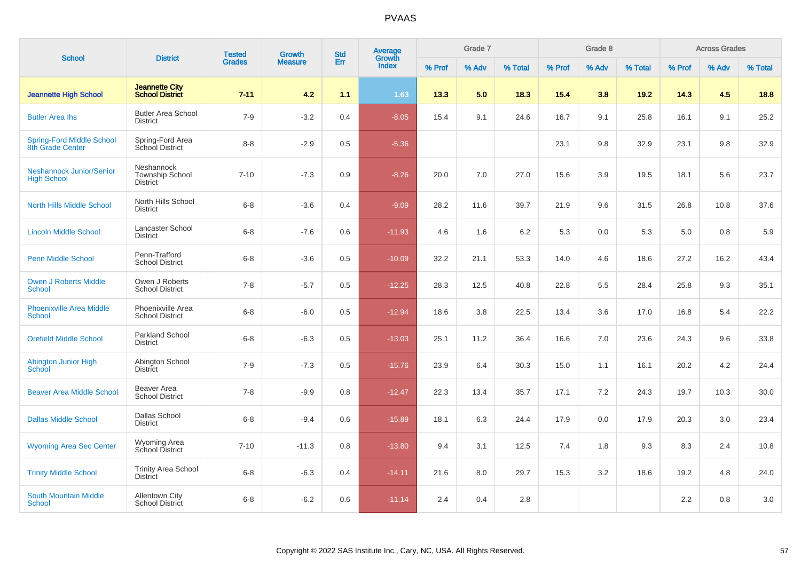| <b>School</b>                                         | <b>District</b>                                         | <b>Tested</b> | Growth         | <b>Std</b> | Average<br>Growth |        | Grade 7 |         |        | Grade 8 |         |        | <b>Across Grades</b> |         |
|-------------------------------------------------------|---------------------------------------------------------|---------------|----------------|------------|-------------------|--------|---------|---------|--------|---------|---------|--------|----------------------|---------|
|                                                       |                                                         | <b>Grades</b> | <b>Measure</b> | Err        | <b>Index</b>      | % Prof | % Adv   | % Total | % Prof | % Adv   | % Total | % Prof | % Adv                | % Total |
| <b>Jeannette High School</b>                          | <b>Jeannette City</b><br><b>School District</b>         | $7 - 11$      | 4.2            | 1.1        | 1.63              | 13.3   | 5.0     | 18.3    | 15.4   | 3.8     | 19.2    | 14.3   | 4.5                  | 18.8    |
| <b>Butler Area lhs</b>                                | <b>Butler Area School</b><br><b>District</b>            | $7 - 9$       | $-3.2$         | 0.4        | $-8.05$           | 15.4   | 9.1     | 24.6    | 16.7   | 9.1     | 25.8    | 16.1   | 9.1                  | 25.2    |
| <b>Spring-Ford Middle School</b><br>8th Grade Center  | Spring-Ford Area<br>School District                     | $8 - 8$       | $-2.9$         | 0.5        | $-5.36$           |        |         |         | 23.1   | 9.8     | 32.9    | 23.1   | 9.8                  | 32.9    |
| <b>Neshannock Junior/Senior</b><br><b>High School</b> | Neshannock<br><b>Township School</b><br><b>District</b> | $7 - 10$      | $-7.3$         | 0.9        | $-8.26$           | 20.0   | 7.0     | 27.0    | 15.6   | 3.9     | 19.5    | 18.1   | 5.6                  | 23.7    |
| <b>North Hills Middle School</b>                      | North Hills School<br><b>District</b>                   | $6 - 8$       | $-3.6$         | 0.4        | $-9.09$           | 28.2   | 11.6    | 39.7    | 21.9   | 9.6     | 31.5    | 26.8   | 10.8                 | 37.6    |
| <b>Lincoln Middle School</b>                          | Lancaster School<br><b>District</b>                     | $6 - 8$       | $-7.6$         | 0.6        | $-11.93$          | 4.6    | 1.6     | 6.2     | 5.3    | 0.0     | 5.3     | 5.0    | 0.8                  | 5.9     |
| <b>Penn Middle School</b>                             | Penn-Trafford<br><b>School District</b>                 | $6 - 8$       | $-3.6$         | 0.5        | $-10.09$          | 32.2   | 21.1    | 53.3    | 14.0   | 4.6     | 18.6    | 27.2   | 16.2                 | 43.4    |
| <b>Owen J Roberts Middle</b><br><b>School</b>         | Owen J Roberts<br><b>School District</b>                | $7 - 8$       | $-5.7$         | 0.5        | $-12.25$          | 28.3   | 12.5    | 40.8    | 22.8   | 5.5     | 28.4    | 25.8   | 9.3                  | 35.1    |
| <b>Phoenixville Area Middle</b><br><b>School</b>      | Phoenixville Area<br><b>School District</b>             | $6-8$         | $-6.0$         | 0.5        | $-12.94$          | 18.6   | 3.8     | 22.5    | 13.4   | 3.6     | 17.0    | 16.8   | 5.4                  | 22.2    |
| <b>Orefield Middle School</b>                         | Parkland School<br><b>District</b>                      | $6 - 8$       | $-6.3$         | 0.5        | $-13.03$          | 25.1   | 11.2    | 36.4    | 16.6   | 7.0     | 23.6    | 24.3   | 9.6                  | 33.8    |
| Abington Junior High<br><b>School</b>                 | Abington School<br><b>District</b>                      | $7 - 9$       | $-7.3$         | 0.5        | $-15.76$          | 23.9   | 6.4     | 30.3    | 15.0   | 1.1     | 16.1    | 20.2   | 4.2                  | 24.4    |
| <b>Beaver Area Middle School</b>                      | Beaver Area<br><b>School District</b>                   | $7 - 8$       | $-9.9$         | 0.8        | $-12.47$          | 22.3   | 13.4    | 35.7    | 17.1   | 7.2     | 24.3    | 19.7   | 10.3                 | 30.0    |
| <b>Dallas Middle School</b>                           | Dallas School<br><b>District</b>                        | $6 - 8$       | $-9.4$         | 0.6        | $-15.89$          | 18.1   | 6.3     | 24.4    | 17.9   | 0.0     | 17.9    | 20.3   | 3.0                  | 23.4    |
| <b>Wyoming Area Sec Center</b>                        | Wyoming Area<br>School District                         | $7 - 10$      | $-11.3$        | 0.8        | $-13.80$          | 9.4    | 3.1     | 12.5    | 7.4    | 1.8     | 9.3     | 8.3    | 2.4                  | 10.8    |
| <b>Trinity Middle School</b>                          | <b>Trinity Area School</b><br><b>District</b>           | $6 - 8$       | $-6.3$         | 0.4        | $-14.11$          | 21.6   | 8.0     | 29.7    | 15.3   | 3.2     | 18.6    | 19.2   | 4.8                  | 24.0    |
| <b>South Mountain Middle</b><br><b>School</b>         | <b>Allentown City</b><br><b>School District</b>         | $6 - 8$       | $-6.2$         | 0.6        | $-11.14$          | 2.4    | 0.4     | 2.8     |        |         |         | 2.2    | 0.8                  | 3.0     |